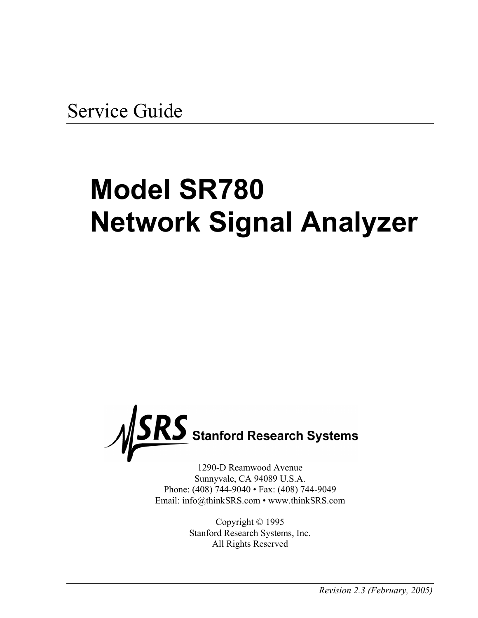Service Guide

# **Model SR780 Network Signal Analyzer**



1290-D Reamwood Avenue Sunnyvale, CA 94089 U.S.A. Phone: (408) 744-9040 • Fax: (408) 744-9049 Email: info@thinkSRS.com • www.thinkSRS.com

> Copyright © 1995 Stanford Research Systems, Inc. All Rights Reserved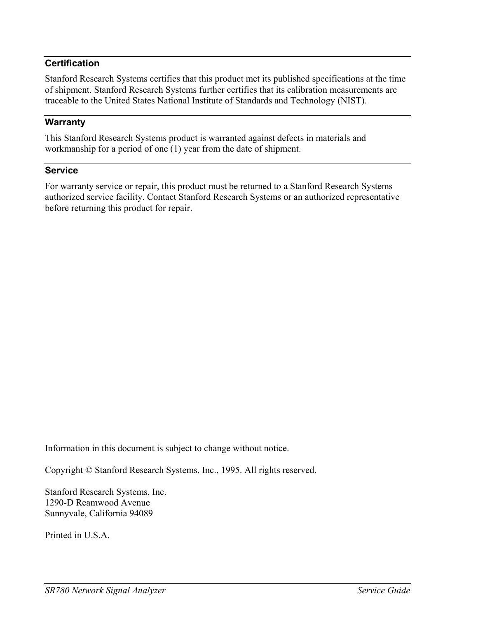# **Certification**

Stanford Research Systems certifies that this product met its published specifications at the time of shipment. Stanford Research Systems further certifies that its calibration measurements are traceable to the United States National Institute of Standards and Technology (NIST).

### **Warranty**

This Stanford Research Systems product is warranted against defects in materials and workmanship for a period of one (1) year from the date of shipment.

#### **Service**

For warranty service or repair, this product must be returned to a Stanford Research Systems authorized service facility. Contact Stanford Research Systems or an authorized representative before returning this product for repair.

Information in this document is subject to change without notice.

Copyright © Stanford Research Systems, Inc., 1995. All rights reserved.

Stanford Research Systems, Inc. 1290-D Reamwood Avenue Sunnyvale, California 94089

Printed in U.S.A.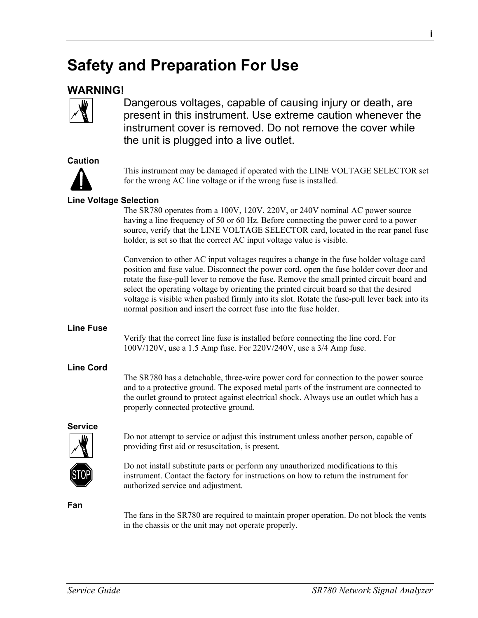# **Safety and Preparation For Use**

# **WARNING!**



Dangerous voltages, capable of causing injury or death, are present in this instrument. Use extreme caution whenever the instrument cover is removed. Do not remove the cover while the unit is plugged into a live outlet.

#### **Caution**



This instrument may be damaged if operated with the LINE VOLTAGE SELECTOR set for the wrong AC line voltage or if the wrong fuse is installed.

### **Line Voltage Selection**

The SR780 operates from a 100V, 120V, 220V, or 240V nominal AC power source having a line frequency of 50 or 60 Hz. Before connecting the power cord to a power source, verify that the LINE VOLTAGE SELECTOR card, located in the rear panel fuse holder, is set so that the correct AC input voltage value is visible.

Conversion to other AC input voltages requires a change in the fuse holder voltage card position and fuse value. Disconnect the power cord, open the fuse holder cover door and rotate the fuse-pull lever to remove the fuse. Remove the small printed circuit board and select the operating voltage by orienting the printed circuit board so that the desired voltage is visible when pushed firmly into its slot. Rotate the fuse-pull lever back into its normal position and insert the correct fuse into the fuse holder.

#### **Line Fuse**

Verify that the correct line fuse is installed before connecting the line cord. For 100V/120V, use a 1.5 Amp fuse. For 220V/240V, use a 3/4 Amp fuse.

### **Line Cord**

The SR780 has a detachable, three-wire power cord for connection to the power source and to a protective ground. The exposed metal parts of the instrument are connected to the outlet ground to protect against electrical shock. Always use an outlet which has a properly connected protective ground.

### **Service**



Do not attempt to service or adjust this instrument unless another person, capable of providing first aid or resuscitation, is present.



Do not install substitute parts or perform any unauthorized modifications to this instrument. Contact the factory for instructions on how to return the instrument for authorized service and adjustment.

**Fan** 

The fans in the SR780 are required to maintain proper operation. Do not block the vents in the chassis or the unit may not operate properly.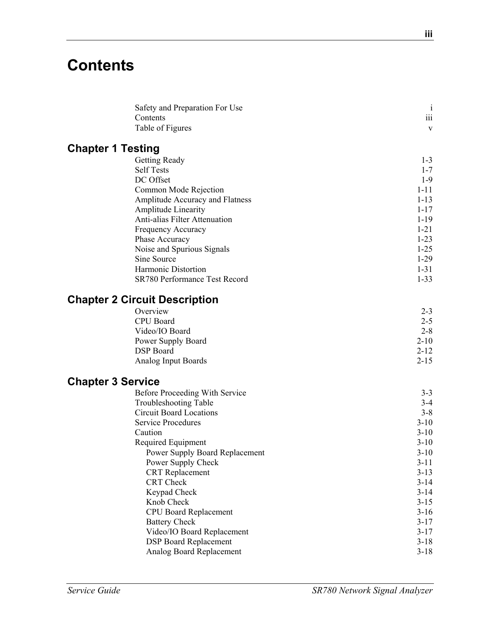# **Contents**

| Safety and Preparation For Use       | $\mathbf{i}$ |
|--------------------------------------|--------------|
| Contents                             | iii          |
| Table of Figures                     | $\mathbf{V}$ |
| <b>Chapter 1 Testing</b>             |              |
| Getting Ready                        | $1 - 3$      |
| <b>Self Tests</b>                    | $1 - 7$      |
| DC Offset                            | $1-9$        |
| Common Mode Rejection                | $1 - 11$     |
| Amplitude Accuracy and Flatness      | $1 - 13$     |
| <b>Amplitude Linearity</b>           | $1 - 17$     |
| Anti-alias Filter Attenuation        | $1 - 19$     |
| Frequency Accuracy                   | $1 - 21$     |
| Phase Accuracy                       | $1 - 23$     |
| Noise and Spurious Signals           | $1 - 25$     |
| Sine Source                          | $1-29$       |
| Harmonic Distortion                  | $1 - 31$     |
| SR780 Performance Test Record        | $1 - 33$     |
| <b>Chapter 2 Circuit Description</b> |              |
| Overview                             | $2 - 3$      |
| <b>CPU</b> Board                     | $2 - 5$      |
| Video/IO Board                       | $2 - 8$      |
| Power Supply Board                   | $2 - 10$     |
| <b>DSP</b> Board                     | $2 - 12$     |
| Analog Input Boards                  | $2 - 15$     |
| <b>Chapter 3 Service</b>             |              |
| Before Proceeding With Service       | $3 - 3$      |
| <b>Troubleshooting Table</b>         | $3 - 4$      |
| <b>Circuit Board Locations</b>       | $3 - 8$      |
| <b>Service Procedures</b>            | $3 - 10$     |
| Caution                              | $3 - 10$     |
| Required Equipment                   | $3-10$       |
| Power Supply Board Replacement       | $3 - 10$     |
| Power Supply Check                   | $3 - 11$     |
| <b>CRT</b> Replacement               | $3 - 13$     |
| CRT Check                            | $3 - 14$     |
| Keypad Check                         | $3 - 14$     |
| Knob Check                           | $3 - 15$     |
| <b>CPU Board Replacement</b>         | $3-16$       |
| <b>Battery Check</b>                 | $3 - 17$     |
| Video/IO Board Replacement           | $3 - 17$     |
| <b>DSP Board Replacement</b>         | $3 - 18$     |
| Analog Board Replacement             | $3 - 18$     |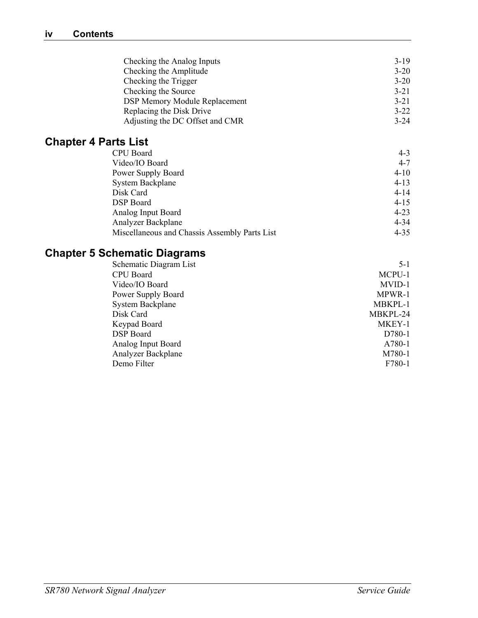| Checking the Analog Inputs           | $3-19$   |
|--------------------------------------|----------|
| Checking the Amplitude               | $3 - 20$ |
| Checking the Trigger                 | $3 - 20$ |
| Checking the Source                  | $3 - 21$ |
| <b>DSP Memory Module Replacement</b> | $3 - 21$ |
| Replacing the Disk Drive             | $3 - 22$ |
| Adjusting the DC Offset and CMR      | $3 - 24$ |

# **Chapter 4 Parts List**

| CPU Board                                     | $4 - 3$  |
|-----------------------------------------------|----------|
| Video/IO Board                                | $4 - 7$  |
| Power Supply Board                            | $4 - 10$ |
| <b>System Backplane</b>                       | $4 - 13$ |
| Disk Card                                     | $4 - 14$ |
| <b>DSP</b> Board                              | $4 - 15$ |
| Analog Input Board                            | $4 - 23$ |
| Analyzer Backplane                            | $4 - 34$ |
| Miscellaneous and Chassis Assembly Parts List | $4 - 35$ |

# **Chapter 5 Schematic Diagrams**

| MCPU-1   |
|----------|
| MVID-1   |
| MPWR-1   |
| MBKPL-1  |
| MBKPL-24 |
| MKEY-1   |
| D780-1   |
| A780-1   |
| M780-1   |
| F780-1   |
|          |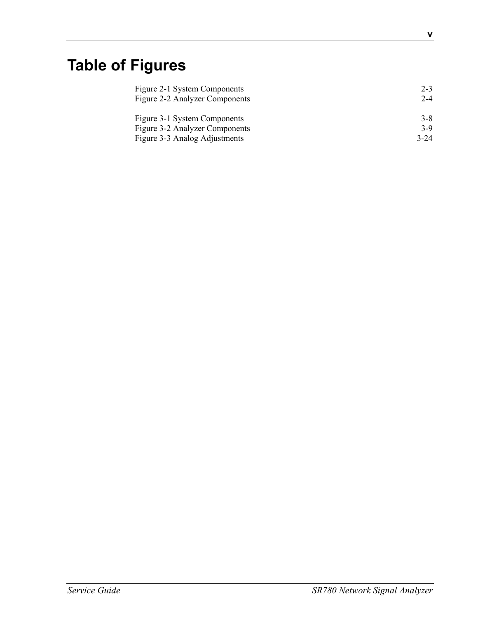# **Table of Figures**

| Figure 2-1 System Components   | $2 - 3$  |
|--------------------------------|----------|
| Figure 2-2 Analyzer Components | $2 - 4$  |
|                                |          |
| Figure 3-1 System Components   | $3 - 8$  |
| Figure 3-2 Analyzer Components | $3-9$    |
| Figure 3-3 Analog Adjustments  | $3 - 24$ |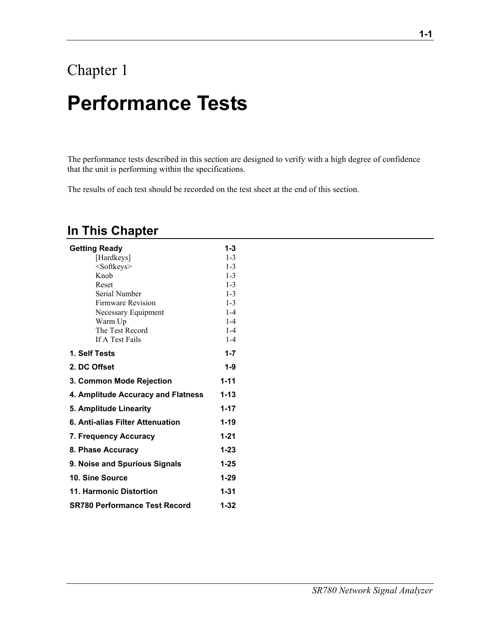# Chapter 1 **Performance Tests**

The performance tests described in this section are designed to verify with a high degree of confidence that the unit is performing within the specifications.

The results of each test should be recorded on the test sheet at the end of this section.

# **In This Chapter**

| <b>Getting Ready</b>                 | 1-3      |
|--------------------------------------|----------|
| [Hardkeys]                           | $1 - 3$  |
| <softkeys></softkeys>                | $1 - 3$  |
| Knob                                 | $1 - 3$  |
| Reset                                | $1 - 3$  |
| Serial Number                        | $1 - 3$  |
| <b>Firmware Revision</b>             | $1 - 3$  |
| Necessary Equipment                  | $1-4$    |
| Warm Up                              | $1 - 4$  |
| The Test Record                      | $1-4$    |
| If A Test Fails                      | $1 - 4$  |
| 1. Self Tests                        | $1 - 7$  |
| 2. DC Offset                         | $1 - 9$  |
| <b>3. Common Mode Rejection</b>      | $1 - 11$ |
| 4. Amplitude Accuracy and Flatness   | $1 - 13$ |
| 5. Amplitude Linearity               | $1 - 17$ |
| 6. Anti-alias Filter Attenuation     | $1 - 19$ |
| 7. Frequency Accuracy                | $1 - 21$ |
| 8. Phase Accuracy                    | $1 - 23$ |
| 9. Noise and Spurious Signals        | $1 - 25$ |
| 10. Sine Source                      | $1 - 29$ |
| 11. Harmonic Distortion              | $1 - 31$ |
| <b>SR780 Performance Test Record</b> | $1 - 32$ |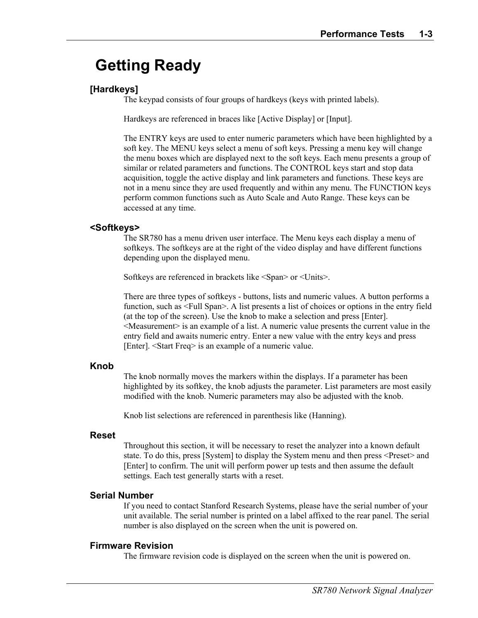# **Getting Ready**

# **[Hardkeys]**

The keypad consists of four groups of hardkeys (keys with printed labels).

Hardkeys are referenced in braces like [Active Display] or [Input].

The ENTRY keys are used to enter numeric parameters which have been highlighted by a soft key. The MENU keys select a menu of soft keys. Pressing a menu key will change the menu boxes which are displayed next to the soft keys. Each menu presents a group of similar or related parameters and functions. The CONTROL keys start and stop data acquisition, toggle the active display and link parameters and functions. These keys are not in a menu since they are used frequently and within any menu. The FUNCTION keys perform common functions such as Auto Scale and Auto Range. These keys can be accessed at any time.

#### **<Softkeys>**

The SR780 has a menu driven user interface. The Menu keys each display a menu of softkeys. The softkeys are at the right of the video display and have different functions depending upon the displayed menu.

Softkeys are referenced in brackets like <Span> or <Units>.

There are three types of softkeys - buttons, lists and numeric values. A button performs a function, such as <Full Span>. A list presents a list of choices or options in the entry field (at the top of the screen). Use the knob to make a selection and press [Enter]. <Measurement> is an example of a list. A numeric value presents the current value in the entry field and awaits numeric entry. Enter a new value with the entry keys and press [Enter]. <Start Freq> is an example of a numeric value.

### **Knob**

The knob normally moves the markers within the displays. If a parameter has been highlighted by its softkey, the knob adjusts the parameter. List parameters are most easily modified with the knob. Numeric parameters may also be adjusted with the knob.

Knob list selections are referenced in parenthesis like (Hanning).

#### **Reset**

Throughout this section, it will be necessary to reset the analyzer into a known default state. To do this, press [System] to display the System menu and then press <Preset> and [Enter] to confirm. The unit will perform power up tests and then assume the default settings. Each test generally starts with a reset.

### **Serial Number**

If you need to contact Stanford Research Systems, please have the serial number of your unit available. The serial number is printed on a label affixed to the rear panel. The serial number is also displayed on the screen when the unit is powered on.

#### **Firmware Revision**

The firmware revision code is displayed on the screen when the unit is powered on.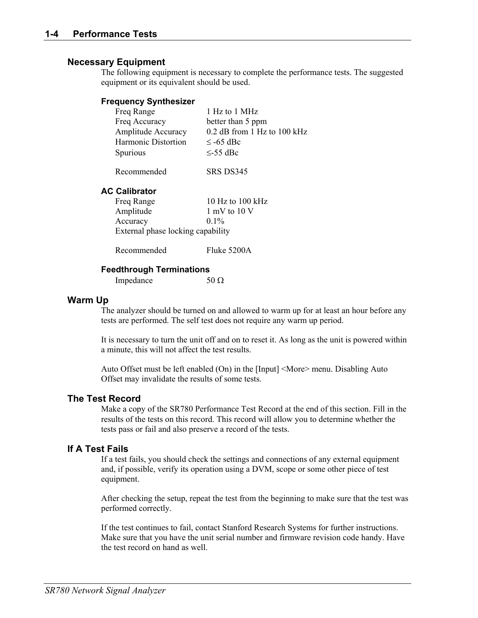#### **Necessary Equipment**

The following equipment is necessary to complete the performance tests. The suggested equipment or its equivalent should be used.

#### **Frequency Synthesizer**

| Freq Range          | 1 Hz to 1 MHz               |
|---------------------|-----------------------------|
| Freq Accuracy       | better than 5 ppm           |
| Amplitude Accuracy  | 0.2 dB from 1 Hz to 100 kHz |
| Harmonic Distortion | $\le$ -65 dBc               |
| Spurious            | $\leq$ -55 dBc              |
| Recommended         | SRS DS345                   |

#### **AC Calibrator**

| Freq Range                        | 10 Hz to 100 kHz |
|-----------------------------------|------------------|
| Amplitude                         | 1 mV to $10V$    |
| Accuracy                          | $0.1\%$          |
| External phase locking capability |                  |

Recommended Fluke 5200A

#### **Feedthrough Terminations**

Impedance  $50 \Omega$ 

#### **Warm Up**

The analyzer should be turned on and allowed to warm up for at least an hour before any tests are performed. The self test does not require any warm up period.

It is necessary to turn the unit off and on to reset it. As long as the unit is powered within a minute, this will not affect the test results.

Auto Offset must be left enabled (On) in the [Input] <More> menu. Disabling Auto Offset may invalidate the results of some tests.

#### **The Test Record**

Make a copy of the SR780 Performance Test Record at the end of this section. Fill in the results of the tests on this record. This record will allow you to determine whether the tests pass or fail and also preserve a record of the tests.

#### **If A Test Fails**

If a test fails, you should check the settings and connections of any external equipment and, if possible, verify its operation using a DVM, scope or some other piece of test equipment.

After checking the setup, repeat the test from the beginning to make sure that the test was performed correctly.

If the test continues to fail, contact Stanford Research Systems for further instructions. Make sure that you have the unit serial number and firmware revision code handy. Have the test record on hand as well.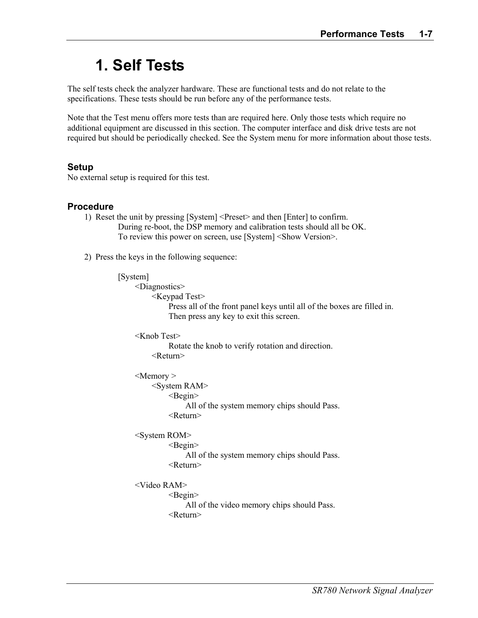# **1. Self Tests**

The self tests check the analyzer hardware. These are functional tests and do not relate to the specifications. These tests should be run before any of the performance tests.

Note that the Test menu offers more tests than are required here. Only those tests which require no additional equipment are discussed in this section. The computer interface and disk drive tests are not required but should be periodically checked. See the System menu for more information about those tests.

### **Setup**

No external setup is required for this test.

#### **Procedure**

- 1) Reset the unit by pressing [System] <Preset> and then [Enter] to confirm. During re-boot, the DSP memory and calibration tests should all be OK. To review this power on screen, use [System] <Show Version>.
- 2) Press the keys in the following sequence:

#### [System]

 <Diagnostics> <Keypad Test>

> Press all of the front panel keys until all of the boxes are filled in. Then press any key to exit this screen.

 <Knob Test> Rotate the knob to verify rotation and direction. <Return>

<Memory >

 <System RAM> <Begin>

All of the system memory chips should Pass.

<Return>

<System ROM>

 $\leq$ Begin $\geq$ 

 All of the system memory chips should Pass. <Return>

<Video RAM>

 $\leq$ Begin $\geq$ 

All of the video memory chips should Pass.

<Return>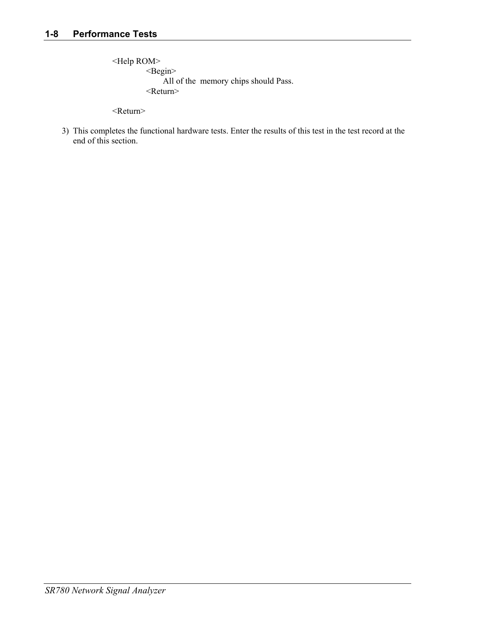<Help ROM> <Begin> All of the memory chips should Pass. <Return>

<Return>

3) This completes the functional hardware tests. Enter the results of this test in the test record at the end of this section.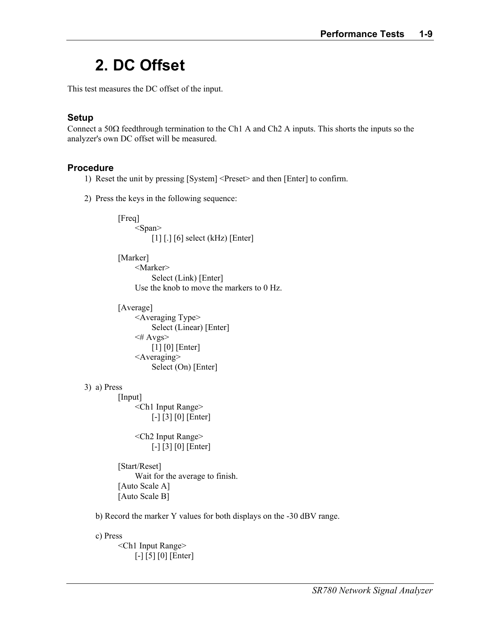# **2. DC Offset**

This test measures the DC offset of the input.

# **Setup**

Connect a 50Ω feedthrough termination to the Ch1 A and Ch2 A inputs. This shorts the inputs so the analyzer's own DC offset will be measured.

## **Procedure**

- 1) Reset the unit by pressing [System] <Preset> and then [Enter] to confirm.
- 2) Press the keys in the following sequence:

```
 [Freq] 
     <Span>[1] [.] [6] select (kHz) [Enter] [Marker] 
      <Marker> 
           Select (Link) [Enter] 
      Use the knob to move the markers to 0 Hz. 
[Average]
      <Averaging Type> 
           Select (Linear) [Enter] 
     \leq# Avgs>
           [1] [0] [Enter] 
      <Averaging> 
          Select (On) [Enter]
```
### 3) a) Press

 [Input] <Ch1 Input Range> [-] [3] [0] [Enter]

> <Ch2 Input Range> [-] [3] [0] [Enter]

 [Start/Reset] Wait for the average to finish. [Auto Scale A] [Auto Scale B]

b) Record the marker Y values for both displays on the -30 dBV range.

 c) Press <Ch1 Input Range> [-] [5] [0] [Enter]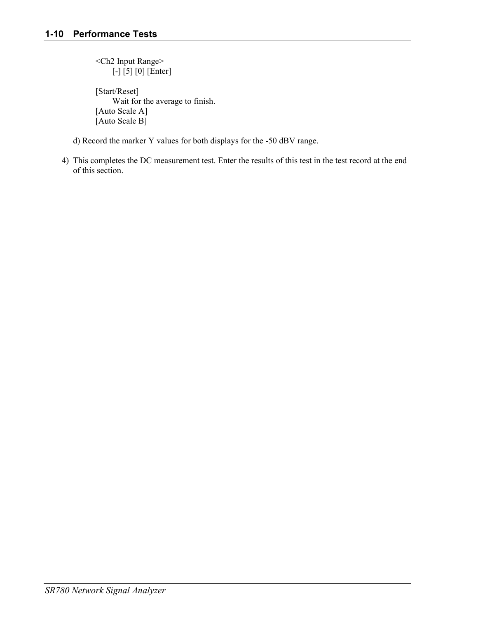<Ch2 Input Range> [-] [5] [0] [Enter]

 [Start/Reset] Wait for the average to finish. [Auto Scale A] [Auto Scale B]

- d) Record the marker Y values for both displays for the -50 dBV range.
- 4) This completes the DC measurement test. Enter the results of this test in the test record at the end of this section.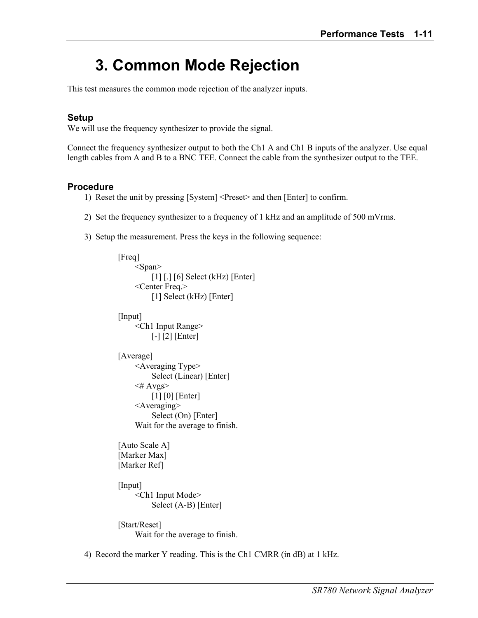# **3. Common Mode Rejection**

This test measures the common mode rejection of the analyzer inputs.

## **Setup**

We will use the frequency synthesizer to provide the signal.

Connect the frequency synthesizer output to both the Ch1 A and Ch1 B inputs of the analyzer. Use equal length cables from A and B to a BNC TEE. Connect the cable from the synthesizer output to the TEE.

### **Procedure**

- 1) Reset the unit by pressing [System] <Preset> and then [Enter] to confirm.
- 2) Set the frequency synthesizer to a frequency of 1 kHz and an amplitude of 500 mVrms.
- 3) Setup the measurement. Press the keys in the following sequence:

```
 [Freq] 
      <Span> 
          [1] [.] [6] Select (kHz) [Enter]
      <Center Freq.> 
          [1] Select (kHz) [Enter]
 [Input] 
      <Ch1 Input Range> 
           [-] [2] [Enter] 
[Average]
      <Averaging Type> 
           Select (Linear) [Enter] 
     \leq# Avgs>
          [1] [0] [Enter]
      <Averaging> 
          Select (On) [Enter]
      Wait for the average to finish. 
 [Auto Scale A] 
 [Marker Max] 
 [Marker Ref] 
 [Input] 
      <Ch1 Input Mode> 
           Select (A-B) [Enter] 
 [Start/Reset]
```
Wait for the average to finish.

4) Record the marker Y reading. This is the Ch1 CMRR (in dB) at 1 kHz.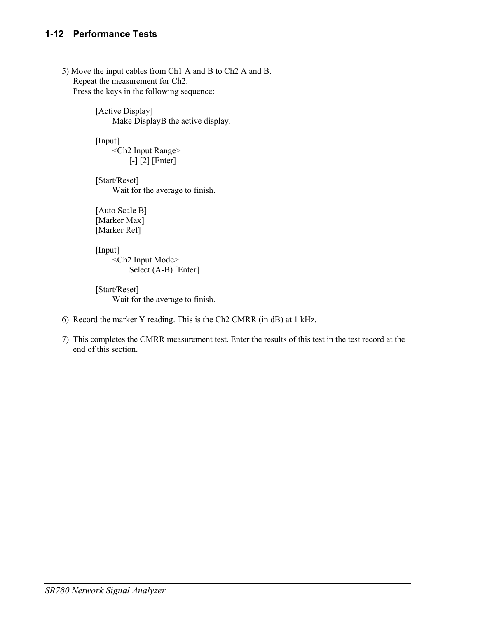5) Move the input cables from Ch1 A and B to Ch2 A and B. Repeat the measurement for Ch2. Press the keys in the following sequence:

> [Active Display] Make DisplayB the active display.

[Input] <Ch2 Input Range> [-] [2] [Enter]

 [Start/Reset] Wait for the average to finish.

 [Auto Scale B] [Marker Max] [Marker Ref]

[Input] <Ch2 Input Mode> Select (A-B) [Enter]

 [Start/Reset] Wait for the average to finish.

- 6) Record the marker Y reading. This is the Ch2 CMRR (in dB) at 1 kHz.
- 7) This completes the CMRR measurement test. Enter the results of this test in the test record at the end of this section.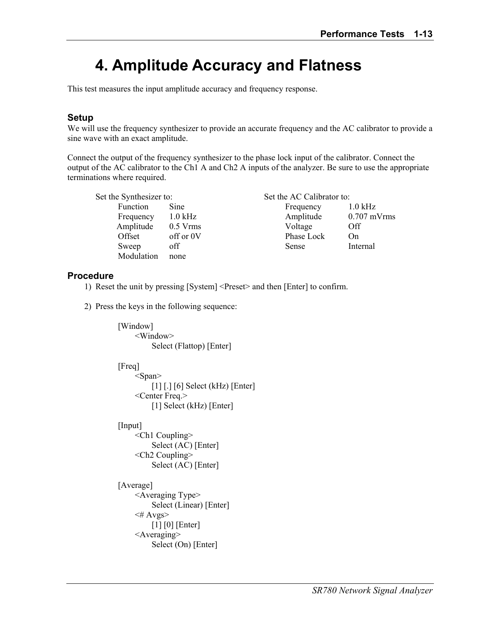# **4. Amplitude Accuracy and Flatness**

This test measures the input amplitude accuracy and frequency response.

## **Setup**

We will use the frequency synthesizer to provide an accurate frequency and the AC calibrator to provide a sine wave with an exact amplitude.

Connect the output of the frequency synthesizer to the phase lock input of the calibrator. Connect the output of the AC calibrator to the Ch1 A and Ch2 A inputs of the analyzer. Be sure to use the appropriate terminations where required.

| Set the Synthesizer to: |            | Set the AC Calibrator to: |               |  |
|-------------------------|------------|---------------------------|---------------|--|
| Function                | Sine       | Frequency                 | $1.0$ kHz     |  |
| Frequency               | $1.0$ kHz  | Amplitude                 | $0.707$ mVrms |  |
| Amplitude               | $0.5$ Vrms | Voltage                   | Off           |  |
| Offset                  | off or 0V  | Phase Lock                | On            |  |
| Sweep                   | off        | Sense                     | Internal      |  |
| Modulation              | none       |                           |               |  |

# **Procedure**

- 1) Reset the unit by pressing [System] <Preset> and then [Enter] to confirm.
- 2) Press the keys in the following sequence:

```
[Window]
      <Window> 
           Select (Flattop) [Enter] 
 [Freq] 
      <Span> 
           [1] [.] [6] Select (kHz) [Enter] 
      <Center Freq.> 
           [1] Select (kHz) [Enter] 
 [Input] 
      <Ch1 Coupling> 
           Select (AC) [Enter] 
      <Ch2 Coupling> 
           Select (AC) [Enter] 
 [Average] 
      <Averaging Type> 
           Select (Linear) [Enter] 
     \leq# Avgs>
          [1] [0] [Enter]
      <Averaging> 
          Select (On) [Enter]
```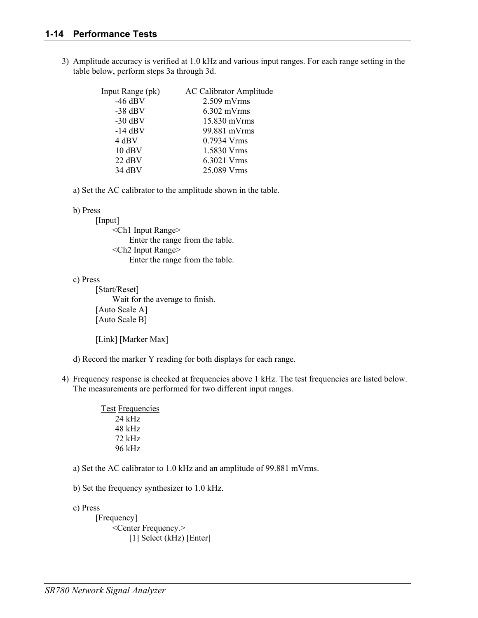3) Amplitude accuracy is verified at 1.0 kHz and various input ranges. For each range setting in the table below, perform steps 3a through 3d.

| <b>Input Range (pk)</b> | <b>AC Calibrator Amplitude</b> |
|-------------------------|--------------------------------|
| $-46$ dBV               | $2.509$ mVrms                  |
| $-38$ dBV               | $6.302$ mVrms                  |
| $-30$ dBV               | $15.830$ mVrms                 |
| $-14$ dBV               | 99.881 mVrms                   |
| 4 dBV                   | 0.7934 Vrms                    |
| $10$ dBV                | 1.5830 Vrms                    |
| $22$ dBV                | 6.3021 Vrms                    |
| $34$ dBV                | 25.089 Vrms                    |

a) Set the AC calibrator to the amplitude shown in the table.

#### b) Press

[Input] <Ch1 Input Range> Enter the range from the table. <Ch2 Input Range> Enter the range from the table.

#### c) Press

 [Start/Reset] Wait for the average to finish. [Auto Scale A] [Auto Scale B]

[Link] [Marker Max]

d) Record the marker Y reading for both displays for each range.

4) Frequency response is checked at frequencies above 1 kHz. The test frequencies are listed below. The measurements are performed for two different input ranges.

| <b>Test Frequencies</b> |
|-------------------------|
| $24$ kHz                |
| $48$ kHz                |
| 72 kHz                  |
| 96 kHz                  |

- a) Set the AC calibrator to 1.0 kHz and an amplitude of 99.881 mVrms.
- b) Set the frequency synthesizer to 1.0 kHz.

c) Press

[Frequency] <Center Frequency.> [1] Select (kHz) [Enter]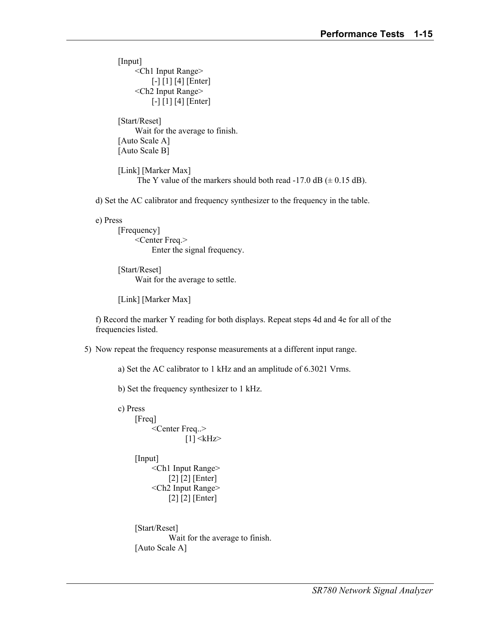[Input] <Ch1 Input Range> [-] [1] [4] [Enter] <Ch2 Input Range> [-] [1] [4] [Enter]

 [Start/Reset] Wait for the average to finish. [Auto Scale A] [Auto Scale B]

 [Link] [Marker Max] The Y value of the markers should both read -17.0 dB  $(\pm 0.15 \text{ dB})$ .

d) Set the AC calibrator and frequency synthesizer to the frequency in the table.

e) Press

 [Frequency] <Center Freq.> Enter the signal frequency.

 [Start/Reset] Wait for the average to settle.

[Link] [Marker Max]

 f) Record the marker Y reading for both displays. Repeat steps 4d and 4e for all of the frequencies listed.

5) Now repeat the frequency response measurements at a different input range.

a) Set the AC calibrator to 1 kHz and an amplitude of 6.3021 Vrms.

b) Set the frequency synthesizer to 1 kHz.

```
 c) Press 
      [Freq] 
            <Center Freq..> 
                     [1] \langlekHz>[Input]
            <Ch1 Input Range> 
                 [2] [2] [Enter] 
            <Ch2 Input Range> 
                 [2] [2] [Enter] 
      [Start/Reset] 
                 Wait for the average to finish. 
      [Auto Scale A]
```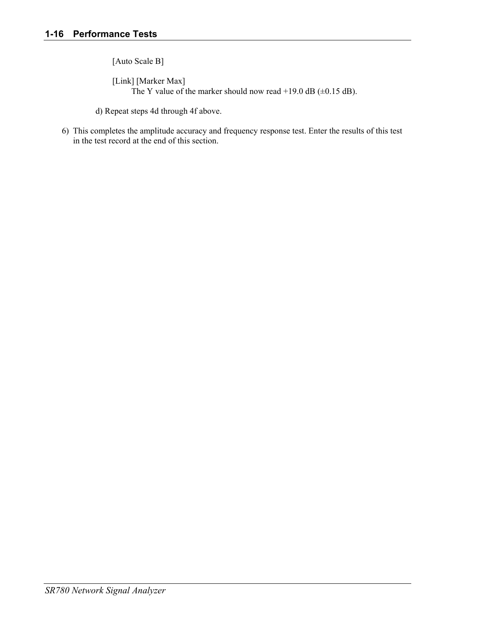[Auto Scale B]

 [Link] [Marker Max] The Y value of the marker should now read +19.0 dB ( $\pm$ 0.15 dB).

- d) Repeat steps 4d through 4f above.
- 6) This completes the amplitude accuracy and frequency response test. Enter the results of this test in the test record at the end of this section.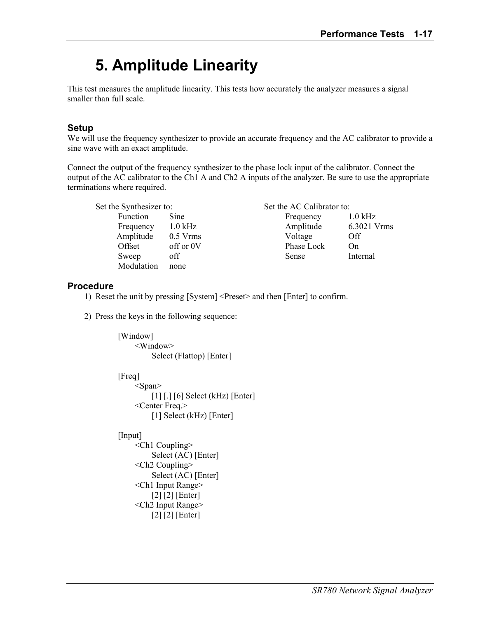# **5. Amplitude Linearity**

This test measures the amplitude linearity. This tests how accurately the analyzer measures a signal smaller than full scale.

# **Setup**

We will use the frequency synthesizer to provide an accurate frequency and the AC calibrator to provide a sine wave with an exact amplitude.

Connect the output of the frequency synthesizer to the phase lock input of the calibrator. Connect the output of the AC calibrator to the Ch1 A and Ch2 A inputs of the analyzer. Be sure to use the appropriate terminations where required.

| Set the Synthesizer to: |            | Set the AC Calibrator to: |             |
|-------------------------|------------|---------------------------|-------------|
| Function                | Sine       | Frequency                 | $1.0$ kHz   |
| Frequency               | $1.0$ kHz  | Amplitude                 | 6.3021 Vrms |
| Amplitude               | $0.5$ Vrms | Voltage                   | Off         |
| Offset                  | off or 0V  | Phase Lock                | On          |
| Sweep                   | off        | Sense                     | Internal    |
| Modulation              | none       |                           |             |

# **Procedure**

- 1) Reset the unit by pressing [System] <Preset> and then [Enter] to confirm.
- 2) Press the keys in the following sequence:

[Window] <Window> Select (Flattop) [Enter]

[Freq]

 <Span> [1] [.] [6] Select (kHz) [Enter] <Center Freq.> [1] Select (kHz) [Enter]

[Input]

 <Ch1 Coupling> Select (AC) [Enter] <Ch2 Coupling> Select (AC) [Enter] <Ch1 Input Range> [2] [2] [Enter] <Ch2 Input Range> [2] [2] [Enter]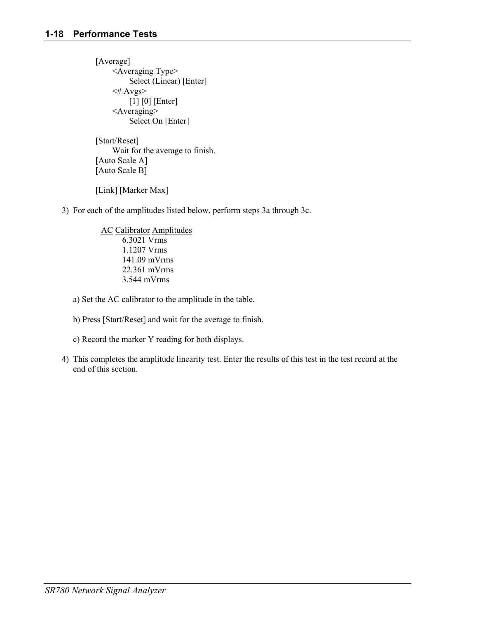[Average] <Averaging Type> Select (Linear) [Enter]  $\leq$ # Avgs> [1] [0] [Enter] <Averaging> Select On [Enter]

 [Start/Reset] Wait for the average to finish. [Auto Scale A] [Auto Scale B]

[Link] [Marker Max]

3) For each of the amplitudes listed below, perform steps 3a through 3c.

 AC Calibrator Amplitudes 6.3021 Vrms 1.1207 Vrms 141.09 mVrms 22.361 mVrms 3.544 mVrms

a) Set the AC calibrator to the amplitude in the table.

b) Press [Start/Reset] and wait for the average to finish.

c) Record the marker Y reading for both displays.

4) This completes the amplitude linearity test. Enter the results of this test in the test record at the end of this section.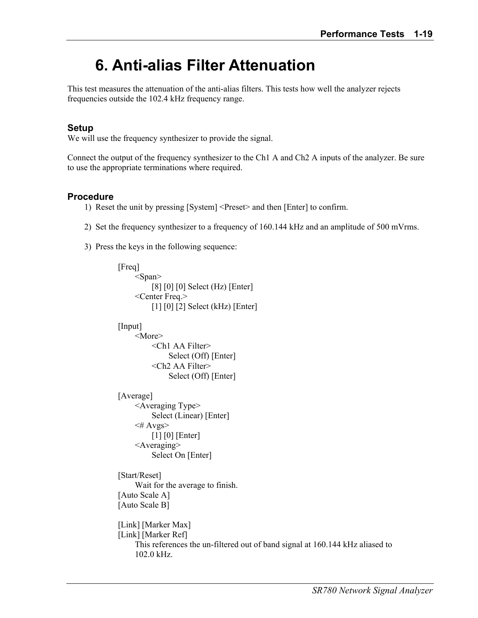# **6. Anti-alias Filter Attenuation**

This test measures the attenuation of the anti-alias filters. This tests how well the analyzer rejects frequencies outside the 102.4 kHz frequency range.

# **Setup**

We will use the frequency synthesizer to provide the signal.

Connect the output of the frequency synthesizer to the Ch1 A and Ch2 A inputs of the analyzer. Be sure to use the appropriate terminations where required.

### **Procedure**

- 1) Reset the unit by pressing [System] <Preset> and then [Enter] to confirm.
- 2) Set the frequency synthesizer to a frequency of 160.144 kHz and an amplitude of 500 mVrms.
- 3) Press the keys in the following sequence:

```
[Freq]
      <Span> 
           [8] [0] [0] Select (Hz) [Enter] 
      <Center Freq.> 
           [1] [0] [2] Select (kHz) [Enter] 
[Input]
      <More> 
           <Ch1 AA Filter> 
                Select (Off) [Enter] 
           <Ch2 AA Filter> 
                Select (Off) [Enter] 
[Average]
      <Averaging Type> 
           Select (Linear) [Enter] 
     \leq# Avgs>
          [1] [0] [Enter]
      <Averaging> 
           Select On [Enter] 
 [Start/Reset] 
      Wait for the average to finish. 
 [Auto Scale A] 
 [Auto Scale B] 
 [Link] [Marker Max] 
 [Link] [Marker Ref] 
      This references the un-filtered out of band signal at 160.144 kHz aliased to 
      102.0 kHz.
```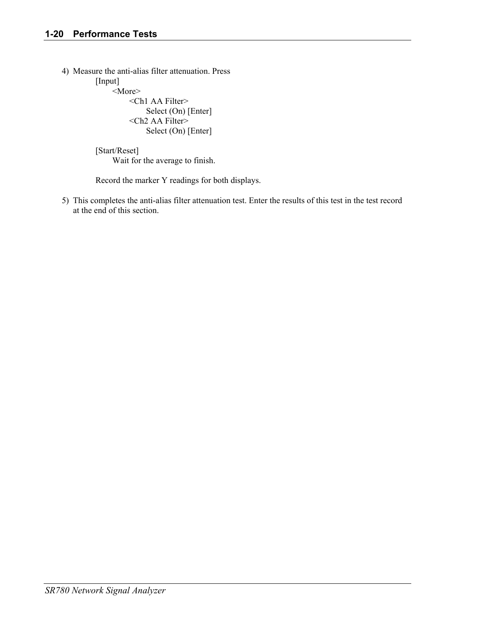4) Measure the anti-alias filter attenuation. Press [Input] <More> <Ch1 AA Filter> Select (On) [Enter]

> <Ch2 AA Filter> Select (On) [Enter]

 [Start/Reset] Wait for the average to finish.

Record the marker Y readings for both displays.

5) This completes the anti-alias filter attenuation test. Enter the results of this test in the test record at the end of this section.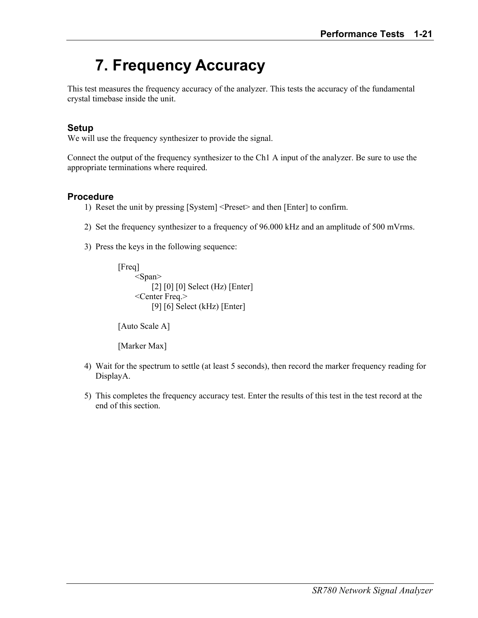# **7. Frequency Accuracy**

This test measures the frequency accuracy of the analyzer. This tests the accuracy of the fundamental crystal timebase inside the unit.

# **Setup**

We will use the frequency synthesizer to provide the signal.

Connect the output of the frequency synthesizer to the Ch1 A input of the analyzer. Be sure to use the appropriate terminations where required.

### **Procedure**

- 1) Reset the unit by pressing [System] <Preset> and then [Enter] to confirm.
- 2) Set the frequency synthesizer to a frequency of 96.000 kHz and an amplitude of 500 mVrms.
- 3) Press the keys in the following sequence:

```
[Freq]
      <Span> 
          [2] [0] [0] Select (Hz) [Enter]
      <Center Freq.> 
           [9] [6] Select (kHz) [Enter]
```
[Auto Scale A]

[Marker Max]

- 4) Wait for the spectrum to settle (at least 5 seconds), then record the marker frequency reading for DisplayA.
- 5) This completes the frequency accuracy test. Enter the results of this test in the test record at the end of this section.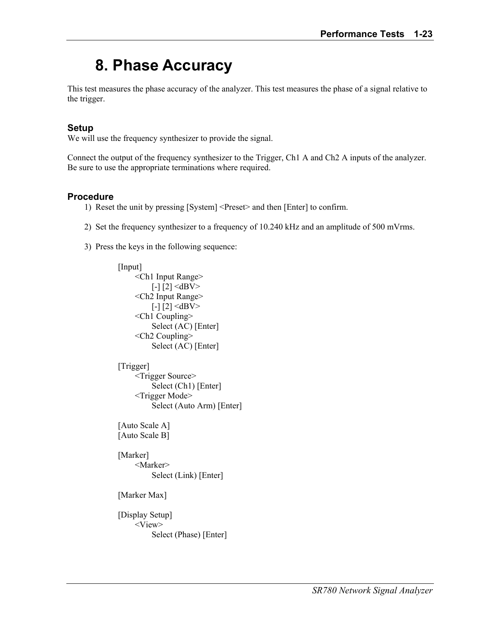# **8. Phase Accuracy**

This test measures the phase accuracy of the analyzer. This test measures the phase of a signal relative to the trigger.

# **Setup**

We will use the frequency synthesizer to provide the signal.

Connect the output of the frequency synthesizer to the Trigger, Ch1 A and Ch2 A inputs of the analyzer. Be sure to use the appropriate terminations where required.

#### **Procedure**

- 1) Reset the unit by pressing [System] <Preset> and then [Enter] to confirm.
- 2) Set the frequency synthesizer to a frequency of 10.240 kHz and an amplitude of 500 mVrms.
- 3) Press the keys in the following sequence:

```
[Input]
      <Ch1 Input Range> 
          [-1] [2] \leqdBV> <Ch2 Input Range> 
          [-1] [2] \leqdBV> <Ch1 Coupling> 
           Select (AC) [Enter] 
      <Ch2 Coupling> 
           Select (AC) [Enter] 
[Trigger]
      <Trigger Source> 
           Select (Ch1) [Enter] 
      <Trigger Mode> 
           Select (Auto Arm) [Enter] 
 [Auto Scale A] 
 [Auto Scale B] 
[Marker]
      <Marker> 
           Select (Link) [Enter] 
 [Marker Max] 
 [Display Setup] 
      <View> 
           Select (Phase) [Enter]
```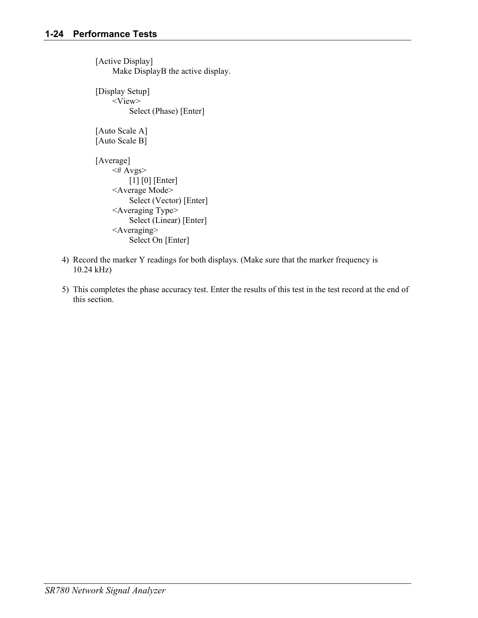[Active Display] Make DisplayB the active display. [Display Setup] <View> Select (Phase) [Enter] [Auto Scale A] [Auto Scale B] [Average]  $\leq$ # Avgs> [1] [0] [Enter] <Average Mode> Select (Vector) [Enter] <Averaging Type> Select (Linear) [Enter] <Averaging> Select On [Enter]

- 4) Record the marker Y readings for both displays. (Make sure that the marker frequency is 10.24 kHz)
- 5) This completes the phase accuracy test. Enter the results of this test in the test record at the end of this section.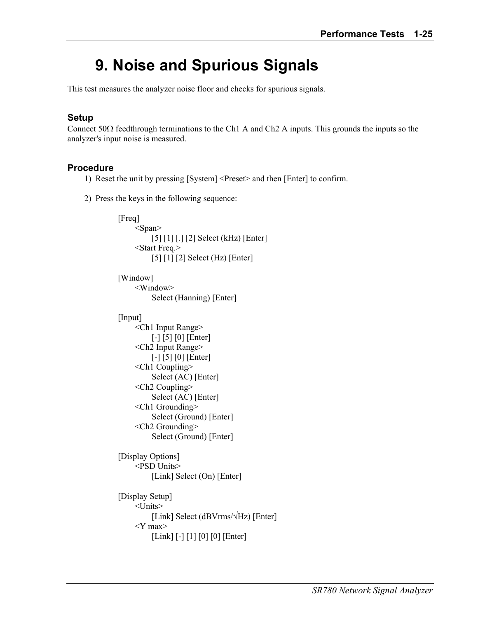# **9. Noise and Spurious Signals**

This test measures the analyzer noise floor and checks for spurious signals.

# **Setup**

Connect 50 $\Omega$  feedthrough terminations to the Ch1 A and Ch2 A inputs. This grounds the inputs so the analyzer's input noise is measured.

### **Procedure**

- 1) Reset the unit by pressing [System] <Preset> and then [Enter] to confirm.
- 2) Press the keys in the following sequence:

```
 [Freq] 
     <Span> [5] [1] [.] [2] Select (kHz) [Enter] 
      <Start Freq.> 
           [5] [1] [2] Select (Hz) [Enter] 
[Window]
      <Window> 
           Select (Hanning) [Enter] 
[Input]
      <Ch1 Input Range> 
           [-] [5] [0] [Enter] 
      <Ch2 Input Range> 
           [-] [5] [0] [Enter] 
      <Ch1 Coupling> 
           Select (AC) [Enter] 
      <Ch2 Coupling> 
           Select (AC) [Enter] 
      <Ch1 Grounding> 
           Select (Ground) [Enter] 
      <Ch2 Grounding> 
           Select (Ground) [Enter] 
 [Display Options] 
      <PSD Units> 
          [Link] Select (On) [Enter]
 [Display Setup] 
      <Units> 
           [Link] Select (dBVrms/√Hz) [Enter] 
      <Y max> 
          [Link] [-] [1] [0] [0] [Enter]
```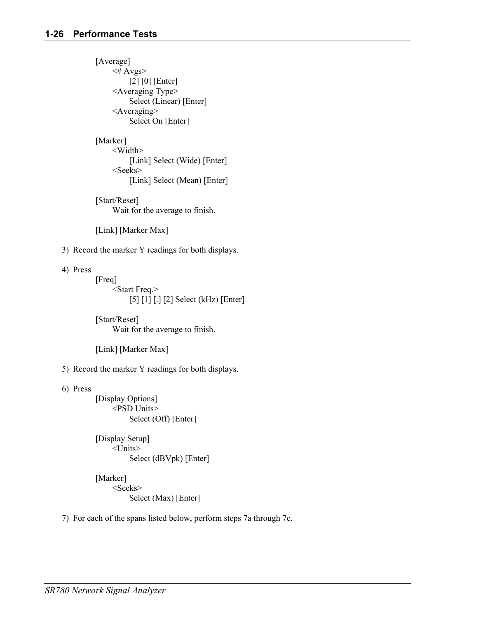[Average]  $\leq$ # Avgs> [2] [0] [Enter] <Averaging Type> Select (Linear) [Enter] <Averaging> Select On [Enter]

[Marker] <Width> [Link] Select (Wide) [Enter] <Seeks> [Link] Select (Mean) [Enter]

 [Start/Reset] Wait for the average to finish.

[Link] [Marker Max]

3) Record the marker Y readings for both displays.

4) Press

 [Freq] <Start Freq.> [5] [1] [.] [2] Select (kHz) [Enter]

 [Start/Reset] Wait for the average to finish.

[Link] [Marker Max]

5) Record the marker Y readings for both displays.

6) Press

 [Display Options] <PSD Units> Select (Off) [Enter]

 [Display Setup] <Units> Select (dBVpk) [Enter]

[Marker] <Seeks> Select (Max) [Enter]

7) For each of the spans listed below, perform steps 7a through 7c.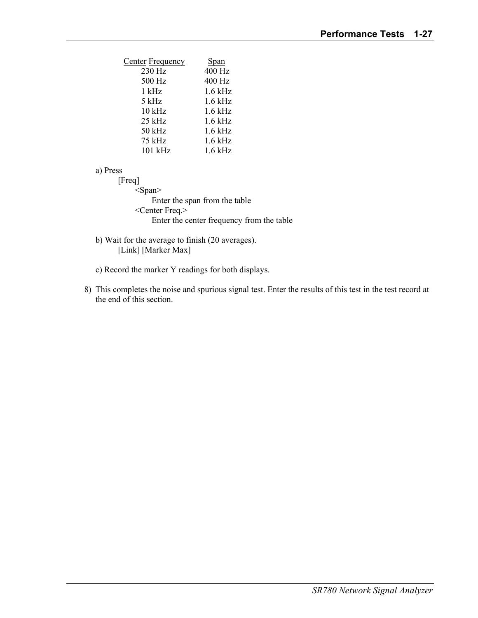| <b>Center Frequency</b> | <b>Span</b> |
|-------------------------|-------------|
| 230 Hz                  | 400 Hz      |
| 500 Hz                  | 400 Hz      |
| $1$ kHz                 | $1.6$ kHz   |
| 5 kHz                   | $1.6$ kHz   |
| $10$ kHz                | $1.6$ kHz   |
| 25 kHz                  | $1.6$ kHz   |
| 50 kHz                  | $1.6$ kHz   |
| 75 kHz                  | $1.6$ kHz   |
| 101 kHz                 | $1.6$ kHz   |

a) Press

 [Freq] <Span> Enter the span from the table <Center Freq.> Enter the center frequency from the table

- b) Wait for the average to finish (20 averages). [Link] [Marker Max]
- c) Record the marker Y readings for both displays.
- 8) This completes the noise and spurious signal test. Enter the results of this test in the test record at the end of this section.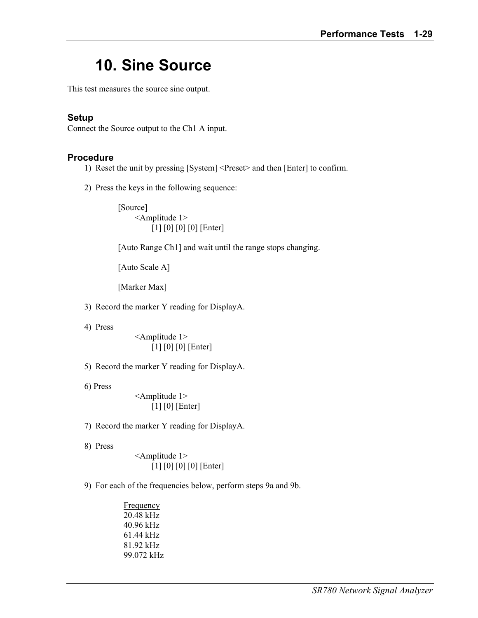## **10. Sine Source**

This test measures the source sine output.

#### **Setup**

Connect the Source output to the Ch1 A input.

#### **Procedure**

- 1) Reset the unit by pressing [System] <Preset> and then [Enter] to confirm.
- 2) Press the keys in the following sequence:

 [Source] <Amplitude 1> [1] [0] [0] [0] [Enter]

[Auto Range Ch1] and wait until the range stops changing.

[Auto Scale A]

[Marker Max]

3) Record the marker Y reading for DisplayA.

4) Press

 <Amplitude 1> [1] [0] [0] [Enter]

5) Record the marker Y reading for DisplayA.

6) Press

 <Amplitude 1> [1] [0] [Enter]

- 7) Record the marker Y reading for DisplayA.
- 8) Press

 <Amplitude 1> [1] [0] [0] [0] [Enter]

9) For each of the frequencies below, perform steps 9a and 9b.

 Frequency 20.48 kHz 40.96 kHz 61.44 kHz 81.92 kHz 99.072 kHz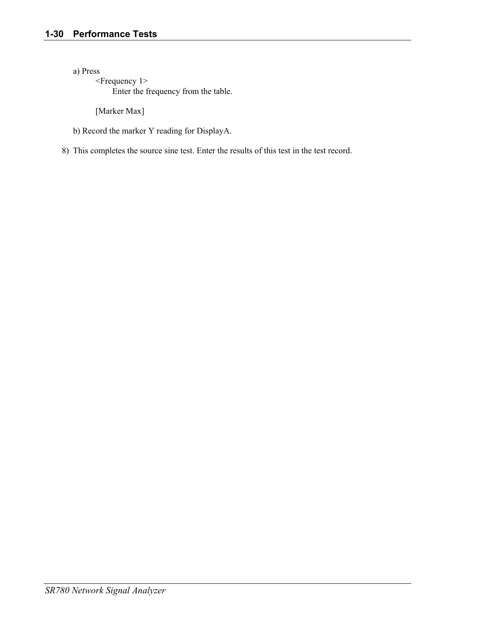a) Press

 <Frequency 1> Enter the frequency from the table.

[Marker Max]

b) Record the marker Y reading for DisplayA.

8) This completes the source sine test. Enter the results of this test in the test record.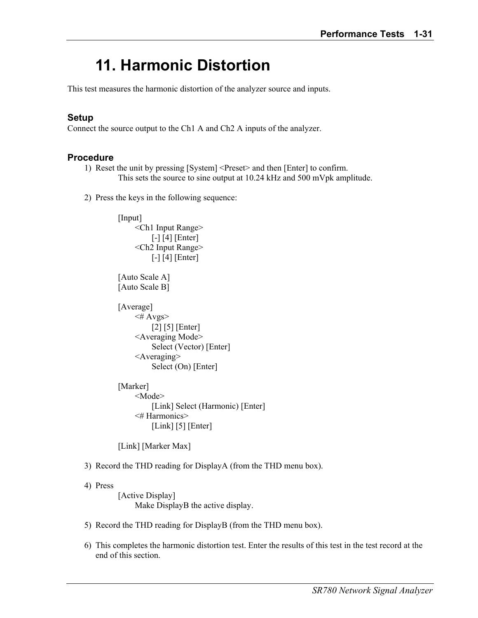## **11. Harmonic Distortion**

This test measures the harmonic distortion of the analyzer source and inputs.

#### **Setup**

Connect the source output to the Ch1 A and Ch2 A inputs of the analyzer.

#### **Procedure**

- 1) Reset the unit by pressing [System] <Preset> and then [Enter] to confirm. This sets the source to sine output at 10.24 kHz and 500 mVpk amplitude.
- 2) Press the keys in the following sequence:

```
 [Input] 
      <Ch1 Input Range> 
          [-] [4] [Enter] <Ch2 Input Range> 
          [-] [4] [Enter]
[Auto Scale A]
 [Auto Scale B] 
[Average]
     \leq# Avgs>
           [2] [5] [Enter] 
      <Averaging Mode> 
           Select (Vector) [Enter] 
      <Averaging> 
           Select (On) [Enter] 
 [Marker] 
      <Mode> 
          [Link] Select (Harmonic) [Enter]
```
 <# Harmonics>  $[Link]$  [5] [Enter]

[Link] [Marker Max]

#### 3) Record the THD reading for DisplayA (from the THD menu box).

#### 4) Press

[Active Display] Make DisplayB the active display.

- 5) Record the THD reading for DisplayB (from the THD menu box).
- 6) This completes the harmonic distortion test. Enter the results of this test in the test record at the end of this section.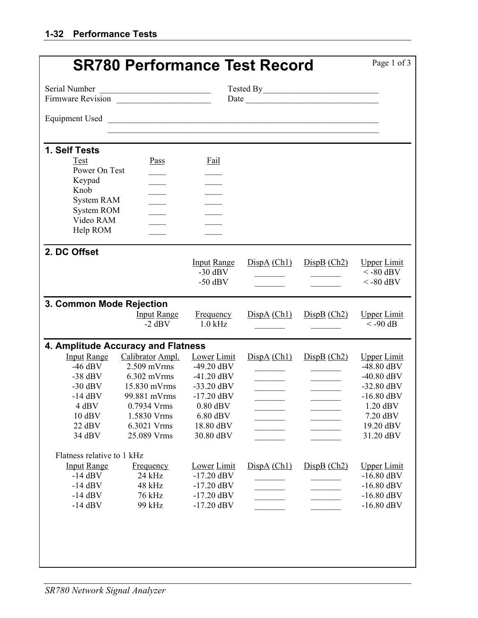|                                    | <b>SR780 Performance Test Record</b>           |                    |             |                                                             | Page 1 of 3        |
|------------------------------------|------------------------------------------------|--------------------|-------------|-------------------------------------------------------------|--------------------|
| Serial Number                      | <u> 1989 - Johann Stein, marwolaethau a bh</u> |                    |             |                                                             |                    |
| Firmware Revision                  |                                                |                    |             |                                                             |                    |
| <b>Equipment Used</b>              | <u> 1980 - Andrea Andrew Maria (h. 1980).</u>  |                    |             |                                                             |                    |
|                                    |                                                |                    |             |                                                             |                    |
| 1. Self Tests                      |                                                |                    |             |                                                             |                    |
| Test                               | Pass                                           | <b>Fail</b>        |             |                                                             |                    |
| Power On Test                      |                                                |                    |             |                                                             |                    |
| Keypad                             |                                                |                    |             |                                                             |                    |
| Knob                               |                                                | $\mathcal{L}$      |             |                                                             |                    |
| <b>System RAM</b>                  |                                                |                    |             |                                                             |                    |
| <b>System ROM</b><br>Video RAM     |                                                |                    |             |                                                             |                    |
| Help ROM                           |                                                |                    |             |                                                             |                    |
|                                    |                                                |                    |             |                                                             |                    |
| 2. DC Offset                       |                                                |                    |             |                                                             |                    |
|                                    |                                                | <b>Input Range</b> | DispA (Ch1) | DispB (Ch2)                                                 | <b>Upper Limit</b> |
|                                    |                                                | $-30$ dBV          |             | $\mathcal{L}^{\text{max}}$ , and $\mathcal{L}^{\text{max}}$ | $<$ -80 dBV        |
|                                    |                                                | $-50$ dBV          |             |                                                             | $<$ -80 dBV        |
|                                    |                                                |                    |             |                                                             |                    |
| 3. Common Mode Rejection           |                                                |                    |             |                                                             |                    |
|                                    | <b>Input Range</b>                             | Frequency          | DispA (Ch1) | DispB (Ch2)                                                 | <b>Upper Limit</b> |
|                                    | $-2$ dBV                                       | $1.0$ kHz          |             |                                                             | $< -90$ dB         |
| 4. Amplitude Accuracy and Flatness |                                                |                    |             |                                                             |                    |
| <b>Input Range</b>                 | Calibrator Ampl.                               | <b>Lower Limit</b> | DispA (Ch1) | DispB (Ch2)                                                 | <b>Upper Limit</b> |
| $-46$ dBV                          | $2.509$ mVrms                                  | $-49.20$ dBV       |             | $\mathcal{L}(\mathcal{L}(\mathcal{L}))$                     | $-48.80$ dBV       |
| $-38$ dBV                          | $6.302$ mVrms                                  | $-41.20$ dBV       |             |                                                             | $-40.80$ dBV       |
| $-30$ dBV                          | 15.830 mVrms                                   | $-33.20$ dBV       |             |                                                             | $-32.80$ dBV       |
| $-14$ dBV                          | 99.881 mVrms                                   | $-17.20$ dBV       |             |                                                             | $-16.80$ dBV       |
| 4 dBV                              | 0.7934 Vrms                                    | $0.80$ dBV         |             |                                                             | 1.20 dBV           |
| $10$ dBV                           | 1.5830 Vrms                                    | $6.80$ dBV         |             |                                                             | 7.20 dBV           |
| 22 dBV                             | 6.3021 Vrms                                    | 18.80 dBV          |             |                                                             | 19.20 dBV          |
| 34 dBV                             | 25.089 Vrms                                    | 30.80 dBV          |             |                                                             | 31.20 dBV          |
| Flatness relative to 1 kHz         |                                                |                    |             |                                                             |                    |
| <b>Input Range</b>                 | Frequency                                      | <b>Lower</b> Limit | DispA (Ch1) | DispB (Ch2)                                                 | <b>Upper Limit</b> |
| $-14$ dBV                          | 24 kHz                                         | $-17.20$ dBV       |             |                                                             | $-16.80$ dBV       |
| $-14$ dBV                          | 48 kHz                                         | $-17.20$ dBV       |             |                                                             | $-16.80$ dBV       |
| $-14$ dBV                          | 76 kHz                                         | $-17.20$ dBV       |             |                                                             | $-16.80$ dBV       |
| $-14$ dBV                          | 99 kHz                                         | $-17.20$ dBV       |             |                                                             | $-16.80$ dBV       |
|                                    |                                                |                    |             |                                                             |                    |
|                                    |                                                |                    |             |                                                             |                    |
|                                    |                                                |                    |             |                                                             |                    |
|                                    |                                                |                    |             |                                                             |                    |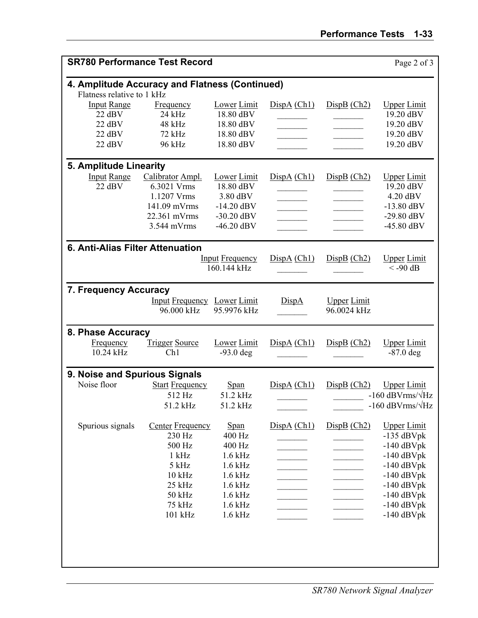| <b>SR780 Performance Test Record</b>                                         |                                                                                                                                  |                                                                                                                     |             |                                   | Page 2 of 3                                                                                                                                                        |
|------------------------------------------------------------------------------|----------------------------------------------------------------------------------------------------------------------------------|---------------------------------------------------------------------------------------------------------------------|-------------|-----------------------------------|--------------------------------------------------------------------------------------------------------------------------------------------------------------------|
| 4. Amplitude Accuracy and Flatness (Continued)<br>Flatness relative to 1 kHz |                                                                                                                                  |                                                                                                                     |             |                                   |                                                                                                                                                                    |
| <b>Input Range</b><br>22 dBV<br>22 dBV<br>22 dBV<br>$22$ dBV                 | <b>Frequency</b><br>$24$ kHz<br>48 kHz<br>72 kHz<br>96 kHz                                                                       | <b>Lower</b> Limit<br>18.80 dBV<br>18.80 dBV<br>18.80 dBV<br>18.80 dBV                                              | DispA (Ch1) | DispB (Ch2)                       | <b>Upper Limit</b><br>19.20 dBV<br>19.20 dBV<br>19.20 dBV<br>19.20 dBV                                                                                             |
| 5. Amplitude Linearity<br><b>Input Range</b><br>22 dBV                       | Calibrator Ampl.<br>6.3021 Vrms<br>1.1207 Vrms<br>141.09 mVrms<br>22.361 mVrms<br>3.544 mVrms                                    | <b>Lower</b> Limit<br>18.80 dBV<br>3.80 dBV<br>$-14.20$ dBV<br>$-30.20$ dBV<br>$-46.20$ dBV                         | DispA (Ch1) | DispB (Ch2)                       | <b>Upper Limit</b><br>19.20 dBV<br>4.20 dBV<br>$-13.80$ dBV<br>$-29.80$ dBV<br>$-45.80$ dBV                                                                        |
| 6. Anti-Alias Filter Attenuation                                             |                                                                                                                                  | <b>Input Frequency</b><br>160.144 kHz                                                                               | DispA (Ch1) | DispB (Ch2)                       | <b>Upper Limit</b><br>$< -90$ dB                                                                                                                                   |
| 7. Frequency Accuracy                                                        | <b>Input Frequency</b> Lower Limit<br>96.000 kHz                                                                                 | 95.9976 kHz                                                                                                         | DispA       | <b>Upper Limit</b><br>96.0024 kHz |                                                                                                                                                                    |
| 8. Phase Accuracy<br>Frequency<br>10.24 kHz                                  | <b>Trigger Source</b><br>Ch1                                                                                                     | <b>Lower</b> Limit<br>$-93.0$ deg                                                                                   | DispA (Ch1) | DispB (Ch2)                       | <b>Upper Limit</b><br>$-87.0$ deg                                                                                                                                  |
| 9. Noise and Spurious Signals<br>Noise floor                                 | <b>Start Frequency</b><br>512 Hz<br>51.2 kHz                                                                                     | <b>Span</b><br>51.2 kHz<br>51.2 kHz                                                                                 | DispA (Ch1) | DispB (Ch2)                       | <b>Upper Limit</b><br>$-160$ dBVrms/ $\sqrt{Hz}$<br>-160 dBVrms/ $\sqrt{\text{Hz}}$                                                                                |
| Spurious signals                                                             | <b>Center Frequency</b><br>230 Hz<br>500 Hz<br>$1$ kHz<br>$5$ kHz<br>$10\ \mathrm{kHz}$<br>25 kHz<br>50 kHz<br>75 kHz<br>101 kHz | Span<br>400 Hz<br>400 Hz<br>$1.6$ kHz<br>$1.6$ kHz<br>$1.6$ kHz<br>$1.6$ kHz<br>$1.6$ kHz<br>$1.6$ kHz<br>$1.6$ kHz | DispA (Ch1) | DispB (Ch2)                       | <b>Upper Limit</b><br>$-135$ dBVpk<br>$-140$ dBVpk<br>$-140$ dBVpk<br>$-140$ dBVpk<br>$-140$ dBVpk<br>$-140$ dBVpk<br>$-140$ dBVpk<br>$-140$ dBVpk<br>$-140$ dBVpk |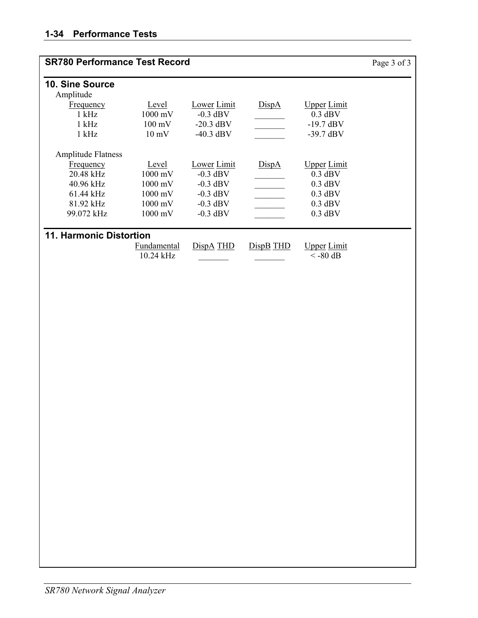| <b>SR780 Performance Test Record</b> |                          |                    |           |                                  | Page 3 of 3 |
|--------------------------------------|--------------------------|--------------------|-----------|----------------------------------|-------------|
| 10. Sine Source                      |                          |                    |           |                                  |             |
| Amplitude                            |                          |                    |           |                                  |             |
| <b>Frequency</b>                     | Level                    | Lower Limit        | DispA     | <u>Upper</u> Limit               |             |
| $1$ kHz                              | 1000 mV                  | $-0.3$ dBV         |           | $0.3$ dBV                        |             |
| $1$ kHz                              | $100 \text{ mV}$         | $-20.3$ dBV        |           | $-19.7$ dBV                      |             |
| $1$ kHz                              | $10 \text{ mV}$          | $-40.3$ dBV        |           | $-39.7$ dBV                      |             |
| <b>Amplitude Flatness</b>            |                          |                    |           |                                  |             |
| <b>Frequency</b>                     | Level                    | <b>Lower</b> Limit | DispA     | <u>Upper</u> Limit               |             |
| 20.48 kHz                            | 1000 mV                  | $-0.3$ dBV         |           | $0.3$ dBV                        |             |
| 40.96 kHz                            | $1000$ mV                | $-0.3$ dBV         |           | $0.3$ dBV                        |             |
| $61.44$ kHz                          | $1000$ mV                | $-0.3$ dBV         |           | $0.3$ dBV                        |             |
| 81.92 kHz                            | $1000 \text{ mV}$        | $-0.3$ dBV         |           | $0.3$ dBV                        |             |
| 99.072 kHz                           | 1000 mV                  | $-0.3$ dBV         |           | $0.3$ dBV                        |             |
| <b>11. Harmonic Distortion</b>       |                          |                    |           |                                  |             |
|                                      | Fundamental<br>10.24 kHz | DispA THD          | DispB THD | <u>Upper</u> Limit<br>$<$ -80 dB |             |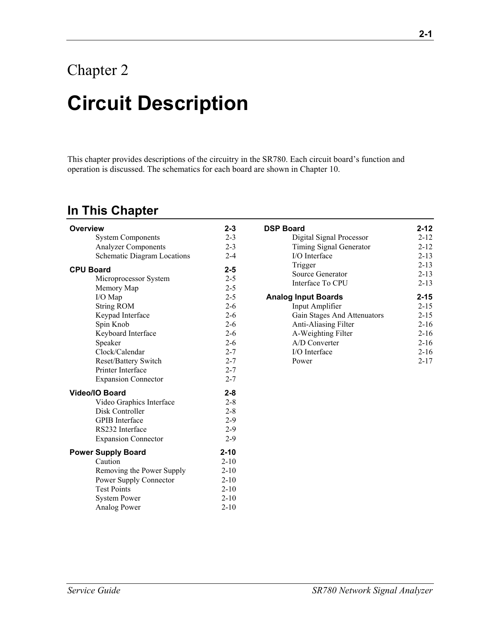## Chapter 2

# **Circuit Description**

This chapter provides descriptions of the circuitry in the SR780. Each circuit board's function and operation is discussed. The schematics for each board are shown in Chapter 10.

### **In This Chapter**

| <b>Overview</b>                    | $2 - 3$  | <b>DSP Board</b>            | $2 - 12$ |
|------------------------------------|----------|-----------------------------|----------|
| <b>System Components</b>           | $2 - 3$  | Digital Signal Processor    | $2 - 12$ |
| <b>Analyzer Components</b>         | $2 - 3$  | Timing Signal Generator     | $2 - 12$ |
| <b>Schematic Diagram Locations</b> | $2 - 4$  | I/O Interface               | $2 - 13$ |
| <b>CPU Board</b>                   | $2 - 5$  | Trigger                     | $2 - 13$ |
| Microprocessor System              | $2 - 5$  | Source Generator            | $2 - 13$ |
| Memory Map                         | $2 - 5$  | Interface To CPU            | $2 - 13$ |
| I/O Map                            | $2 - 5$  | <b>Analog Input Boards</b>  | $2 - 15$ |
| <b>String ROM</b>                  | $2 - 6$  | Input Amplifier             | $2 - 15$ |
| Keypad Interface                   | $2 - 6$  | Gain Stages And Attenuators | $2 - 15$ |
| Spin Knob                          | $2 - 6$  | Anti-Aliasing Filter        | $2 - 16$ |
| Keyboard Interface                 | $2 - 6$  | A-Weighting Filter          | $2 - 16$ |
| Speaker                            | $2 - 6$  | A/D Converter               | $2 - 16$ |
| Clock/Calendar                     | $2 - 7$  | I/O Interface               | $2 - 16$ |
| Reset/Battery Switch               | $2 - 7$  | Power                       | $2 - 17$ |
| Printer Interface                  | $2 - 7$  |                             |          |
| <b>Expansion Connector</b>         | $2 - 7$  |                             |          |
| Video/IO Board                     | $2 - 8$  |                             |          |
| Video Graphics Interface           | $2 - 8$  |                             |          |
| Disk Controller                    | $2 - 8$  |                             |          |
| <b>GPIB</b> Interface              | $2-9$    |                             |          |
| RS232 Interface                    | $2-9$    |                             |          |
| <b>Expansion Connector</b>         | $2 - 9$  |                             |          |
| <b>Power Supply Board</b>          | $2 - 10$ |                             |          |
| Caution                            | $2 - 10$ |                             |          |
| Removing the Power Supply          | $2 - 10$ |                             |          |
| Power Supply Connector             | $2 - 10$ |                             |          |
| <b>Test Points</b>                 | $2 - 10$ |                             |          |
| <b>System Power</b>                | $2 - 10$ |                             |          |
| Analog Power                       | $2 - 10$ |                             |          |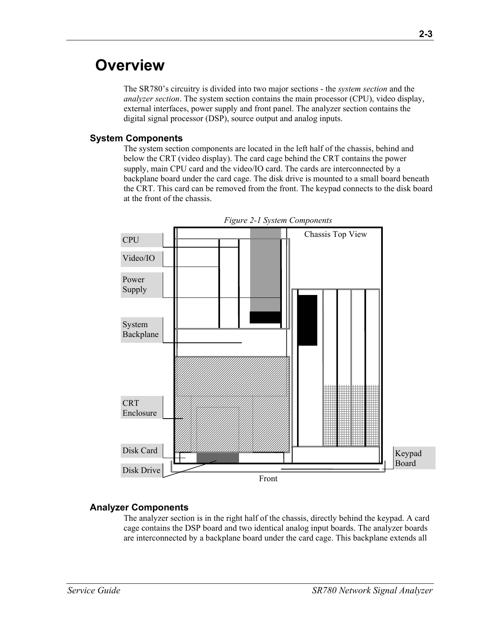## **Overview**

The SR780's circuitry is divided into two major sections - the *system section* and the *analyzer section*. The system section contains the main processor (CPU), video display, external interfaces, power supply and front panel. The analyzer section contains the digital signal processor (DSP), source output and analog inputs.

#### **System Components**

The system section components are located in the left half of the chassis, behind and below the CRT (video display). The card cage behind the CRT contains the power supply, main CPU card and the video/IO card. The cards are interconnected by a backplane board under the card cage. The disk drive is mounted to a small board beneath the CRT. This card can be removed from the front. The keypad connects to the disk board at the front of the chassis.



*Figure 2-1 System Components* 

#### **Analyzer Components**

The analyzer section is in the right half of the chassis, directly behind the keypad. A card cage contains the DSP board and two identical analog input boards. The analyzer boards are interconnected by a backplane board under the card cage. This backplane extends all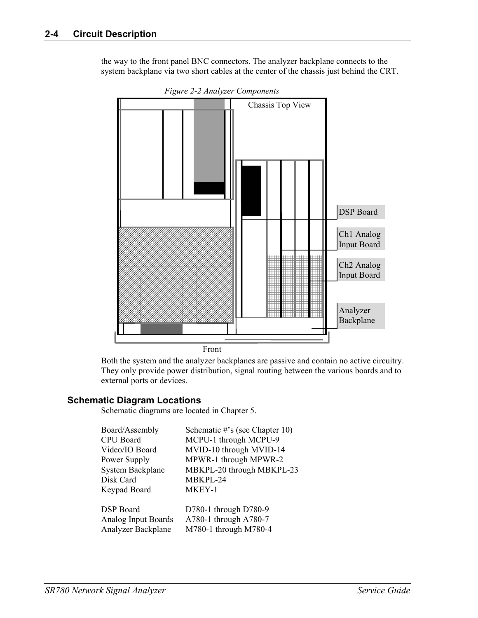the way to the front panel BNC connectors. The analyzer backplane connects to the system backplane via two short cables at the center of the chassis just behind the CRT.



*Figure 2-2 Analyzer Components* 

Both the system and the analyzer backplanes are passive and contain no active circuitry. They only provide power distribution, signal routing between the various boards and to external ports or devices.

#### **Schematic Diagram Locations**

Schematic diagrams are located in Chapter 5.

| Board/Assembly             | Schematic #'s (see Chapter 10) |
|----------------------------|--------------------------------|
| <b>CPU</b> Board           | MCPU-1 through MCPU-9          |
| Video/IO Board             | MVID-10 through MVID-14        |
| Power Supply               | MPWR-1 through MPWR-2          |
| <b>System Backplane</b>    | MBKPL-20 through MBKPL-23      |
| Disk Card                  | MBKPL-24                       |
| Keypad Board               | MKEY-1                         |
| <b>DSP</b> Board           | D780-1 through D780-9          |
| <b>Analog Input Boards</b> | A780-1 through A780-7          |
| <b>Analyzer Backplane</b>  | M780-1 through M780-4          |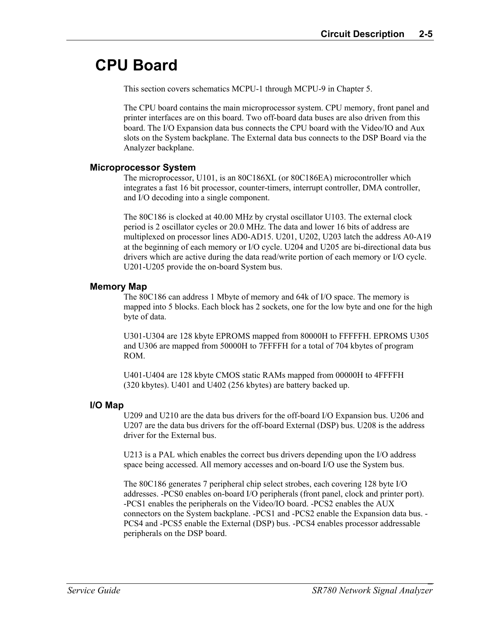## **CPU Board**

This section covers schematics MCPU-1 through MCPU-9 in Chapter 5.

The CPU board contains the main microprocessor system. CPU memory, front panel and printer interfaces are on this board. Two off-board data buses are also driven from this board. The I/O Expansion data bus connects the CPU board with the Video/IO and Aux slots on the System backplane. The External data bus connects to the DSP Board via the Analyzer backplane.

#### **Microprocessor System**

The microprocessor, U101, is an 80C186XL (or 80C186EA) microcontroller which integrates a fast 16 bit processor, counter-timers, interrupt controller, DMA controller, and I/O decoding into a single component.

The 80C186 is clocked at 40.00 MHz by crystal oscillator U103. The external clock period is 2 oscillator cycles or 20.0 MHz. The data and lower 16 bits of address are multiplexed on processor lines AD0-AD15. U201, U202, U203 latch the address A0-A19 at the beginning of each memory or I/O cycle. U204 and U205 are bi-directional data bus drivers which are active during the data read/write portion of each memory or I/O cycle. U201-U205 provide the on-board System bus.

#### **Memory Map**

The 80C186 can address 1 Mbyte of memory and 64k of I/O space. The memory is mapped into 5 blocks. Each block has 2 sockets, one for the low byte and one for the high byte of data.

U301-U304 are 128 kbyte EPROMS mapped from 80000H to FFFFFH. EPROMS U305 and U306 are mapped from 50000H to 7FFFFH for a total of 704 kbytes of program ROM.

U401-U404 are 128 kbyte CMOS static RAMs mapped from 00000H to 4FFFFH (320 kbytes). U401 and U402 (256 kbytes) are battery backed up.

#### **I/O Map**

U209 and U210 are the data bus drivers for the off-board I/O Expansion bus. U206 and U207 are the data bus drivers for the off-board External (DSP) bus. U208 is the address driver for the External bus.

U213 is a PAL which enables the correct bus drivers depending upon the I/O address space being accessed. All memory accesses and on-board I/O use the System bus.

The 80C186 generates 7 peripheral chip select strobes, each covering 128 byte I/O addresses. -PCS0 enables on-board I/O peripherals (front panel, clock and printer port). -PCS1 enables the peripherals on the Video/IO board. -PCS2 enables the AUX connectors on the System backplane. -PCS1 and -PCS2 enable the Expansion data bus. - PCS4 and -PCS5 enable the External (DSP) bus. -PCS4 enables processor addressable peripherals on the DSP board.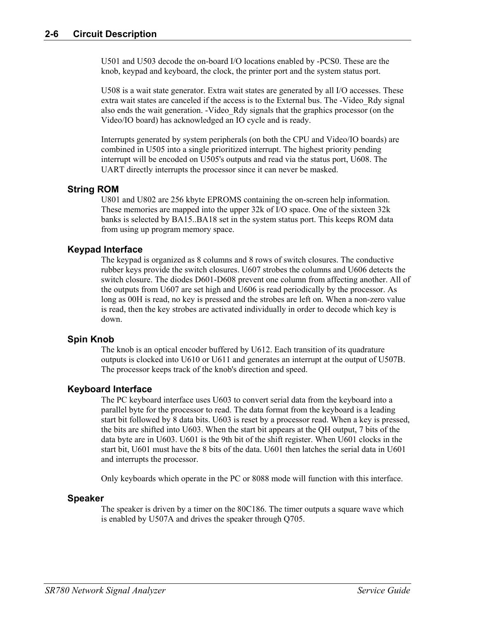U501 and U503 decode the on-board I/O locations enabled by -PCS0. These are the knob, keypad and keyboard, the clock, the printer port and the system status port.

U508 is a wait state generator. Extra wait states are generated by all I/O accesses. These extra wait states are canceled if the access is to the External bus. The -Video\_Rdy signal also ends the wait generation. -Video\_Rdy signals that the graphics processor (on the Video/IO board) has acknowledged an IO cycle and is ready.

Interrupts generated by system peripherals (on both the CPU and Video/IO boards) are combined in U505 into a single prioritized interrupt. The highest priority pending interrupt will be encoded on U505's outputs and read via the status port, U608. The UART directly interrupts the processor since it can never be masked.

#### **String ROM**

U801 and U802 are 256 kbyte EPROMS containing the on-screen help information. These memories are mapped into the upper 32k of I/O space. One of the sixteen 32k banks is selected by BA15..BA18 set in the system status port. This keeps ROM data from using up program memory space.

#### **Keypad Interface**

The keypad is organized as 8 columns and 8 rows of switch closures. The conductive rubber keys provide the switch closures. U607 strobes the columns and U606 detects the switch closure. The diodes D601-D608 prevent one column from affecting another. All of the outputs from U607 are set high and U606 is read periodically by the processor. As long as 00H is read, no key is pressed and the strobes are left on. When a non-zero value is read, then the key strobes are activated individually in order to decode which key is down.

#### **Spin Knob**

The knob is an optical encoder buffered by U612. Each transition of its quadrature outputs is clocked into U610 or U611 and generates an interrupt at the output of U507B. The processor keeps track of the knob's direction and speed.

#### **Keyboard Interface**

The PC keyboard interface uses U603 to convert serial data from the keyboard into a parallel byte for the processor to read. The data format from the keyboard is a leading start bit followed by 8 data bits. U603 is reset by a processor read. When a key is pressed, the bits are shifted into U603. When the start bit appears at the QH output, 7 bits of the data byte are in U603. U601 is the 9th bit of the shift register. When U601 clocks in the start bit, U601 must have the 8 bits of the data. U601 then latches the serial data in U601 and interrupts the processor.

Only keyboards which operate in the PC or 8088 mode will function with this interface.

#### **Speaker**

The speaker is driven by a timer on the 80C186. The timer outputs a square wave which is enabled by U507A and drives the speaker through Q705.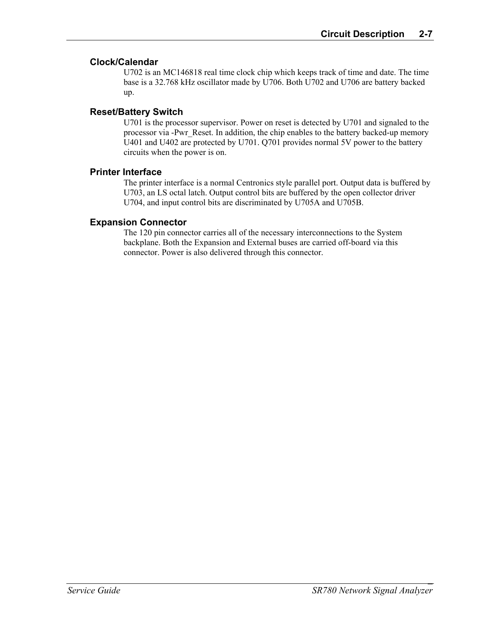#### **Clock/Calendar**

U702 is an MC146818 real time clock chip which keeps track of time and date. The time base is a 32.768 kHz oscillator made by U706. Both U702 and U706 are battery backed up.

#### **Reset/Battery Switch**

U701 is the processor supervisor. Power on reset is detected by U701 and signaled to the processor via -Pwr\_Reset. In addition, the chip enables to the battery backed-up memory U401 and U402 are protected by U701. Q701 provides normal 5V power to the battery circuits when the power is on.

#### **Printer Interface**

The printer interface is a normal Centronics style parallel port. Output data is buffered by U703, an LS octal latch. Output control bits are buffered by the open collector driver U704, and input control bits are discriminated by U705A and U705B.

#### **Expansion Connector**

The 120 pin connector carries all of the necessary interconnections to the System backplane. Both the Expansion and External buses are carried off-board via this connector. Power is also delivered through this connector.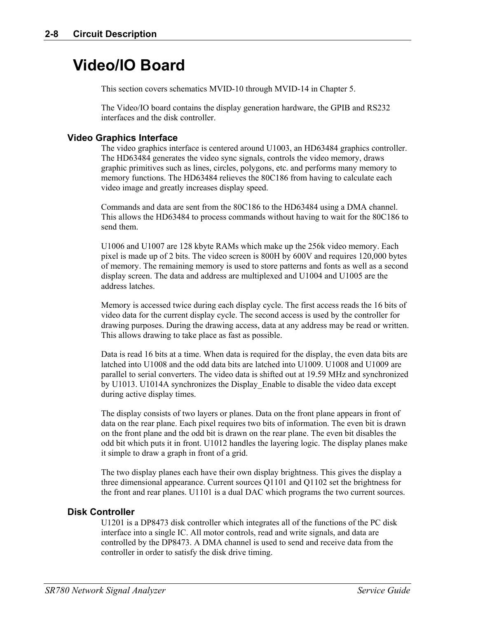## **Video/IO Board**

This section covers schematics MVID-10 through MVID-14 in Chapter 5.

The Video/IO board contains the display generation hardware, the GPIB and RS232 interfaces and the disk controller.

#### **Video Graphics Interface**

The video graphics interface is centered around U1003, an HD63484 graphics controller. The HD63484 generates the video sync signals, controls the video memory, draws graphic primitives such as lines, circles, polygons, etc. and performs many memory to memory functions. The HD63484 relieves the 80C186 from having to calculate each video image and greatly increases display speed.

Commands and data are sent from the 80C186 to the HD63484 using a DMA channel. This allows the HD63484 to process commands without having to wait for the 80C186 to send them.

U1006 and U1007 are 128 kbyte RAMs which make up the 256k video memory. Each pixel is made up of 2 bits. The video screen is 800H by 600V and requires 120,000 bytes of memory. The remaining memory is used to store patterns and fonts as well as a second display screen. The data and address are multiplexed and U1004 and U1005 are the address latches.

Memory is accessed twice during each display cycle. The first access reads the 16 bits of video data for the current display cycle. The second access is used by the controller for drawing purposes. During the drawing access, data at any address may be read or written. This allows drawing to take place as fast as possible.

Data is read 16 bits at a time. When data is required for the display, the even data bits are latched into U1008 and the odd data bits are latched into U1009. U1008 and U1009 are parallel to serial converters. The video data is shifted out at 19.59 MHz and synchronized by U1013. U1014A synchronizes the Display\_Enable to disable the video data except during active display times.

The display consists of two layers or planes. Data on the front plane appears in front of data on the rear plane. Each pixel requires two bits of information. The even bit is drawn on the front plane and the odd bit is drawn on the rear plane. The even bit disables the odd bit which puts it in front. U1012 handles the layering logic. The display planes make it simple to draw a graph in front of a grid.

The two display planes each have their own display brightness. This gives the display a three dimensional appearance. Current sources Q1101 and Q1102 set the brightness for the front and rear planes. U1101 is a dual DAC which programs the two current sources.

#### **Disk Controller**

U1201 is a DP8473 disk controller which integrates all of the functions of the PC disk interface into a single IC. All motor controls, read and write signals, and data are controlled by the DP8473. A DMA channel is used to send and receive data from the controller in order to satisfy the disk drive timing.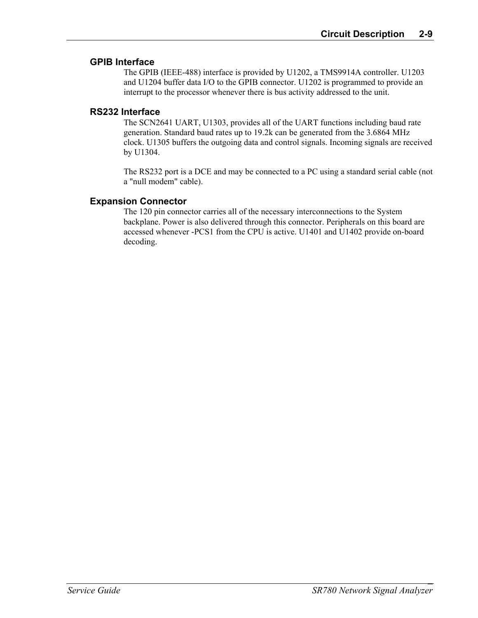#### **GPIB Interface**

The GPIB (IEEE-488) interface is provided by U1202, a TMS9914A controller. U1203 and U1204 buffer data I/O to the GPIB connector. U1202 is programmed to provide an interrupt to the processor whenever there is bus activity addressed to the unit.

#### **RS232 Interface**

The SCN2641 UART, U1303, provides all of the UART functions including baud rate generation. Standard baud rates up to 19.2k can be generated from the 3.6864 MHz clock. U1305 buffers the outgoing data and control signals. Incoming signals are received by U1304.

The RS232 port is a DCE and may be connected to a PC using a standard serial cable (not a "null modem" cable).

#### **Expansion Connector**

The 120 pin connector carries all of the necessary interconnections to the System backplane. Power is also delivered through this connector. Peripherals on this board are accessed whenever -PCS1 from the CPU is active. U1401 and U1402 provide on-board decoding.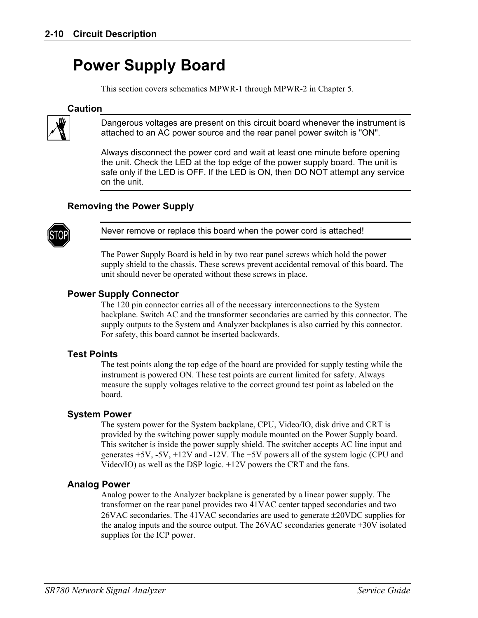## **Power Supply Board**

This section covers schematics MPWR-1 through MPWR-2 in Chapter 5.

#### **Caution**



Dangerous voltages are present on this circuit board whenever the instrument is attached to an AC power source and the rear panel power switch is "ON".

Always disconnect the power cord and wait at least one minute before opening the unit. Check the LED at the top edge of the power supply board. The unit is safe only if the LED is OFF. If the LED is ON, then DO NOT attempt any service on the unit.

#### **Removing the Power Supply**



Never remove or replace this board when the power cord is attached!

The Power Supply Board is held in by two rear panel screws which hold the power supply shield to the chassis. These screws prevent accidental removal of this board. The unit should never be operated without these screws in place.

#### **Power Supply Connector**

The 120 pin connector carries all of the necessary interconnections to the System backplane. Switch AC and the transformer secondaries are carried by this connector. The supply outputs to the System and Analyzer backplanes is also carried by this connector. For safety, this board cannot be inserted backwards.

#### **Test Points**

The test points along the top edge of the board are provided for supply testing while the instrument is powered ON. These test points are current limited for safety. Always measure the supply voltages relative to the correct ground test point as labeled on the board.

#### **System Power**

The system power for the System backplane, CPU, Video/IO, disk drive and CRT is provided by the switching power supply module mounted on the Power Supply board. This switcher is inside the power supply shield. The switcher accepts AC line input and generates  $+5V$ ,  $-5V$ ,  $+12V$  and  $-12V$ . The  $+5V$  powers all of the system logic (CPU and Video/IO) as well as the DSP logic. +12V powers the CRT and the fans.

#### **Analog Power**

Analog power to the Analyzer backplane is generated by a linear power supply. The transformer on the rear panel provides two 41VAC center tapped secondaries and two 26VAC secondaries. The 41VAC secondaries are used to generate ±20VDC supplies for the analog inputs and the source output. The 26VAC secondaries generate +30V isolated supplies for the ICP power.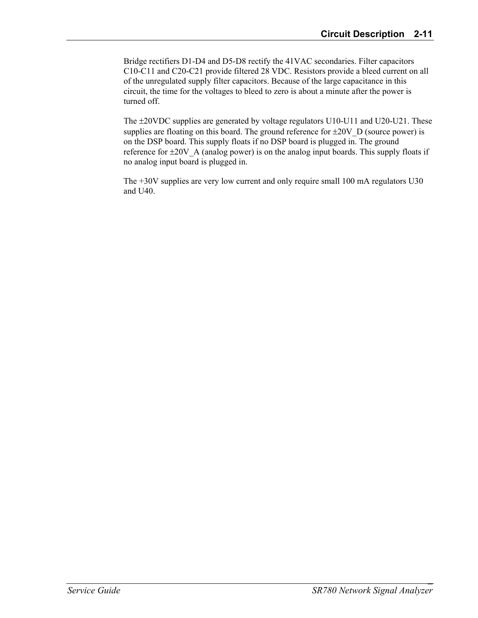Bridge rectifiers D1-D4 and D5-D8 rectify the 41VAC secondaries. Filter capacitors C10-C11 and C20-C21 provide filtered 28 VDC. Resistors provide a bleed current on all of the unregulated supply filter capacitors. Because of the large capacitance in this circuit, the time for the voltages to bleed to zero is about a minute after the power is turned off.

The ±20VDC supplies are generated by voltage regulators U10-U11 and U20-U21. These supplies are floating on this board. The ground reference for  $\pm 20V$  D (source power) is on the DSP board. This supply floats if no DSP board is plugged in. The ground reference for  $\pm 20V$  A (analog power) is on the analog input boards. This supply floats if no analog input board is plugged in.

The +30V supplies are very low current and only require small 100 mA regulators U30 and U40.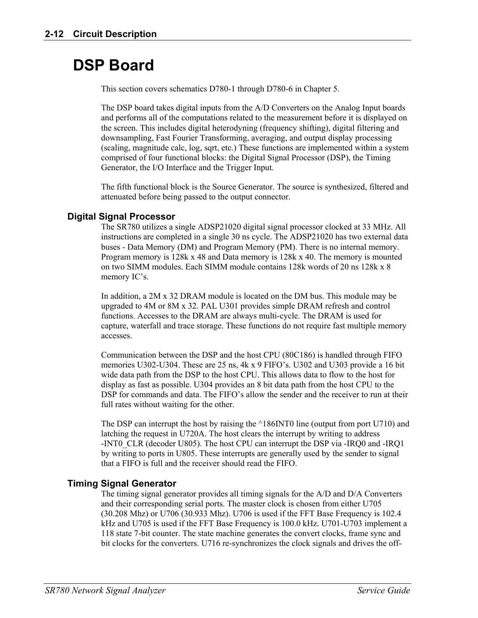## **DSP Board**

This section covers schematics D780-1 through D780-6 in Chapter 5.

The DSP board takes digital inputs from the A/D Converters on the Analog Input boards and performs all of the computations related to the measurement before it is displayed on the screen. This includes digital heterodyning (frequency shifting), digital filtering and downsampling, Fast Fourier Transforming, averaging, and output display processing (scaling, magnitude calc, log, sqrt, etc.) These functions are implemented within a system comprised of four functional blocks: the Digital Signal Processor (DSP), the Timing Generator, the I/O Interface and the Trigger Input.

The fifth functional block is the Source Generator. The source is synthesized, filtered and attenuated before being passed to the output connector.

#### **Digital Signal Processor**

The SR780 utilizes a single ADSP21020 digital signal processor clocked at 33 MHz. All instructions are completed in a single 30 ns cycle. The ADSP21020 has two external data buses - Data Memory (DM) and Program Memory (PM). There is no internal memory. Program memory is 128k x 48 and Data memory is 128k x 40. The memory is mounted on two SIMM modules. Each SIMM module contains 128k words of 20 ns 128k x 8 memory IC's.

In addition, a 2M x 32 DRAM module is located on the DM bus. This module may be upgraded to 4M or 8M x 32. PAL U301 provides simple DRAM refresh and control functions. Accesses to the DRAM are always multi-cycle. The DRAM is used for capture, waterfall and trace storage. These functions do not require fast multiple memory accesses.

Communication between the DSP and the host CPU (80C186) is handled through FIFO memories U302-U304. These are 25 ns, 4k x 9 FIFO's. U302 and U303 provide a 16 bit wide data path from the DSP to the host CPU. This allows data to flow to the host for display as fast as possible. U304 provides an 8 bit data path from the host CPU to the DSP for commands and data. The FIFO's allow the sender and the receiver to run at their full rates without waiting for the other.

The DSP can interrupt the host by raising the ^186INT0 line (output from port U710) and latching the request in U720A. The host clears the interrupt by writing to address -INT0\_CLR (decoder U805). The host CPU can interrupt the DSP via -IRQ0 and -IRQ1 by writing to ports in U805. These interrupts are generally used by the sender to signal that a FIFO is full and the receiver should read the FIFO.

#### **Timing Signal Generator**

The timing signal generator provides all timing signals for the A/D and D/A Converters and their corresponding serial ports. The master clock is chosen from either U705 (30.208 Mhz) or U706 (30.933 Mhz). U706 is used if the FFT Base Frequency is 102.4 kHz and U705 is used if the FFT Base Frequency is 100.0 kHz. U701-U703 implement a 118 state 7-bit counter. The state machine generates the convert clocks, frame sync and bit clocks for the converters. U716 re-synchronizes the clock signals and drives the off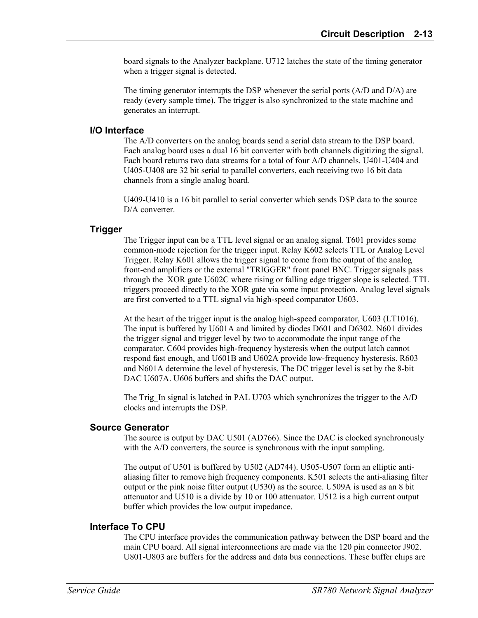board signals to the Analyzer backplane. U712 latches the state of the timing generator when a trigger signal is detected.

The timing generator interrupts the DSP whenever the serial ports (A/D and D/A) are ready (every sample time). The trigger is also synchronized to the state machine and generates an interrupt.

#### **I/O Interface**

The A/D converters on the analog boards send a serial data stream to the DSP board. Each analog board uses a dual 16 bit converter with both channels digitizing the signal. Each board returns two data streams for a total of four A/D channels. U401-U404 and U405-U408 are 32 bit serial to parallel converters, each receiving two 16 bit data channels from a single analog board.

U409-U410 is a 16 bit parallel to serial converter which sends DSP data to the source D/A converter.

#### **Trigger**

The Trigger input can be a TTL level signal or an analog signal. T601 provides some common-mode rejection for the trigger input. Relay K602 selects TTL or Analog Level Trigger. Relay K601 allows the trigger signal to come from the output of the analog front-end amplifiers or the external "TRIGGER" front panel BNC. Trigger signals pass through the XOR gate U602C where rising or falling edge trigger slope is selected. TTL triggers proceed directly to the XOR gate via some input protection. Analog level signals are first converted to a TTL signal via high-speed comparator U603.

At the heart of the trigger input is the analog high-speed comparator, U603 (LT1016). The input is buffered by U601A and limited by diodes D601 and D6302. N601 divides the trigger signal and trigger level by two to accommodate the input range of the comparator. C604 provides high-frequency hysteresis when the output latch cannot respond fast enough, and U601B and U602A provide low-frequency hysteresis. R603 and N601A determine the level of hysteresis. The DC trigger level is set by the 8-bit DAC U607A. U606 buffers and shifts the DAC output.

The Trig In signal is latched in PAL U703 which synchronizes the trigger to the A/D clocks and interrupts the DSP.

#### **Source Generator**

The source is output by DAC U501 (AD766). Since the DAC is clocked synchronously with the A/D converters, the source is synchronous with the input sampling.

The output of U501 is buffered by U502 (AD744). U505-U507 form an elliptic antialiasing filter to remove high frequency components. K501 selects the anti-aliasing filter output or the pink noise filter output (U530) as the source. U509A is used as an 8 bit attenuator and U510 is a divide by 10 or 100 attenuator. U512 is a high current output buffer which provides the low output impedance.

#### **Interface To CPU**

The CPU interface provides the communication pathway between the DSP board and the main CPU board. All signal interconnections are made via the 120 pin connector J902. U801-U803 are buffers for the address and data bus connections. These buffer chips are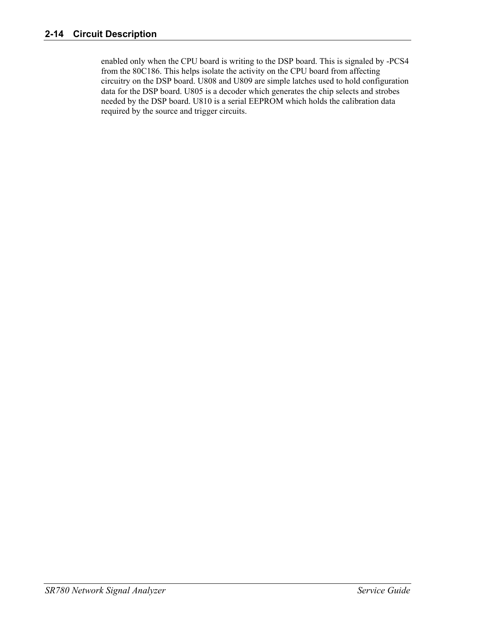enabled only when the CPU board is writing to the DSP board. This is signaled by -PCS4 from the 80C186. This helps isolate the activity on the CPU board from affecting circuitry on the DSP board. U808 and U809 are simple latches used to hold configuration data for the DSP board. U805 is a decoder which generates the chip selects and strobes needed by the DSP board. U810 is a serial EEPROM which holds the calibration data required by the source and trigger circuits.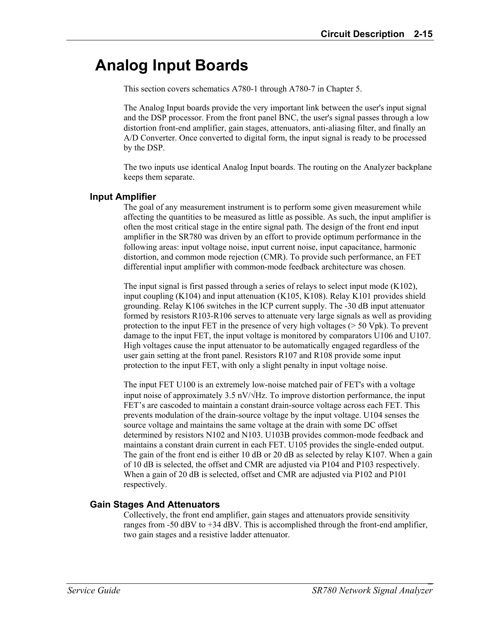## **Analog Input Boards**

This section covers schematics A780-1 through A780-7 in Chapter 5.

The Analog Input boards provide the very important link between the user's input signal and the DSP processor. From the front panel BNC, the user's signal passes through a low distortion front-end amplifier, gain stages, attenuators, anti-aliasing filter, and finally an A/D Converter. Once converted to digital form, the input signal is ready to be processed by the DSP.

The two inputs use identical Analog Input boards. The routing on the Analyzer backplane keeps them separate.

#### **Input Amplifier**

The goal of any measurement instrument is to perform some given measurement while affecting the quantities to be measured as little as possible. As such, the input amplifier is often the most critical stage in the entire signal path. The design of the front end input amplifier in the SR780 was driven by an effort to provide optimum performance in the following areas: input voltage noise, input current noise, input capacitance, harmonic distortion, and common mode rejection (CMR). To provide such performance, an FET differential input amplifier with common-mode feedback architecture was chosen.

The input signal is first passed through a series of relays to select input mode (K102), input coupling (K104) and input attenuation (K105, K108). Relay K101 provides shield grounding. Relay K106 switches in the ICP current supply. The -30 dB input attenuator formed by resistors R103-R106 serves to attenuate very large signals as well as providing protection to the input FET in the presence of very high voltages (> 50 Vpk). To prevent damage to the input FET, the input voltage is monitored by comparators U106 and U107. High voltages cause the input attenuator to be automatically engaged regardless of the user gain setting at the front panel. Resistors R107 and R108 provide some input protection to the input FET, with only a slight penalty in input voltage noise.

The input FET U100 is an extremely low-noise matched pair of FET's with a voltage input noise of approximately 3.5 nV/ $\sqrt{Hz}$ . To improve distortion performance, the input FET's are cascoded to maintain a constant drain-source voltage across each FET. This prevents modulation of the drain-source voltage by the input voltage. U104 senses the source voltage and maintains the same voltage at the drain with some DC offset determined by resistors N102 and N103. U103B provides common-mode feedback and maintains a constant drain current in each FET. U105 provides the single-ended output. The gain of the front end is either 10 dB or 20 dB as selected by relay K107. When a gain of 10 dB is selected, the offset and CMR are adjusted via P104 and P103 respectively. When a gain of 20 dB is selected, offset and CMR are adjusted via P102 and P101 respectively.

#### **Gain Stages And Attenuators**

Collectively, the front end amplifier, gain stages and attenuators provide sensitivity ranges from -50 dBV to +34 dBV. This is accomplished through the front-end amplifier, two gain stages and a resistive ladder attenuator.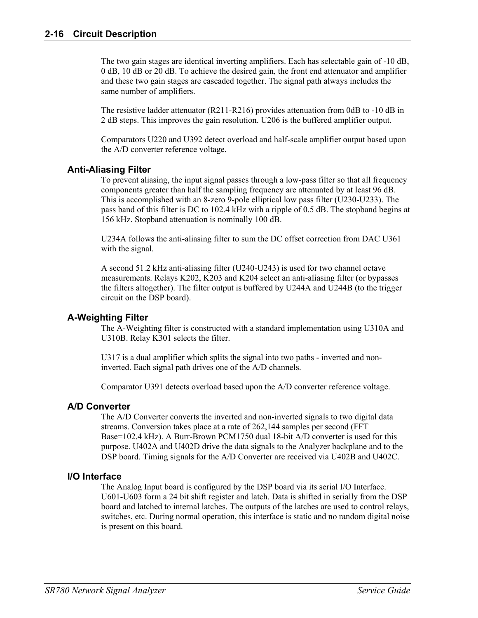The two gain stages are identical inverting amplifiers. Each has selectable gain of -10 dB, 0 dB, 10 dB or 20 dB. To achieve the desired gain, the front end attenuator and amplifier and these two gain stages are cascaded together. The signal path always includes the same number of amplifiers.

The resistive ladder attenuator (R211-R216) provides attenuation from 0dB to -10 dB in 2 dB steps. This improves the gain resolution. U206 is the buffered amplifier output.

Comparators U220 and U392 detect overload and half-scale amplifier output based upon the A/D converter reference voltage.

#### **Anti-Aliasing Filter**

To prevent aliasing, the input signal passes through a low-pass filter so that all frequency components greater than half the sampling frequency are attenuated by at least 96 dB. This is accomplished with an 8-zero 9-pole elliptical low pass filter (U230-U233). The pass band of this filter is DC to 102.4 kHz with a ripple of 0.5 dB. The stopband begins at 156 kHz. Stopband attenuation is nominally 100 dB.

U234A follows the anti-aliasing filter to sum the DC offset correction from DAC U361 with the signal.

A second 51.2 kHz anti-aliasing filter (U240-U243) is used for two channel octave measurements. Relays K202, K203 and K204 select an anti-aliasing filter (or bypasses the filters altogether). The filter output is buffered by U244A and U244B (to the trigger circuit on the DSP board).

#### **A-Weighting Filter**

The A-Weighting filter is constructed with a standard implementation using U310A and U310B. Relay K301 selects the filter.

U317 is a dual amplifier which splits the signal into two paths - inverted and noninverted. Each signal path drives one of the A/D channels.

Comparator U391 detects overload based upon the A/D converter reference voltage.

#### **A/D Converter**

The A/D Converter converts the inverted and non-inverted signals to two digital data streams. Conversion takes place at a rate of 262,144 samples per second (FFT Base=102.4 kHz). A Burr-Brown PCM1750 dual 18-bit A/D converter is used for this purpose. U402A and U402D drive the data signals to the Analyzer backplane and to the DSP board. Timing signals for the A/D Converter are received via U402B and U402C.

#### **I/O Interface**

The Analog Input board is configured by the DSP board via its serial I/O Interface. U601-U603 form a 24 bit shift register and latch. Data is shifted in serially from the DSP board and latched to internal latches. The outputs of the latches are used to control relays, switches, etc. During normal operation, this interface is static and no random digital noise is present on this board.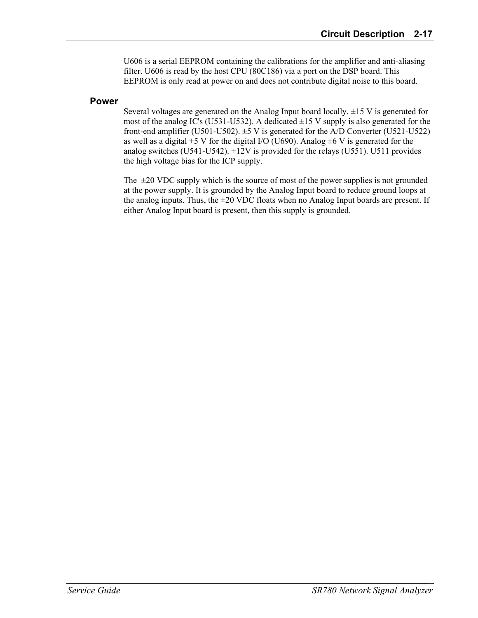U606 is a serial EEPROM containing the calibrations for the amplifier and anti-aliasing filter. U606 is read by the host CPU (80C186) via a port on the DSP board. This EEPROM is only read at power on and does not contribute digital noise to this board.

#### **Power**

Several voltages are generated on the Analog Input board locally. ±15 V is generated for most of the analog IC's (U531-U532). A dedicated  $\pm 15$  V supply is also generated for the front-end amplifier (U501-U502).  $\pm$ 5 V is generated for the A/D Converter (U521-U522) as well as a digital +5 V for the digital I/O (U690). Analog  $\pm$ 6 V is generated for the analog switches (U541-U542). +12V is provided for the relays (U551). U511 provides the high voltage bias for the ICP supply.

The  $\pm 20$  VDC supply which is the source of most of the power supplies is not grounded at the power supply. It is grounded by the Analog Input board to reduce ground loops at the analog inputs. Thus, the  $\pm 20$  VDC floats when no Analog Input boards are present. If either Analog Input board is present, then this supply is grounded.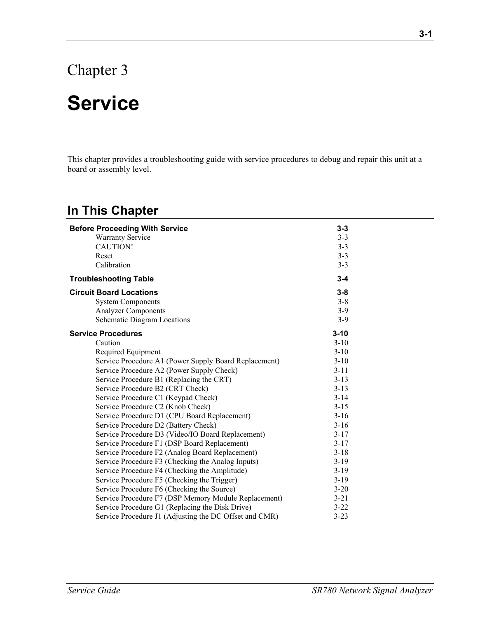## Chapter 3

## **Service**

This chapter provides a troubleshooting guide with service procedures to debug and repair this unit at a board or assembly level.

### **In This Chapter**

| <b>Before Proceeding With Service</b>                  | $3 - 3$  |
|--------------------------------------------------------|----------|
| <b>Warranty Service</b>                                | $3 - 3$  |
| <b>CAUTION!</b>                                        | $3 - 3$  |
| Reset                                                  | $3 - 3$  |
| Calibration                                            | $3 - 3$  |
| <b>Troubleshooting Table</b>                           | $3 - 4$  |
| <b>Circuit Board Locations</b>                         | $3 - 8$  |
| <b>System Components</b>                               | $3 - 8$  |
| <b>Analyzer Components</b>                             | $3-9$    |
| Schematic Diagram Locations                            | $3-9$    |
| <b>Service Procedures</b>                              | $3 - 10$ |
| Caution                                                | $3 - 10$ |
| Required Equipment                                     | $3 - 10$ |
| Service Procedure A1 (Power Supply Board Replacement)  | $3 - 10$ |
| Service Procedure A2 (Power Supply Check)              | $3 - 11$ |
| Service Procedure B1 (Replacing the CRT)               | $3 - 13$ |
| Service Procedure B2 (CRT Check)                       | $3 - 13$ |
| Service Procedure C1 (Keypad Check)                    | $3 - 14$ |
| Service Procedure C2 (Knob Check)                      | $3 - 15$ |
| Service Procedure D1 (CPU Board Replacement)           | $3-16$   |
| Service Procedure D2 (Battery Check)                   | $3-16$   |
| Service Procedure D3 (Video/IO Board Replacement)      | $3 - 17$ |
| Service Procedure F1 (DSP Board Replacement)           | $3 - 17$ |
| Service Procedure F2 (Analog Board Replacement)        | $3 - 18$ |
| Service Procedure F3 (Checking the Analog Inputs)      | $3-19$   |
| Service Procedure F4 (Checking the Amplitude)          | $3-19$   |
| Service Procedure F5 (Checking the Trigger)            | $3-19$   |
| Service Procedure F6 (Checking the Source)             | $3 - 20$ |
| Service Procedure F7 (DSP Memory Module Replacement)   | $3 - 21$ |
| Service Procedure G1 (Replacing the Disk Drive)        | $3 - 22$ |
| Service Procedure J1 (Adjusting the DC Offset and CMR) | $3 - 23$ |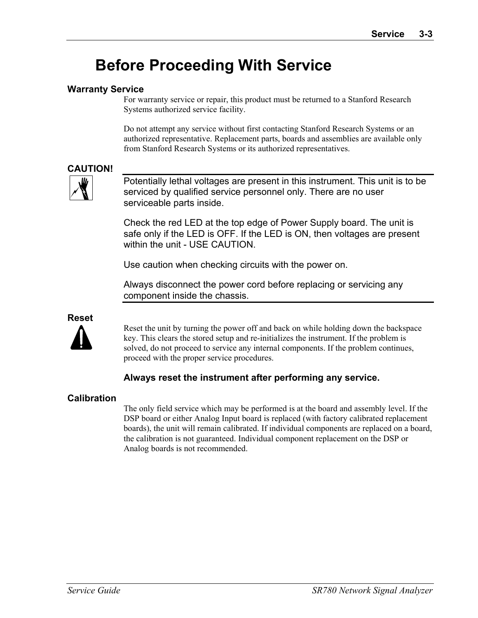## **Before Proceeding With Service**

#### **Warranty Service**

For warranty service or repair, this product must be returned to a Stanford Research Systems authorized service facility.

Do not attempt any service without first contacting Stanford Research Systems or an authorized representative. Replacement parts, boards and assemblies are available only from Stanford Research Systems or its authorized representatives.

#### **CAUTION!**



Potentially lethal voltages are present in this instrument. This unit is to be serviced by qualified service personnel only. There are no user serviceable parts inside.

Check the red LED at the top edge of Power Supply board. The unit is safe only if the LED is OFF. If the LED is ON, then voltages are present within the unit - USE CAUTION.

Use caution when checking circuits with the power on.

Always disconnect the power cord before replacing or servicing any component inside the chassis.

### **Reset**



Reset the unit by turning the power off and back on while holding down the backspace key. This clears the stored setup and re-initializes the instrument. If the problem is solved, do not proceed to service any internal components. If the problem continues, proceed with the proper service procedures.

#### **Always reset the instrument after performing any service.**

#### **Calibration**

The only field service which may be performed is at the board and assembly level. If the DSP board or either Analog Input board is replaced (with factory calibrated replacement boards), the unit will remain calibrated. If individual components are replaced on a board, the calibration is not guaranteed. Individual component replacement on the DSP or Analog boards is not recommended.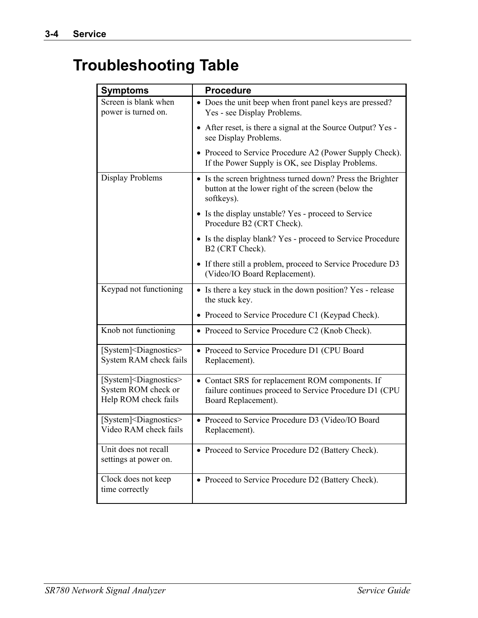## **Troubleshooting Table**

| <b>Symptoms</b>                                                                       | <b>Procedure</b>                                                                                                                  |
|---------------------------------------------------------------------------------------|-----------------------------------------------------------------------------------------------------------------------------------|
|                                                                                       |                                                                                                                                   |
| Screen is blank when<br>power is turned on.                                           | • Does the unit beep when front panel keys are pressed?<br>Yes - see Display Problems.                                            |
|                                                                                       | • After reset, is there a signal at the Source Output? Yes -<br>see Display Problems.                                             |
|                                                                                       | • Proceed to Service Procedure A2 (Power Supply Check).<br>If the Power Supply is OK, see Display Problems.                       |
| Display Problems                                                                      | • Is the screen brightness turned down? Press the Brighter<br>button at the lower right of the screen (below the<br>softkeys).    |
|                                                                                       | • Is the display unstable? Yes - proceed to Service<br>Procedure B2 (CRT Check).                                                  |
|                                                                                       | • Is the display blank? Yes - proceed to Service Procedure<br>B2 (CRT Check).                                                     |
|                                                                                       | • If there still a problem, proceed to Service Procedure D3<br>(Video/IO Board Replacement).                                      |
| Keypad not functioning                                                                | • Is there a key stuck in the down position? Yes - release<br>the stuck key.                                                      |
|                                                                                       | • Proceed to Service Procedure C1 (Keypad Check).                                                                                 |
| Knob not functioning                                                                  | • Proceed to Service Procedure C2 (Knob Check).                                                                                   |
| [System] <diagnostics><br/>System RAM check fails</diagnostics>                       | • Proceed to Service Procedure D1 (CPU Board<br>Replacement).                                                                     |
| [System] <diagnostics><br/>System ROM check or<br/>Help ROM check fails</diagnostics> | • Contact SRS for replacement ROM components. If<br>failure continues proceed to Service Procedure D1 (CPU<br>Board Replacement). |
| [System] <diagnostics><br/>Video RAM check fails</diagnostics>                        | • Proceed to Service Procedure D3 (Video/IO Board<br>Replacement).                                                                |
| Unit does not recall<br>settings at power on.                                         | • Proceed to Service Procedure D2 (Battery Check).                                                                                |
| Clock does not keep<br>time correctly                                                 | • Proceed to Service Procedure D2 (Battery Check).                                                                                |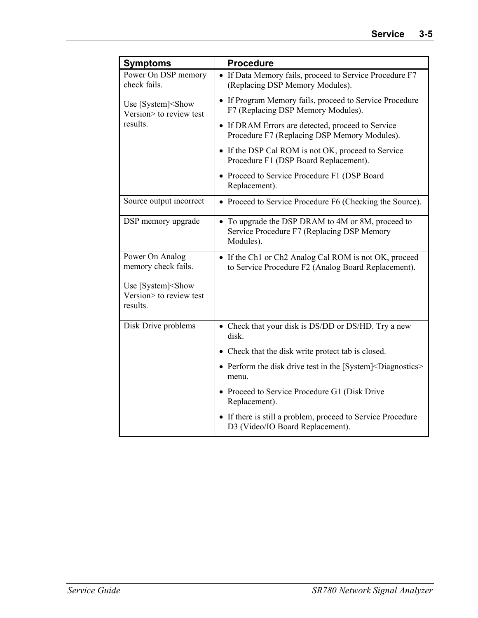| <b>Symptoms</b>                                                         | <b>Procedure</b>                                                                                             |
|-------------------------------------------------------------------------|--------------------------------------------------------------------------------------------------------------|
| Power On DSP memory<br>check fails.                                     | • If Data Memory fails, proceed to Service Procedure F7<br>(Replacing DSP Memory Modules).                   |
| Use [System] <show<br>Version&gt; to review test</show<br>              | • If Program Memory fails, proceed to Service Procedure<br>F7 (Replacing DSP Memory Modules).                |
| results.                                                                | • If DRAM Errors are detected, proceed to Service<br>Procedure F7 (Replacing DSP Memory Modules).            |
|                                                                         | • If the DSP Cal ROM is not OK, proceed to Service<br>Procedure F1 (DSP Board Replacement).                  |
|                                                                         | • Proceed to Service Procedure F1 (DSP Board<br>Replacement).                                                |
| Source output incorrect                                                 | • Proceed to Service Procedure F6 (Checking the Source).                                                     |
| DSP memory upgrade                                                      | • To upgrade the DSP DRAM to 4M or 8M, proceed to<br>Service Procedure F7 (Replacing DSP Memory<br>Modules). |
| Power On Analog<br>memory check fails.                                  | • If the Ch1 or Ch2 Analog Cal ROM is not OK, proceed<br>to Service Procedure F2 (Analog Board Replacement). |
| Use [System] <show<br>Version&gt; to review test<br/>results.</show<br> |                                                                                                              |
| Disk Drive problems                                                     | • Check that your disk is DS/DD or DS/HD. Try a new<br>disk.                                                 |
|                                                                         | • Check that the disk write protect tab is closed.                                                           |
|                                                                         | • Perform the disk drive test in the [System] <diagnostics><br/>menu.</diagnostics>                          |
|                                                                         | • Proceed to Service Procedure G1 (Disk Drive<br>Replacement).                                               |
|                                                                         | • If there is still a problem, proceed to Service Procedure<br>D3 (Video/IO Board Replacement).              |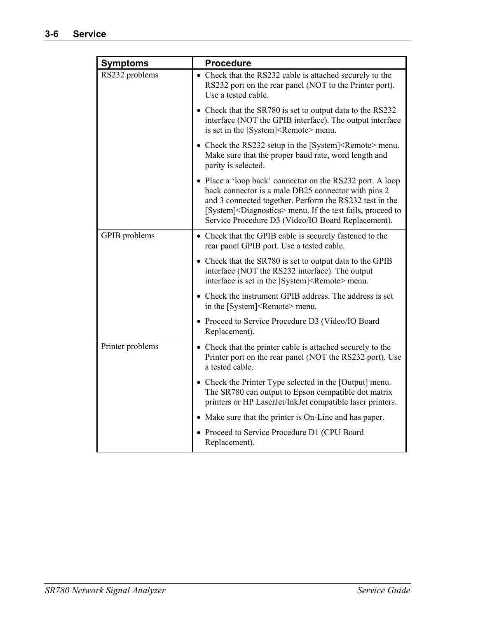| <b>Symptoms</b>  | <b>Procedure</b>                                                                                                                                                                                                                                                                                               |
|------------------|----------------------------------------------------------------------------------------------------------------------------------------------------------------------------------------------------------------------------------------------------------------------------------------------------------------|
| RS232 problems   | • Check that the RS232 cable is attached securely to the<br>RS232 port on the rear panel (NOT to the Printer port).<br>Use a tested cable.                                                                                                                                                                     |
|                  | • Check that the SR780 is set to output data to the RS232<br>interface (NOT the GPIB interface). The output interface<br>is set in the [System] <remote> menu.</remote>                                                                                                                                        |
|                  | • Check the RS232 setup in the [System] <remote> menu.<br/>Make sure that the proper baud rate, word length and<br/>parity is selected.</remote>                                                                                                                                                               |
|                  | • Place a 'loop back' connector on the RS232 port. A loop<br>back connector is a male DB25 connector with pins 2<br>and 3 connected together. Perform the RS232 test in the<br>[System] <diagnostics> menu. If the test fails, proceed to<br/>Service Procedure D3 (Video/IO Board Replacement).</diagnostics> |
| GPIB problems    | • Check that the GPIB cable is securely fastened to the<br>rear panel GPIB port. Use a tested cable.                                                                                                                                                                                                           |
|                  | • Check that the SR780 is set to output data to the GPIB<br>interface (NOT the RS232 interface). The output<br>interface is set in the [System] <remote> menu.</remote>                                                                                                                                        |
|                  | • Check the instrument GPIB address. The address is set<br>in the [System] <remote> menu.</remote>                                                                                                                                                                                                             |
|                  | • Proceed to Service Procedure D3 (Video/IO Board<br>Replacement).                                                                                                                                                                                                                                             |
| Printer problems | • Check that the printer cable is attached securely to the<br>Printer port on the rear panel (NOT the RS232 port). Use<br>a tested cable.                                                                                                                                                                      |
|                  | • Check the Printer Type selected in the [Output] menu.<br>The SR780 can output to Epson compatible dot matrix<br>printers or HP LaserJet/InkJet compatible laser printers.                                                                                                                                    |
|                  | • Make sure that the printer is On-Line and has paper.                                                                                                                                                                                                                                                         |
|                  | • Proceed to Service Procedure D1 (CPU Board<br>Replacement).                                                                                                                                                                                                                                                  |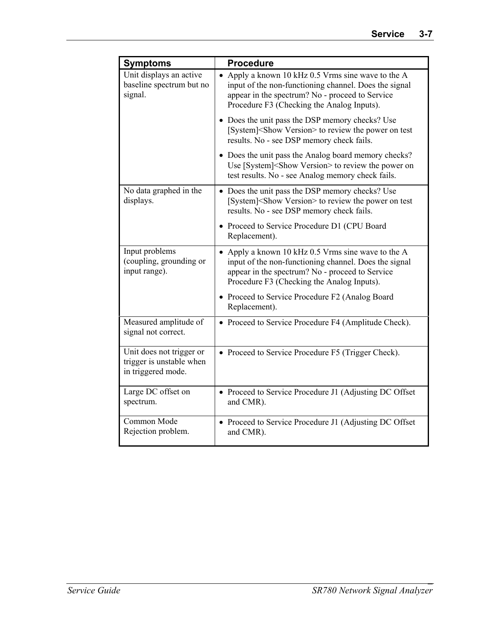| <b>Symptoms</b>                                                            | <b>Procedure</b>                                                                                                                                                                                             |
|----------------------------------------------------------------------------|--------------------------------------------------------------------------------------------------------------------------------------------------------------------------------------------------------------|
| Unit displays an active<br>baseline spectrum but no<br>signal.             | • Apply a known 10 kHz 0.5 Vrms sine wave to the A<br>input of the non-functioning channel. Does the signal<br>appear in the spectrum? No - proceed to Service<br>Procedure F3 (Checking the Analog Inputs). |
|                                                                            | • Does the unit pass the DSP memory checks? Use<br>[System] <show version=""> to review the power on test<br/>results. No - see DSP memory check fails.</show>                                               |
|                                                                            | • Does the unit pass the Analog board memory checks?<br>Use [System] <show version=""> to review the power on<br/>test results. No - see Analog memory check fails.</show>                                   |
| No data graphed in the<br>displays.                                        | • Does the unit pass the DSP memory checks? Use<br>[System] <show version=""> to review the power on test<br/>results. No - see DSP memory check fails.</show>                                               |
|                                                                            | • Proceed to Service Procedure D1 (CPU Board<br>Replacement).                                                                                                                                                |
| Input problems<br>(coupling, grounding or<br>input range).                 | • Apply a known 10 kHz 0.5 Vrms sine wave to the A<br>input of the non-functioning channel. Does the signal<br>appear in the spectrum? No - proceed to Service<br>Procedure F3 (Checking the Analog Inputs). |
|                                                                            | • Proceed to Service Procedure F2 (Analog Board<br>Replacement).                                                                                                                                             |
| Measured amplitude of<br>signal not correct.                               | • Proceed to Service Procedure F4 (Amplitude Check).                                                                                                                                                         |
| Unit does not trigger or<br>trigger is unstable when<br>in triggered mode. | • Proceed to Service Procedure F5 (Trigger Check).                                                                                                                                                           |
| Large DC offset on<br>spectrum.                                            | • Proceed to Service Procedure J1 (Adjusting DC Offset<br>and CMR).                                                                                                                                          |
| Common Mode<br>Rejection problem.                                          | • Proceed to Service Procedure J1 (Adjusting DC Offset<br>and CMR).                                                                                                                                          |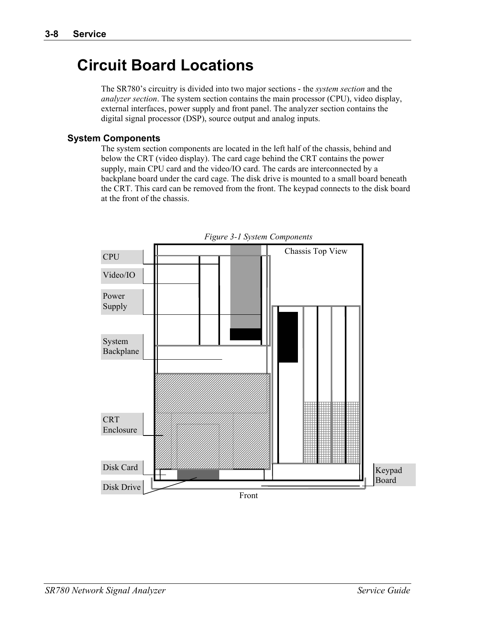## **Circuit Board Locations**

The SR780's circuitry is divided into two major sections - the *system section* and the *analyzer section*. The system section contains the main processor (CPU), video display, external interfaces, power supply and front panel. The analyzer section contains the digital signal processor (DSP), source output and analog inputs.

#### **System Components**

The system section components are located in the left half of the chassis, behind and below the CRT (video display). The card cage behind the CRT contains the power supply, main CPU card and the video/IO card. The cards are interconnected by a backplane board under the card cage. The disk drive is mounted to a small board beneath the CRT. This card can be removed from the front. The keypad connects to the disk board at the front of the chassis.



*Figure 3-1 System Components*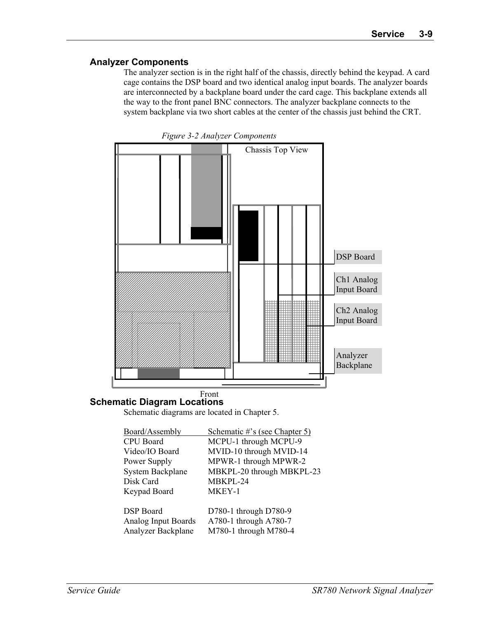#### **Analyzer Components**

The analyzer section is in the right half of the chassis, directly behind the keypad. A card cage contains the DSP board and two identical analog input boards. The analyzer boards are interconnected by a backplane board under the card cage. This backplane extends all the way to the front panel BNC connectors. The analyzer backplane connects to the system backplane via two short cables at the center of the chassis just behind the CRT.



*Figure 3-2 Analyzer Components* 

#### **Schematic Diagram Locations**  Front

Schematic diagrams are located in Chapter 5.

| Board/Assembly          | Schematic #'s (see Chapter 5) |
|-------------------------|-------------------------------|
| <b>CPU</b> Board        | MCPU-1 through MCPU-9         |
| Video/IO Board          | MVID-10 through MVID-14       |
| Power Supply            | MPWR-1 through MPWR-2         |
| <b>System Backplane</b> | MBKPL-20 through MBKPL-23     |
| Disk Card               | MBKPL-24                      |
| Keypad Board            | MKEY-1                        |
|                         |                               |
| <b>DSP</b> Board        | D780-1 through D780-9         |
| Analog Input Boards     | A780-1 through A780-7         |
| Analyzer Backplane      | M780-1 through M780-4         |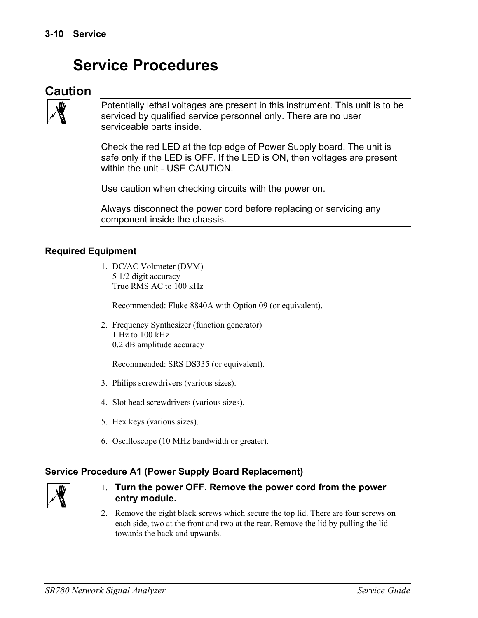## **Service Procedures**

#### **Caution**



Potentially lethal voltages are present in this instrument. This unit is to be serviced by qualified service personnel only. There are no user serviceable parts inside.

Check the red LED at the top edge of Power Supply board. The unit is safe only if the LED is OFF. If the LED is ON, then voltages are present within the unit - USE CAUTION.

Use caution when checking circuits with the power on.

Always disconnect the power cord before replacing or servicing any component inside the chassis.

#### **Required Equipment**

1. DC/AC Voltmeter (DVM) 5 1/2 digit accuracy True RMS AC to 100 kHz

Recommended: Fluke 8840A with Option 09 (or equivalent).

2. Frequency Synthesizer (function generator) 1 Hz to 100 kHz 0.2 dB amplitude accuracy

Recommended: SRS DS335 (or equivalent).

- 3. Philips screwdrivers (various sizes).
- 4. Slot head screwdrivers (various sizes).
- 5. Hex keys (various sizes).
- 6. Oscilloscope (10 MHz bandwidth or greater).

#### **Service Procedure A1 (Power Supply Board Replacement)**



- 1. **Turn the power OFF. Remove the power cord from the power entry module.**
- 2. Remove the eight black screws which secure the top lid. There are four screws on each side, two at the front and two at the rear. Remove the lid by pulling the lid towards the back and upwards.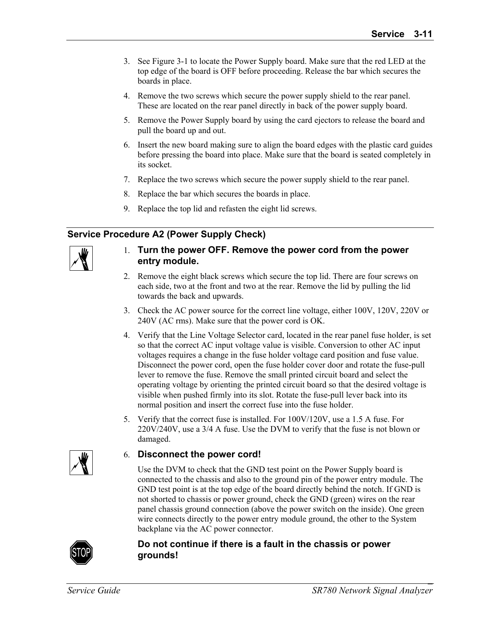- 3. See Figure 3-1 to locate the Power Supply board. Make sure that the red LED at the top edge of the board is OFF before proceeding. Release the bar which secures the boards in place.
- 4. Remove the two screws which secure the power supply shield to the rear panel. These are located on the rear panel directly in back of the power supply board.
- 5. Remove the Power Supply board by using the card ejectors to release the board and pull the board up and out.
- 6. Insert the new board making sure to align the board edges with the plastic card guides before pressing the board into place. Make sure that the board is seated completely in its socket.
- 7. Replace the two screws which secure the power supply shield to the rear panel.
- 8. Replace the bar which secures the boards in place.
- 9. Replace the top lid and refasten the eight lid screws.

#### **Service Procedure A2 (Power Supply Check)**

| " |
|---|
|   |
|   |
|   |
|   |
|   |
|   |

- 1. **Turn the power OFF. Remove the power cord from the power entry module.**
- 2. Remove the eight black screws which secure the top lid. There are four screws on each side, two at the front and two at the rear. Remove the lid by pulling the lid towards the back and upwards.
- 3. Check the AC power source for the correct line voltage, either 100V, 120V, 220V or 240V (AC rms). Make sure that the power cord is OK.
- 4. Verify that the Line Voltage Selector card, located in the rear panel fuse holder, is set so that the correct AC input voltage value is visible. Conversion to other AC input voltages requires a change in the fuse holder voltage card position and fuse value. Disconnect the power cord, open the fuse holder cover door and rotate the fuse-pull lever to remove the fuse. Remove the small printed circuit board and select the operating voltage by orienting the printed circuit board so that the desired voltage is visible when pushed firmly into its slot. Rotate the fuse-pull lever back into its normal position and insert the correct fuse into the fuse holder.
- 5. Verify that the correct fuse is installed. For 100V/120V, use a 1.5 A fuse. For 220V/240V, use a 3/4 A fuse. Use the DVM to verify that the fuse is not blown or damaged.

#### 6. **Disconnect the power cord!**

 Use the DVM to check that the GND test point on the Power Supply board is connected to the chassis and also to the ground pin of the power entry module. The GND test point is at the top edge of the board directly behind the notch. If GND is not shorted to chassis or power ground, check the GND (green) wires on the rear panel chassis ground connection (above the power switch on the inside). One green wire connects directly to the power entry module ground, the other to the System backplane via the AC power connector.



#### **Do not continue if there is a fault in the chassis or power grounds!**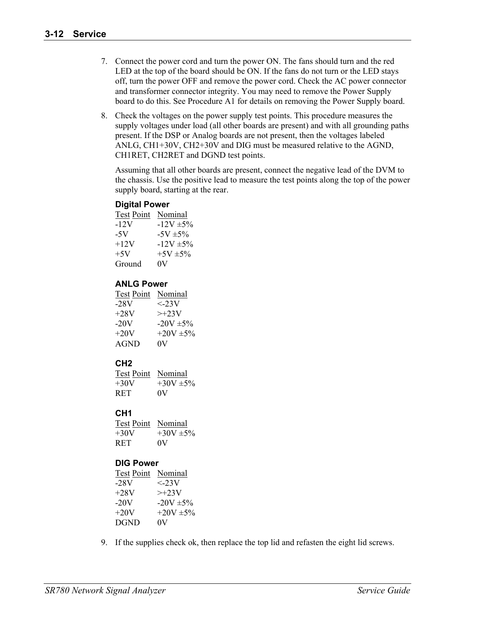- 7. Connect the power cord and turn the power ON. The fans should turn and the red LED at the top of the board should be ON. If the fans do not turn or the LED stays off, turn the power OFF and remove the power cord. Check the AC power connector and transformer connector integrity. You may need to remove the Power Supply board to do this. See Procedure A1 for details on removing the Power Supply board.
- 8. Check the voltages on the power supply test points. This procedure measures the supply voltages under load (all other boards are present) and with all grounding paths present. If the DSP or Analog boards are not present, then the voltages labeled ANLG, CH1+30V, CH2+30V and DIG must be measured relative to the AGND, CH1RET, CH2RET and DGND test points.

 Assuming that all other boards are present, connect the negative lead of the DVM to the chassis. Use the positive lead to measure the test points along the top of the power supply board, starting at the rear.

#### **Digital Power**

| <b>Test Point</b> | Nominal        |
|-------------------|----------------|
| $-12V$            | $-12V \pm 5\%$ |
| -5V               | $-5V \pm 5\%$  |
| $+12V$            | $-12V \pm 5\%$ |
| $+5V$             | $+5V \pm 5\%$  |
| Ground            | 0V             |

#### **ANLG Power**

| <b>Test Point</b> | Nominal                |
|-------------------|------------------------|
| $-28V$            | $\langle -23V \rangle$ |
| $+28V$            | $\geq +23V$            |
| $-20V$            | $-20V \pm 5\%$         |
| $+20V$            | $+20V \pm 5\%$         |
| AGND              | 0V                     |

#### **CH2**

| Test Point Nominal |              |
|--------------------|--------------|
| $+30V$             | $+30V + 5\%$ |
| <b>RET</b>         | OV           |

#### **CH1**

| <b>Test Point</b> Nominal |              |
|---------------------------|--------------|
| $+30V$                    | $+30V + 5\%$ |
| R ET.                     | 0V           |

#### **DIG Power**

| <b>Test Point</b> | Nominal        |
|-------------------|----------------|
| $-28V$            | $\langle -23V$ |
| $+28V$            | $>>+23V$       |
| $-20V$            | $-20V + 5\%$   |
| $+20V$            | $+20V + 5\%$   |
| <b>DGND</b>       | 0V             |

9. If the supplies check ok, then replace the top lid and refasten the eight lid screws.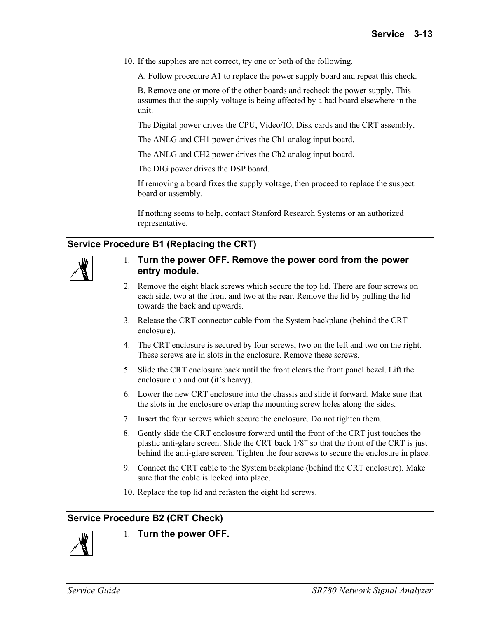10. If the supplies are not correct, try one or both of the following.

A. Follow procedure A1 to replace the power supply board and repeat this check.

 B. Remove one or more of the other boards and recheck the power supply. This assumes that the supply voltage is being affected by a bad board elsewhere in the unit.

The Digital power drives the CPU, Video/IO, Disk cards and the CRT assembly.

The ANLG and CH1 power drives the Ch1 analog input board.

The ANLG and CH2 power drives the Ch2 analog input board.

The DIG power drives the DSP board.

 If removing a board fixes the supply voltage, then proceed to replace the suspect board or assembly.

 If nothing seems to help, contact Stanford Research Systems or an authorized representative.

#### **Service Procedure B1 (Replacing the CRT)**



#### 1. **Turn the power OFF. Remove the power cord from the power entry module.**

- 2. Remove the eight black screws which secure the top lid. There are four screws on each side, two at the front and two at the rear. Remove the lid by pulling the lid towards the back and upwards.
- 3. Release the CRT connector cable from the System backplane (behind the CRT enclosure).
- 4. The CRT enclosure is secured by four screws, two on the left and two on the right. These screws are in slots in the enclosure. Remove these screws.
- 5. Slide the CRT enclosure back until the front clears the front panel bezel. Lift the enclosure up and out (it's heavy).
- 6. Lower the new CRT enclosure into the chassis and slide it forward. Make sure that the slots in the enclosure overlap the mounting screw holes along the sides.
- 7. Insert the four screws which secure the enclosure. Do not tighten them.
- 8. Gently slide the CRT enclosure forward until the front of the CRT just touches the plastic anti-glare screen. Slide the CRT back 1/8" so that the front of the CRT is just behind the anti-glare screen. Tighten the four screws to secure the enclosure in place.
- 9. Connect the CRT cable to the System backplane (behind the CRT enclosure). Make sure that the cable is locked into place.
- 10. Replace the top lid and refasten the eight lid screws.

#### **Service Procedure B2 (CRT Check)**



1. **Turn the power OFF.**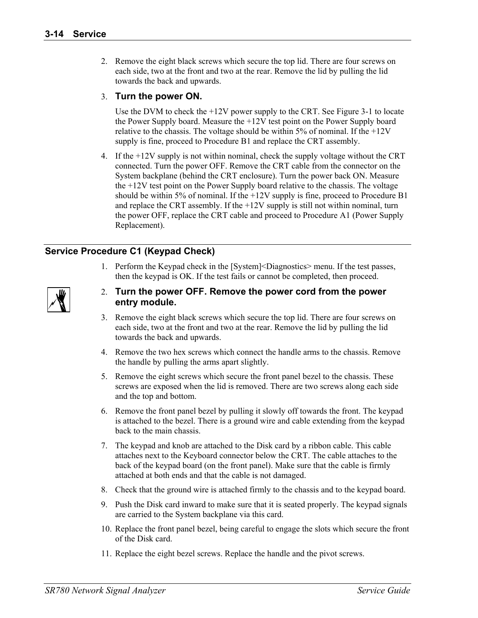2. Remove the eight black screws which secure the top lid. There are four screws on each side, two at the front and two at the rear. Remove the lid by pulling the lid towards the back and upwards.

#### 3. **Turn the power ON.**

 Use the DVM to check the +12V power supply to the CRT. See Figure 3-1 to locate the Power Supply board. Measure the +12V test point on the Power Supply board relative to the chassis. The voltage should be within 5% of nominal. If the  $+12V$ supply is fine, proceed to Procedure B1 and replace the CRT assembly.

4. If the +12V supply is not within nominal, check the supply voltage without the CRT connected. Turn the power OFF. Remove the CRT cable from the connector on the System backplane (behind the CRT enclosure). Turn the power back ON. Measure the +12V test point on the Power Supply board relative to the chassis. The voltage should be within 5% of nominal. If the +12V supply is fine, proceed to Procedure B1 and replace the CRT assembly. If the +12V supply is still not within nominal, turn the power OFF, replace the CRT cable and proceed to Procedure A1 (Power Supply Replacement).

#### **Service Procedure C1 (Keypad Check)**

1. Perform the Keypad check in the [System]<Diagnostics> menu. If the test passes, then the keypad is OK. If the test fails or cannot be completed, then proceed.

| ı<br>ll |
|---------|
|         |

- 3. Remove the eight black screws which secure the top lid. There are four screws on each side, two at the front and two at the rear. Remove the lid by pulling the lid towards the back and upwards.
- 4. Remove the two hex screws which connect the handle arms to the chassis. Remove the handle by pulling the arms apart slightly.
- 5. Remove the eight screws which secure the front panel bezel to the chassis. These screws are exposed when the lid is removed. There are two screws along each side and the top and bottom.
- 6. Remove the front panel bezel by pulling it slowly off towards the front. The keypad is attached to the bezel. There is a ground wire and cable extending from the keypad back to the main chassis.
- 7. The keypad and knob are attached to the Disk card by a ribbon cable. This cable attaches next to the Keyboard connector below the CRT. The cable attaches to the back of the keypad board (on the front panel). Make sure that the cable is firmly attached at both ends and that the cable is not damaged.
- 8. Check that the ground wire is attached firmly to the chassis and to the keypad board.
- 9. Push the Disk card inward to make sure that it is seated properly. The keypad signals are carried to the System backplane via this card.
- 10. Replace the front panel bezel, being careful to engage the slots which secure the front of the Disk card.
- 11. Replace the eight bezel screws. Replace the handle and the pivot screws.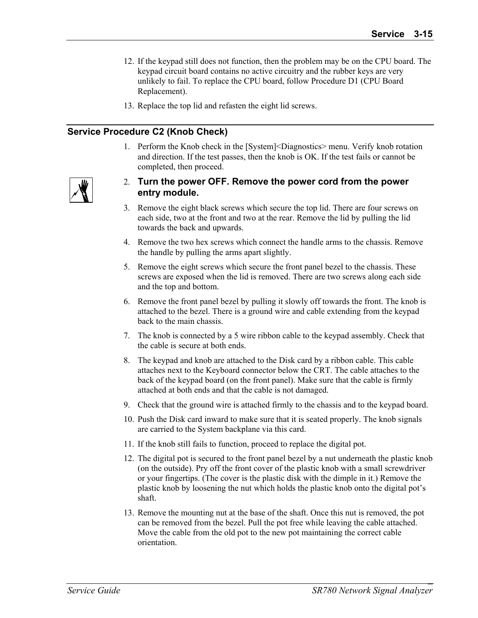- 12. If the keypad still does not function, then the problem may be on the CPU board. The keypad circuit board contains no active circuitry and the rubber keys are very unlikely to fail. To replace the CPU board, follow Procedure D1 (CPU Board Replacement).
- 13. Replace the top lid and refasten the eight lid screws.

#### **Service Procedure C2 (Knob Check)**

1. Perform the Knob check in the [System]<Diagnostics> menu. Verify knob rotation and direction. If the test passes, then the knob is OK. If the test fails or cannot be completed, then proceed.



- 2. **Turn the power OFF. Remove the power cord from the power entry module.**
- 3. Remove the eight black screws which secure the top lid. There are four screws on each side, two at the front and two at the rear. Remove the lid by pulling the lid towards the back and upwards.
- 4. Remove the two hex screws which connect the handle arms to the chassis. Remove the handle by pulling the arms apart slightly.
- 5. Remove the eight screws which secure the front panel bezel to the chassis. These screws are exposed when the lid is removed. There are two screws along each side and the top and bottom.
- 6. Remove the front panel bezel by pulling it slowly off towards the front. The knob is attached to the bezel. There is a ground wire and cable extending from the keypad back to the main chassis.
- 7. The knob is connected by a 5 wire ribbon cable to the keypad assembly. Check that the cable is secure at both ends.
- 8. The keypad and knob are attached to the Disk card by a ribbon cable. This cable attaches next to the Keyboard connector below the CRT. The cable attaches to the back of the keypad board (on the front panel). Make sure that the cable is firmly attached at both ends and that the cable is not damaged.
- 9. Check that the ground wire is attached firmly to the chassis and to the keypad board.
- 10. Push the Disk card inward to make sure that it is seated properly. The knob signals are carried to the System backplane via this card.
- 11. If the knob still fails to function, proceed to replace the digital pot.
- 12. The digital pot is secured to the front panel bezel by a nut underneath the plastic knob (on the outside). Pry off the front cover of the plastic knob with a small screwdriver or your fingertips. (The cover is the plastic disk with the dimple in it.) Remove the plastic knob by loosening the nut which holds the plastic knob onto the digital pot's shaft.
- 13. Remove the mounting nut at the base of the shaft. Once this nut is removed, the pot can be removed from the bezel. Pull the pot free while leaving the cable attached. Move the cable from the old pot to the new pot maintaining the correct cable orientation.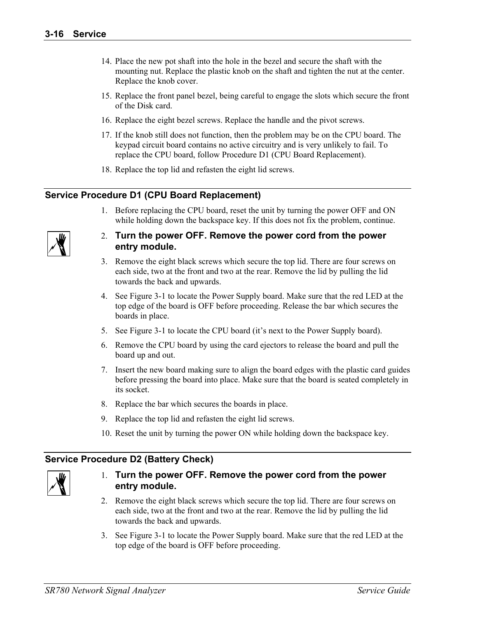- 14. Place the new pot shaft into the hole in the bezel and secure the shaft with the mounting nut. Replace the plastic knob on the shaft and tighten the nut at the center. Replace the knob cover.
- 15. Replace the front panel bezel, being careful to engage the slots which secure the front of the Disk card.
- 16. Replace the eight bezel screws. Replace the handle and the pivot screws.
- 17. If the knob still does not function, then the problem may be on the CPU board. The keypad circuit board contains no active circuitry and is very unlikely to fail. To replace the CPU board, follow Procedure D1 (CPU Board Replacement).
- 18. Replace the top lid and refasten the eight lid screws.

#### **Service Procedure D1 (CPU Board Replacement)**

1. Before replacing the CPU board, reset the unit by turning the power OFF and ON while holding down the backspace key. If this does not fix the problem, continue.



#### 2. **Turn the power OFF. Remove the power cord from the power entry module.**

- 3. Remove the eight black screws which secure the top lid. There are four screws on each side, two at the front and two at the rear. Remove the lid by pulling the lid towards the back and upwards.
- 4. See Figure 3-1 to locate the Power Supply board. Make sure that the red LED at the top edge of the board is OFF before proceeding. Release the bar which secures the boards in place.
- 5. See Figure 3-1 to locate the CPU board (it's next to the Power Supply board).
- 6. Remove the CPU board by using the card ejectors to release the board and pull the board up and out.
- 7. Insert the new board making sure to align the board edges with the plastic card guides before pressing the board into place. Make sure that the board is seated completely in its socket.
- 8. Replace the bar which secures the boards in place.
- 9. Replace the top lid and refasten the eight lid screws.
- 10. Reset the unit by turning the power ON while holding down the backspace key.

#### **Service Procedure D2 (Battery Check)**



- 2. Remove the eight black screws which secure the top lid. There are four screws on each side, two at the front and two at the rear. Remove the lid by pulling the lid towards the back and upwards.
- 3. See Figure 3-1 to locate the Power Supply board. Make sure that the red LED at the top edge of the board is OFF before proceeding.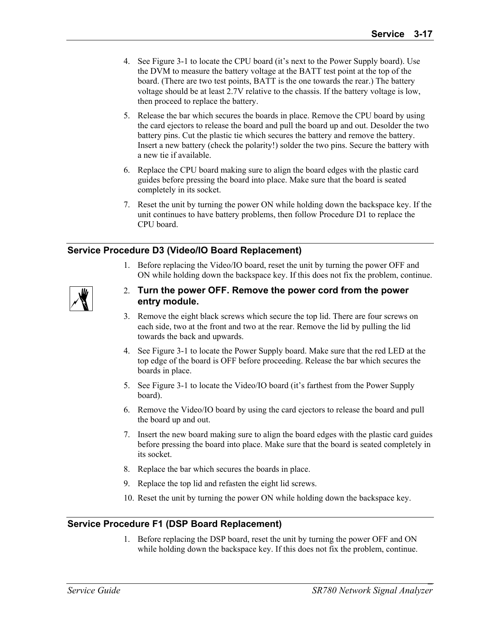- 4. See Figure 3-1 to locate the CPU board (it's next to the Power Supply board). Use the DVM to measure the battery voltage at the BATT test point at the top of the board. (There are two test points, BATT is the one towards the rear.) The battery voltage should be at least 2.7V relative to the chassis. If the battery voltage is low, then proceed to replace the battery.
- 5. Release the bar which secures the boards in place. Remove the CPU board by using the card ejectors to release the board and pull the board up and out. Desolder the two battery pins. Cut the plastic tie which secures the battery and remove the battery. Insert a new battery (check the polarity!) solder the two pins. Secure the battery with a new tie if available.
- 6. Replace the CPU board making sure to align the board edges with the plastic card guides before pressing the board into place. Make sure that the board is seated completely in its socket.
- 7. Reset the unit by turning the power ON while holding down the backspace key. If the unit continues to have battery problems, then follow Procedure D1 to replace the CPU board.

#### **Service Procedure D3 (Video/IO Board Replacement)**

1. Before replacing the Video/IO board, reset the unit by turning the power OFF and ON while holding down the backspace key. If this does not fix the problem, continue.



- 2. **Turn the power OFF. Remove the power cord from the power entry module.**
- 3. Remove the eight black screws which secure the top lid. There are four screws on each side, two at the front and two at the rear. Remove the lid by pulling the lid towards the back and upwards.
- 4. See Figure 3-1 to locate the Power Supply board. Make sure that the red LED at the top edge of the board is OFF before proceeding. Release the bar which secures the boards in place.
- 5. See Figure 3-1 to locate the Video/IO board (it's farthest from the Power Supply board).
- 6. Remove the Video/IO board by using the card ejectors to release the board and pull the board up and out.
- 7. Insert the new board making sure to align the board edges with the plastic card guides before pressing the board into place. Make sure that the board is seated completely in its socket.
- 8. Replace the bar which secures the boards in place.
- 9. Replace the top lid and refasten the eight lid screws.
- 10. Reset the unit by turning the power ON while holding down the backspace key.

#### **Service Procedure F1 (DSP Board Replacement)**

1. Before replacing the DSP board, reset the unit by turning the power OFF and ON while holding down the backspace key. If this does not fix the problem, continue.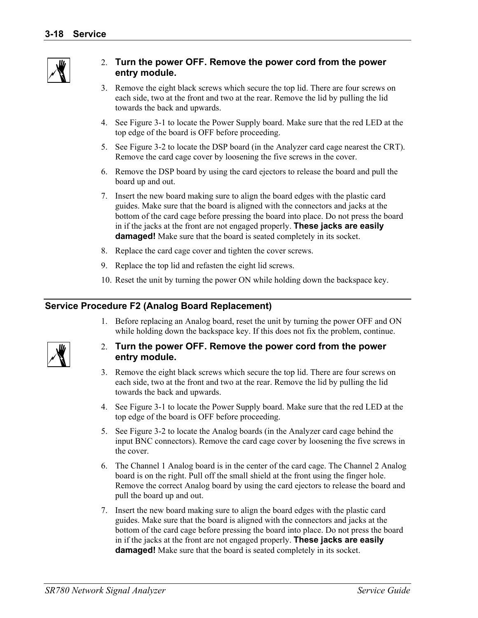

#### 2. **Turn the power OFF. Remove the power cord from the power entry module.**

- 3. Remove the eight black screws which secure the top lid. There are four screws on each side, two at the front and two at the rear. Remove the lid by pulling the lid towards the back and upwards.
- 4. See Figure 3-1 to locate the Power Supply board. Make sure that the red LED at the top edge of the board is OFF before proceeding.
- 5. See Figure 3-2 to locate the DSP board (in the Analyzer card cage nearest the CRT). Remove the card cage cover by loosening the five screws in the cover.
- 6. Remove the DSP board by using the card ejectors to release the board and pull the board up and out.
- 7. Insert the new board making sure to align the board edges with the plastic card guides. Make sure that the board is aligned with the connectors and jacks at the bottom of the card cage before pressing the board into place. Do not press the board in if the jacks at the front are not engaged properly. **These jacks are easily damaged!** Make sure that the board is seated completely in its socket.
- 8. Replace the card cage cover and tighten the cover screws.
- 9. Replace the top lid and refasten the eight lid screws.
- 10. Reset the unit by turning the power ON while holding down the backspace key.

#### **Service Procedure F2 (Analog Board Replacement)**

1. Before replacing an Analog board, reset the unit by turning the power OFF and ON while holding down the backspace key. If this does not fix the problem, continue.



- 3. Remove the eight black screws which secure the top lid. There are four screws on each side, two at the front and two at the rear. Remove the lid by pulling the lid towards the back and upwards.
- 4. See Figure 3-1 to locate the Power Supply board. Make sure that the red LED at the top edge of the board is OFF before proceeding.
- 5. See Figure 3-2 to locate the Analog boards (in the Analyzer card cage behind the input BNC connectors). Remove the card cage cover by loosening the five screws in the cover.
- 6. The Channel 1 Analog board is in the center of the card cage. The Channel 2 Analog board is on the right. Pull off the small shield at the front using the finger hole. Remove the correct Analog board by using the card ejectors to release the board and pull the board up and out.
- 7. Insert the new board making sure to align the board edges with the plastic card guides. Make sure that the board is aligned with the connectors and jacks at the bottom of the card cage before pressing the board into place. Do not press the board in if the jacks at the front are not engaged properly. **These jacks are easily damaged!** Make sure that the board is seated completely in its socket.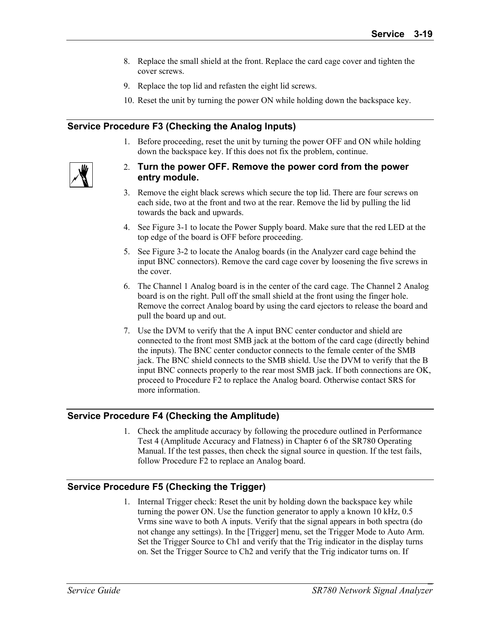- 8. Replace the small shield at the front. Replace the card cage cover and tighten the cover screws.
- 9. Replace the top lid and refasten the eight lid screws.
- 10. Reset the unit by turning the power ON while holding down the backspace key.

#### **Service Procedure F3 (Checking the Analog Inputs)**

1. Before proceeding, reset the unit by turning the power OFF and ON while holding down the backspace key. If this does not fix the problem, continue.



- 2. **Turn the power OFF. Remove the power cord from the power entry module.**
- 3. Remove the eight black screws which secure the top lid. There are four screws on each side, two at the front and two at the rear. Remove the lid by pulling the lid towards the back and upwards.
- 4. See Figure 3-1 to locate the Power Supply board. Make sure that the red LED at the top edge of the board is OFF before proceeding.
- 5. See Figure 3-2 to locate the Analog boards (in the Analyzer card cage behind the input BNC connectors). Remove the card cage cover by loosening the five screws in the cover.
- 6. The Channel 1 Analog board is in the center of the card cage. The Channel 2 Analog board is on the right. Pull off the small shield at the front using the finger hole. Remove the correct Analog board by using the card ejectors to release the board and pull the board up and out.
- 7. Use the DVM to verify that the A input BNC center conductor and shield are connected to the front most SMB jack at the bottom of the card cage (directly behind the inputs). The BNC center conductor connects to the female center of the SMB jack. The BNC shield connects to the SMB shield. Use the DVM to verify that the B input BNC connects properly to the rear most SMB jack. If both connections are OK, proceed to Procedure F2 to replace the Analog board. Otherwise contact SRS for more information.

#### **Service Procedure F4 (Checking the Amplitude)**

1. Check the amplitude accuracy by following the procedure outlined in Performance Test 4 (Amplitude Accuracy and Flatness) in Chapter 6 of the SR780 Operating Manual. If the test passes, then check the signal source in question. If the test fails, follow Procedure F2 to replace an Analog board.

#### **Service Procedure F5 (Checking the Trigger)**

1. Internal Trigger check: Reset the unit by holding down the backspace key while turning the power ON. Use the function generator to apply a known 10 kHz, 0.5 Vrms sine wave to both A inputs. Verify that the signal appears in both spectra (do not change any settings). In the [Trigger] menu, set the Trigger Mode to Auto Arm. Set the Trigger Source to Ch1 and verify that the Trig indicator in the display turns on. Set the Trigger Source to Ch2 and verify that the Trig indicator turns on. If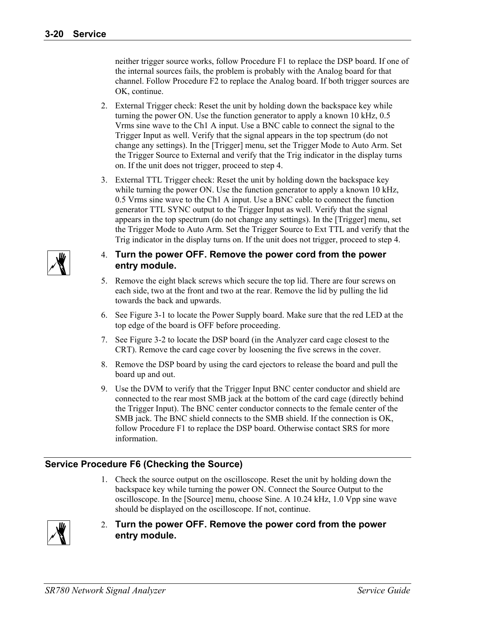neither trigger source works, follow Procedure F1 to replace the DSP board. If one of the internal sources fails, the problem is probably with the Analog board for that channel. Follow Procedure F2 to replace the Analog board. If both trigger sources are OK, continue.

- 2. External Trigger check: Reset the unit by holding down the backspace key while turning the power ON. Use the function generator to apply a known 10 kHz, 0.5 Vrms sine wave to the Ch1 A input. Use a BNC cable to connect the signal to the Trigger Input as well. Verify that the signal appears in the top spectrum (do not change any settings). In the [Trigger] menu, set the Trigger Mode to Auto Arm. Set the Trigger Source to External and verify that the Trig indicator in the display turns on. If the unit does not trigger, proceed to step 4.
- 3. External TTL Trigger check: Reset the unit by holding down the backspace key while turning the power ON. Use the function generator to apply a known 10 kHz, 0.5 Vrms sine wave to the Ch1 A input. Use a BNC cable to connect the function generator TTL SYNC output to the Trigger Input as well. Verify that the signal appears in the top spectrum (do not change any settings). In the [Trigger] menu, set the Trigger Mode to Auto Arm. Set the Trigger Source to Ext TTL and verify that the Trig indicator in the display turns on. If the unit does not trigger, proceed to step 4.

#### 4. **Turn the power OFF. Remove the power cord from the power entry module.**

- 5. Remove the eight black screws which secure the top lid. There are four screws on each side, two at the front and two at the rear. Remove the lid by pulling the lid towards the back and upwards.
- 6. See Figure 3-1 to locate the Power Supply board. Make sure that the red LED at the top edge of the board is OFF before proceeding.
- 7. See Figure 3-2 to locate the DSP board (in the Analyzer card cage closest to the CRT). Remove the card cage cover by loosening the five screws in the cover.
- 8. Remove the DSP board by using the card ejectors to release the board and pull the board up and out.
- 9. Use the DVM to verify that the Trigger Input BNC center conductor and shield are connected to the rear most SMB jack at the bottom of the card cage (directly behind the Trigger Input). The BNC center conductor connects to the female center of the SMB jack. The BNC shield connects to the SMB shield. If the connection is OK, follow Procedure F1 to replace the DSP board. Otherwise contact SRS for more information.

#### **Service Procedure F6 (Checking the Source)**

1. Check the source output on the oscilloscope. Reset the unit by holding down the backspace key while turning the power ON. Connect the Source Output to the oscilloscope. In the [Source] menu, choose Sine. A 10.24 kHz, 1.0 Vpp sine wave should be displayed on the oscilloscope. If not, continue.



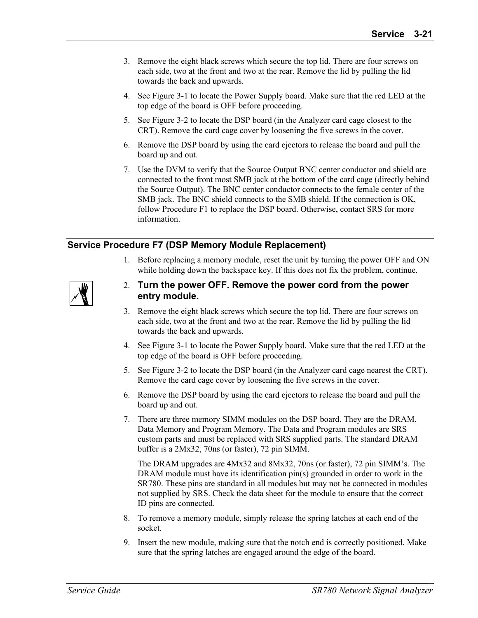- 3. Remove the eight black screws which secure the top lid. There are four screws on each side, two at the front and two at the rear. Remove the lid by pulling the lid towards the back and upwards.
- 4. See Figure 3-1 to locate the Power Supply board. Make sure that the red LED at the top edge of the board is OFF before proceeding.
- 5. See Figure 3-2 to locate the DSP board (in the Analyzer card cage closest to the CRT). Remove the card cage cover by loosening the five screws in the cover.
- 6. Remove the DSP board by using the card ejectors to release the board and pull the board up and out.
- 7. Use the DVM to verify that the Source Output BNC center conductor and shield are connected to the front most SMB jack at the bottom of the card cage (directly behind the Source Output). The BNC center conductor connects to the female center of the SMB jack. The BNC shield connects to the SMB shield. If the connection is OK, follow Procedure F1 to replace the DSP board. Otherwise, contact SRS for more information.

#### **Service Procedure F7 (DSP Memory Module Replacement)**

1. Before replacing a memory module, reset the unit by turning the power OFF and ON while holding down the backspace key. If this does not fix the problem, continue.



- 2. **Turn the power OFF. Remove the power cord from the power entry module.**
- 3. Remove the eight black screws which secure the top lid. There are four screws on each side, two at the front and two at the rear. Remove the lid by pulling the lid towards the back and upwards.
- 4. See Figure 3-1 to locate the Power Supply board. Make sure that the red LED at the top edge of the board is OFF before proceeding.
- 5. See Figure 3-2 to locate the DSP board (in the Analyzer card cage nearest the CRT). Remove the card cage cover by loosening the five screws in the cover.
- 6. Remove the DSP board by using the card ejectors to release the board and pull the board up and out.
- 7. There are three memory SIMM modules on the DSP board. They are the DRAM, Data Memory and Program Memory. The Data and Program modules are SRS custom parts and must be replaced with SRS supplied parts. The standard DRAM buffer is a 2Mx32, 70ns (or faster), 72 pin SIMM.

 The DRAM upgrades are 4Mx32 and 8Mx32, 70ns (or faster), 72 pin SIMM's. The DRAM module must have its identification pin(s) grounded in order to work in the SR780. These pins are standard in all modules but may not be connected in modules not supplied by SRS. Check the data sheet for the module to ensure that the correct ID pins are connected.

- 8. To remove a memory module, simply release the spring latches at each end of the socket.
- 9. Insert the new module, making sure that the notch end is correctly positioned. Make sure that the spring latches are engaged around the edge of the board.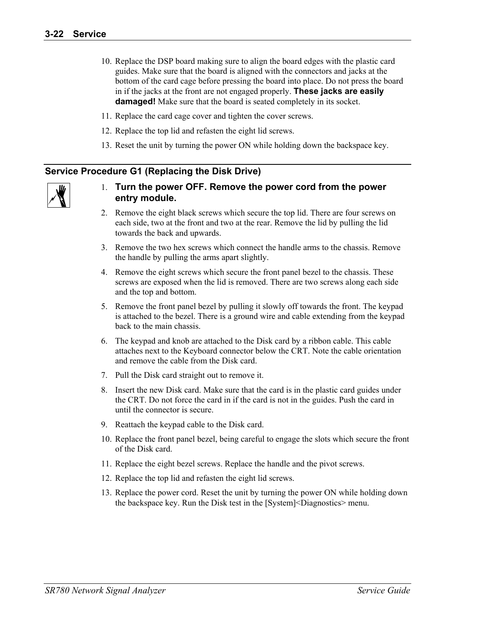- 10. Replace the DSP board making sure to align the board edges with the plastic card guides. Make sure that the board is aligned with the connectors and jacks at the bottom of the card cage before pressing the board into place. Do not press the board in if the jacks at the front are not engaged properly. **These jacks are easily damaged!** Make sure that the board is seated completely in its socket.
- 11. Replace the card cage cover and tighten the cover screws.
- 12. Replace the top lid and refasten the eight lid screws.
- 13. Reset the unit by turning the power ON while holding down the backspace key.

#### **Service Procedure G1 (Replacing the Disk Drive)**

- 2. Remove the eight black screws which secure the top lid. There are four screws on each side, two at the front and two at the rear. Remove the lid by pulling the lid towards the back and upwards.
- 3. Remove the two hex screws which connect the handle arms to the chassis. Remove the handle by pulling the arms apart slightly.
- 4. Remove the eight screws which secure the front panel bezel to the chassis. These screws are exposed when the lid is removed. There are two screws along each side and the top and bottom.
- 5. Remove the front panel bezel by pulling it slowly off towards the front. The keypad is attached to the bezel. There is a ground wire and cable extending from the keypad back to the main chassis.
- 6. The keypad and knob are attached to the Disk card by a ribbon cable. This cable attaches next to the Keyboard connector below the CRT. Note the cable orientation and remove the cable from the Disk card.
- 7. Pull the Disk card straight out to remove it.
- 8. Insert the new Disk card. Make sure that the card is in the plastic card guides under the CRT. Do not force the card in if the card is not in the guides. Push the card in until the connector is secure.
- 9. Reattach the keypad cable to the Disk card.
- 10. Replace the front panel bezel, being careful to engage the slots which secure the front of the Disk card.
- 11. Replace the eight bezel screws. Replace the handle and the pivot screws.
- 12. Replace the top lid and refasten the eight lid screws.
- 13. Replace the power cord. Reset the unit by turning the power ON while holding down the backspace key. Run the Disk test in the [System]<Diagnostics> menu.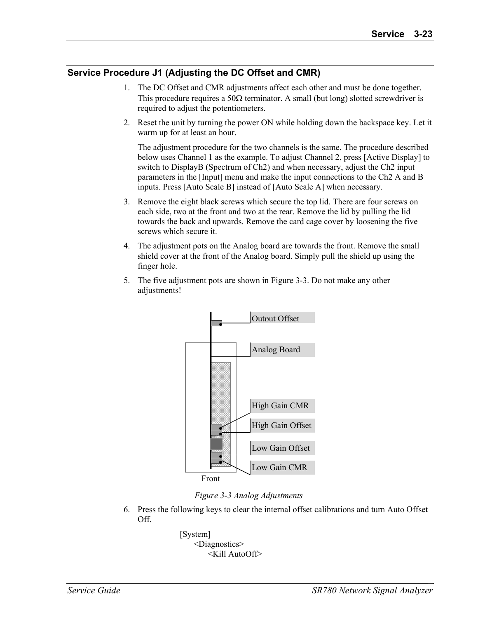#### **Service Procedure J1 (Adjusting the DC Offset and CMR)**

- 1. The DC Offset and CMR adjustments affect each other and must be done together. This procedure requires a 50 $\Omega$  terminator. A small (but long) slotted screwdriver is required to adjust the potentiometers.
- 2. Reset the unit by turning the power ON while holding down the backspace key. Let it warm up for at least an hour.

 The adjustment procedure for the two channels is the same. The procedure described below uses Channel 1 as the example. To adjust Channel 2, press [Active Display] to switch to DisplayB (Spectrum of Ch2) and when necessary, adjust the Ch2 input parameters in the [Input] menu and make the input connections to the Ch2 A and B inputs. Press [Auto Scale B] instead of [Auto Scale A] when necessary.

- 3. Remove the eight black screws which secure the top lid. There are four screws on each side, two at the front and two at the rear. Remove the lid by pulling the lid towards the back and upwards. Remove the card cage cover by loosening the five screws which secure it.
- 4. The adjustment pots on the Analog board are towards the front. Remove the small shield cover at the front of the Analog board. Simply pull the shield up using the finger hole.
- 5. The five adjustment pots are shown in Figure 3-3. Do not make any other adjustments!



*Figure 3-3 Analog Adjustments*

6. Press the following keys to clear the internal offset calibrations and turn Auto Offset Off.

> [System] <Diagnostics> <Kill AutoOff>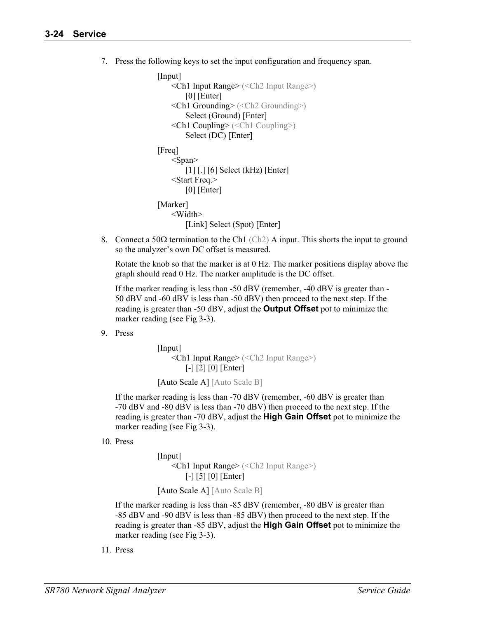7. Press the following keys to set the input configuration and frequency span.

```
 [Input] 
     <Ch1 Input Range> (<Ch2 Input Range>)
         [0] [Enter] 
     <Ch1 Grounding> (<Ch2 Grounding>)
         Select (Ground) [Enter] 
     <Ch1 Coupling> (<Ch1 Coupling>)
         Select (DC) [Enter] 
 [Freq] 
    <Span> [1] [.] [6] Select (kHz) [Enter] 
     <Start Freq.> 
        [0] [Enter]
[Marker]
     <Width> 
        [Link] Select (Spot) [Enter]
```
8. Connect a 50Ω termination to the Ch1 (Ch2) A input. This shorts the input to ground so the analyzer's own DC offset is measured.

 Rotate the knob so that the marker is at 0 Hz. The marker positions display above the graph should read 0 Hz. The marker amplitude is the DC offset.

 If the marker reading is less than -50 dBV (remember, -40 dBV is greater than - 50 dBV and -60 dBV is less than -50 dBV) then proceed to the next step. If the reading is greater than -50 dBV, adjust the **Output Offset** pot to minimize the marker reading (see Fig 3-3).

9. Press

```
 [Input] 
     <Ch1 Input Range> (<Ch2 Input Range>)
         [-] [2] [0] [Enter]
```
[Auto Scale A] [Auto Scale B]

 If the marker reading is less than -70 dBV (remember, -60 dBV is greater than -70 dBV and -80 dBV is less than -70 dBV) then proceed to the next step. If the reading is greater than -70 dBV, adjust the **High Gain Offset** pot to minimize the marker reading (see Fig 3-3).

10. Press

 [Input] <Ch1 Input Range> (<Ch2 Input Range>) [-] [5] [0] [Enter]

```
 [Auto Scale A] [Auto Scale B]
```
 If the marker reading is less than -85 dBV (remember, -80 dBV is greater than -85 dBV and -90 dBV is less than -85 dBV) then proceed to the next step. If the reading is greater than -85 dBV, adjust the **High Gain Offset** pot to minimize the marker reading (see Fig 3-3).

11. Press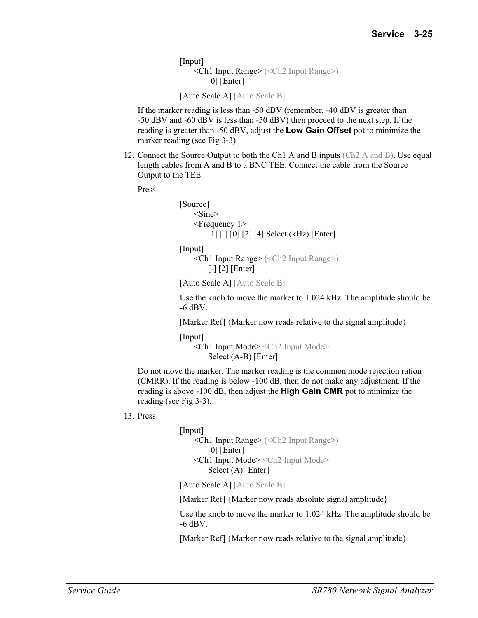[Input] <Ch1 Input Range> (<Ch2 Input Range>)  $[0]$  [Enter]

```
 [Auto Scale A] [Auto Scale B]
```
 If the marker reading is less than -50 dBV (remember, -40 dBV is greater than -50 dBV and -60 dBV is less than -50 dBV) then proceed to the next step. If the reading is greater than -50 dBV, adjust the **Low Gain Offset** pot to minimize the marker reading (see Fig 3-3).

12. Connect the Source Output to both the Ch1 A and B inputs (Ch2 A and B). Use equal length cables from A and B to a BNC TEE. Connect the cable from the Source Output to the TEE.

Press

 [Source] <Sine> <Frequency 1> [1] [.] [0] [2] [4] Select (kHz) [Enter]

[Input]

 <Ch1 Input Range> (<Ch2 Input Range>) [-] [2] [Enter]

[Auto Scale A] [Auto Scale B]

 Use the knob to move the marker to 1.024 kHz. The amplitude should be -6 dBV.

[Marker Ref] {Marker now reads relative to the signal amplitude}

[Input]

 <Ch1 Input Mode> <Ch2 Input Mode> Select (A-B) [Enter]

 Do not move the marker. The marker reading is the common mode rejection ration (CMRR). If the reading is below -100 dB, then do not make any adjustment. If the reading is above -100 dB, then adjust the **High Gain CMR** pot to minimize the reading (see Fig 3-3).

13. Press

 [Input] <Ch1 Input Range> (<Ch2 Input Range>) [0] [Enter] <Ch1 Input Mode> <Ch2 Input Mode> Select (A) [Enter]

[Auto Scale A] [Auto Scale B]

[Marker Ref] {Marker now reads absolute signal amplitude}

 Use the knob to move the marker to 1.024 kHz. The amplitude should be -6 dBV.

[Marker Ref] {Marker now reads relative to the signal amplitude}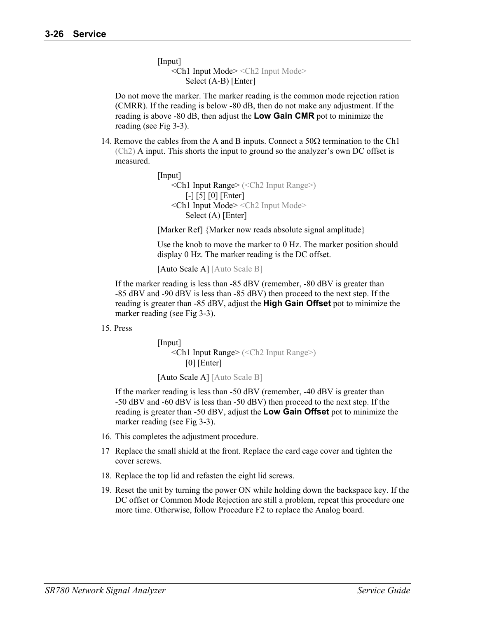[Input] <Ch1 Input Mode> <Ch2 Input Mode> Select (A-B) [Enter]

 Do not move the marker. The marker reading is the common mode rejection ration (CMRR). If the reading is below -80 dB, then do not make any adjustment. If the reading is above -80 dB, then adjust the **Low Gain CMR** pot to minimize the reading (see Fig 3-3).

14. Remove the cables from the A and B inputs. Connect a  $50\Omega$  termination to the Ch1 (Ch2) A input. This shorts the input to ground so the analyzer's own DC offset is measured.

```
 [Input] 
     <Ch1 Input Range> (<Ch2 Input Range>)
         [-] [5] [0] [Enter] 
     <Ch1 Input Mode> <Ch2 Input Mode>
         Select (A) [Enter]
```
[Marker Ref] {Marker now reads absolute signal amplitude}

 Use the knob to move the marker to 0 Hz. The marker position should display 0 Hz. The marker reading is the DC offset.

[Auto Scale A] [Auto Scale B]

 If the marker reading is less than -85 dBV (remember, -80 dBV is greater than -85 dBV and -90 dBV is less than -85 dBV) then proceed to the next step. If the reading is greater than -85 dBV, adjust the **High Gain Offset** pot to minimize the marker reading (see Fig 3-3).

#### 15. Press

 [Input] <Ch1 Input Range> (<Ch2 Input Range>) [0] [Enter]

[Auto Scale A] [Auto Scale B]

 If the marker reading is less than -50 dBV (remember, -40 dBV is greater than -50 dBV and -60 dBV is less than -50 dBV) then proceed to the next step. If the reading is greater than -50 dBV, adjust the **Low Gain Offset** pot to minimize the marker reading (see Fig 3-3).

- 16. This completes the adjustment procedure.
- 17 Replace the small shield at the front. Replace the card cage cover and tighten the cover screws.
- 18. Replace the top lid and refasten the eight lid screws.
- 19. Reset the unit by turning the power ON while holding down the backspace key. If the DC offset or Common Mode Rejection are still a problem, repeat this procedure one more time. Otherwise, follow Procedure F2 to replace the Analog board.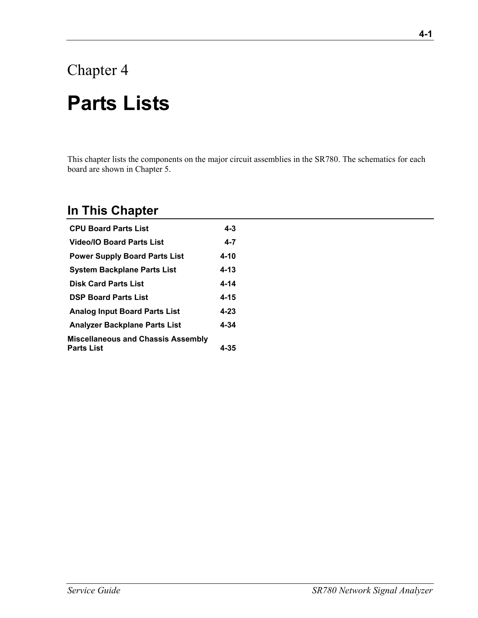# Chapter 4 **Parts Lists**

This chapter lists the components on the major circuit assemblies in the SR780. The schematics for each board are shown in Chapter 5.

### **In This Chapter**

| <b>CPU Board Parts List</b>               | 4-3      |
|-------------------------------------------|----------|
| <b>Video/IO Board Parts List</b>          | $4 - 7$  |
| <b>Power Supply Board Parts List</b>      | 4-10     |
| <b>System Backplane Parts List</b>        | 4-13     |
| <b>Disk Card Parts List</b>               | 4-14     |
| <b>DSP Board Parts List</b>               | 4-15     |
| <b>Analog Input Board Parts List</b>      | $4 - 23$ |
| <b>Analyzer Backplane Parts List</b>      | 4-34     |
| <b>Miscellaneous and Chassis Assembly</b> |          |
| Parts List                                | 4-35     |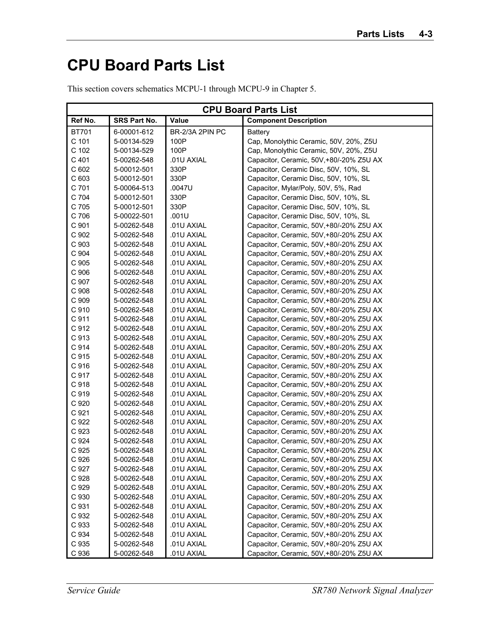## **CPU Board Parts List**

| This section covers schematics MCPU-1 through MCPU-9 in Chapter 5. |  |  |  |
|--------------------------------------------------------------------|--|--|--|
|                                                                    |  |  |  |

| <b>CPU Board Parts List</b> |                     |                 |                                          |
|-----------------------------|---------------------|-----------------|------------------------------------------|
| Ref No.                     | <b>SRS Part No.</b> | Value           | <b>Component Description</b>             |
| <b>BT701</b>                | 6-00001-612         | BR-2/3A 2PIN PC | Battery                                  |
| C 101                       | 5-00134-529         | 100P            | Cap, Monolythic Ceramic, 50V, 20%, Z5U   |
| C 102                       | 5-00134-529         | 100P            | Cap, Monolythic Ceramic, 50V, 20%, Z5U   |
| C 401                       | 5-00262-548         | .01U AXIAL      | Capacitor, Ceramic, 50V,+80/-20% Z5U AX  |
| C <sub>602</sub>            | 5-00012-501         | 330P            | Capacitor, Ceramic Disc, 50V, 10%, SL    |
| C 603                       | 5-00012-501         | 330P            | Capacitor, Ceramic Disc, 50V, 10%, SL    |
| C 701                       | 5-00064-513         | .0047U          | Capacitor, Mylar/Poly, 50V, 5%, Rad      |
| C 704                       | 5-00012-501         | 330P            | Capacitor, Ceramic Disc, 50V, 10%, SL    |
| C 705                       | 5-00012-501         | 330P            | Capacitor, Ceramic Disc, 50V, 10%, SL    |
| C 706                       | 5-00022-501         | .001U           | Capacitor, Ceramic Disc, 50V, 10%, SL    |
| C 901                       | 5-00262-548         | .01U AXIAL      | Capacitor, Ceramic, 50V,+80/-20% Z5U AX  |
| C 902                       | 5-00262-548         | .01U AXIAL      | Capacitor, Ceramic, 50V,+80/-20% Z5U AX  |
| C 903                       | 5-00262-548         | .01U AXIAL      | Capacitor, Ceramic, 50V,+80/-20% Z5U AX  |
| C 904                       | 5-00262-548         | .01U AXIAL      | Capacitor, Ceramic, 50V,+80/-20% Z5U AX  |
| C 905                       | 5-00262-548         | .01U AXIAL      | Capacitor, Ceramic, 50V,+80/-20% Z5U AX  |
| C 906                       | 5-00262-548         | .01U AXIAL      | Capacitor, Ceramic, 50V,+80/-20% Z5U AX  |
| C 907                       | 5-00262-548         | .01U AXIAL      | Capacitor, Ceramic, 50V,+80/-20% Z5U AX  |
| C 908                       | 5-00262-548         | .01U AXIAL      | Capacitor, Ceramic, 50V,+80/-20% Z5U AX  |
| C 909                       | 5-00262-548         | .01U AXIAL      | Capacitor, Ceramic, 50V,+80/-20% Z5U AX  |
| C 910                       | 5-00262-548         | .01U AXIAL      | Capacitor, Ceramic, 50V,+80/-20% Z5U AX  |
| C 911                       | 5-00262-548         | .01U AXIAL      | Capacitor, Ceramic, 50V,+80/-20% Z5U AX  |
| C 912                       | 5-00262-548         | .01U AXIAL      | Capacitor, Ceramic, 50V,+80/-20% Z5U AX  |
| C 913                       | 5-00262-548         | .01U AXIAL      | Capacitor, Ceramic, 50V,+80/-20% Z5U AX  |
| C 914                       | 5-00262-548         | .01U AXIAL      | Capacitor, Ceramic, 50V,+80/-20% Z5U AX  |
| C 915                       | 5-00262-548         | .01U AXIAL      | Capacitor, Ceramic, 50V,+80/-20% Z5U AX  |
| C 916                       | 5-00262-548         | .01U AXIAL      | Capacitor, Ceramic, 50V,+80/-20% Z5U AX  |
| C 917                       | 5-00262-548         | .01U AXIAL      | Capacitor, Ceramic, 50V,+80/-20% Z5U AX  |
| C 918                       | 5-00262-548         | .01U AXIAL      | Capacitor, Ceramic, 50V,+80/-20% Z5U AX  |
| C 919                       | 5-00262-548         | .01U AXIAL      | Capacitor, Ceramic, 50V,+80/-20% Z5U AX  |
| C 920                       | 5-00262-548         | .01U AXIAL      | Capacitor, Ceramic, 50V,+80/-20% Z5U AX  |
| C 921                       | 5-00262-548         | .01U AXIAL      | Capacitor, Ceramic, 50V,+80/-20% Z5U AX  |
| C 922                       | 5-00262-548         | .01U AXIAL      | Capacitor, Ceramic, 50V,+80/-20% Z5U AX  |
| C 923                       | 5-00262-548         | .01U AXIAL      | Capacitor, Ceramic, 50V,+80/-20% Z5U AX  |
| C 924                       | 5-00262-548         | .01U AXIAL      | Capacitor, Ceramic, 50V,+80/-20% Z5U AX  |
| C 925                       | 5-00262-548         | .01U AXIAL      | Capacitor, Ceramic, 50V, +80/-20% Z5U AX |
| C 926                       | 5-00262-548         | .01U AXIAL      | Capacitor, Ceramic, 50V,+80/-20% Z5U AX  |
| C 927                       | 5-00262-548         | .01U AXIAL      | Capacitor, Ceramic, 50V, +80/-20% Z5U AX |
| C 928                       | 5-00262-548         | .01U AXIAL      | Capacitor, Ceramic, 50V, +80/-20% Z5U AX |
| C 929                       | 5-00262-548         | .01U AXIAL      | Capacitor, Ceramic, 50V, +80/-20% Z5U AX |
| C 930                       | 5-00262-548         | .01U AXIAL      | Capacitor, Ceramic, 50V,+80/-20% Z5U AX  |
| C 931                       | 5-00262-548         | .01U AXIAL      | Capacitor, Ceramic, 50V,+80/-20% Z5U AX  |
| C 932                       | 5-00262-548         | .01U AXIAL      | Capacitor, Ceramic, 50V,+80/-20% Z5U AX  |
| C 933                       | 5-00262-548         | .01U AXIAL      | Capacitor, Ceramic, 50V,+80/-20% Z5U AX  |
| C 934                       | 5-00262-548         | .01U AXIAL      | Capacitor, Ceramic, 50V,+80/-20% Z5U AX  |
| C 935                       | 5-00262-548         | .01U AXIAL      | Capacitor, Ceramic, 50V,+80/-20% Z5U AX  |
| C 936                       | 5-00262-548         | .01U AXIAL      | Capacitor, Ceramic, 50V,+80/-20% Z5U AX  |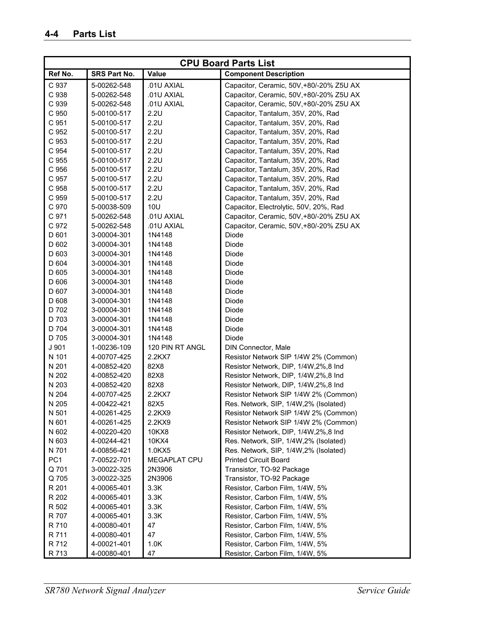| <b>CPU Board Parts List</b> |              |                 |                                         |
|-----------------------------|--------------|-----------------|-----------------------------------------|
| Ref No.                     | SRS Part No. | <b>Value</b>    | <b>Component Description</b>            |
| C 937                       | 5-00262-548  | .01U AXIAL      | Capacitor, Ceramic, 50V,+80/-20% Z5U AX |
| C 938                       | 5-00262-548  | .01U AXIAL      | Capacitor, Ceramic, 50V,+80/-20% Z5U AX |
| C 939                       | 5-00262-548  | .01U AXIAL      | Capacitor, Ceramic, 50V,+80/-20% Z5U AX |
| C 950                       | 5-00100-517  | 2.2U            | Capacitor, Tantalum, 35V, 20%, Rad      |
| C 951                       | 5-00100-517  | 2.2U            | Capacitor, Tantalum, 35V, 20%, Rad      |
| C 952                       | 5-00100-517  | 2.2U            | Capacitor, Tantalum, 35V, 20%, Rad      |
| C 953                       | 5-00100-517  | 2.2U            | Capacitor, Tantalum, 35V, 20%, Rad      |
| C 954                       | 5-00100-517  | 2.2U            | Capacitor, Tantalum, 35V, 20%, Rad      |
| C 955                       | 5-00100-517  | 2.2U            | Capacitor, Tantalum, 35V, 20%, Rad      |
| C 956                       | 5-00100-517  | 2.2U            | Capacitor, Tantalum, 35V, 20%, Rad      |
| C 957                       | 5-00100-517  | 2.2U            | Capacitor, Tantalum, 35V, 20%, Rad      |
| C 958                       | 5-00100-517  | 2.2U            | Capacitor, Tantalum, 35V, 20%, Rad      |
| C 959                       | 5-00100-517  | 2.2U            | Capacitor, Tantalum, 35V, 20%, Rad      |
| C 970                       | 5-00038-509  | <b>10U</b>      | Capacitor, Electrolytic, 50V, 20%, Rad  |
| C 971                       | 5-00262-548  | .01U AXIAL      | Capacitor, Ceramic, 50V,+80/-20% Z5U AX |
| C 972                       | 5-00262-548  | .01U AXIAL      | Capacitor, Ceramic, 50V,+80/-20% Z5U AX |
| D 601                       | 3-00004-301  | 1N4148          | Diode                                   |
| D 602                       | 3-00004-301  | 1N4148          | Diode                                   |
| D 603                       | 3-00004-301  | 1N4148          | Diode                                   |
| D 604                       | 3-00004-301  | 1N4148          | Diode                                   |
| D 605                       | 3-00004-301  | 1N4148          | Diode                                   |
| D 606                       | 3-00004-301  | 1N4148          | Diode                                   |
| D 607                       |              |                 |                                         |
|                             | 3-00004-301  | 1N4148          | Diode                                   |
| D 608                       | 3-00004-301  | 1N4148          | Diode                                   |
| D 702                       | 3-00004-301  | 1N4148          | Diode                                   |
| D 703                       | 3-00004-301  | 1N4148          | Diode                                   |
| D 704                       | 3-00004-301  | 1N4148          | Diode                                   |
| D 705                       | 3-00004-301  | 1N4148          | Diode                                   |
| J 901                       | 1-00236-109  | 120 PIN RT ANGL | DIN Connector, Male                     |
| N 101                       | 4-00707-425  | 2.2KX7          | Resistor Network SIP 1/4W 2% (Common)   |
| N 201                       | 4-00852-420  | 82X8            | Resistor Network, DIP, 1/4W, 2%, 8 Ind  |
| N 202                       | 4-00852-420  | 82X8            | Resistor Network, DIP, 1/4W, 2%, 8 Ind  |
| N 203                       | 4-00852-420  | 82X8            | Resistor Network, DIP, 1/4W, 2%, 8 Ind  |
| N 204                       | 4-00707-425  | 2.2KX7          | Resistor Network SIP 1/4W 2% (Common)   |
| N 205                       | 4-00422-421  | 82X5            | Res. Network, SIP, 1/4W, 2% (Isolated)  |
| N 501                       | 4-00261-425  | 2.2KX9          | Resistor Network SIP 1/4W 2% (Common)   |
| N 601                       | 4-00261-425  | 2.2KX9          | Resistor Network SIP 1/4W 2% (Common)   |
| N 602                       | 4-00220-420  | 10KX8           | Resistor Network, DIP, 1/4W, 2%, 8 Ind  |
| N 603                       | 4-00244-421  | 10KX4           | Res. Network, SIP, 1/4W, 2% (Isolated)  |
| N 701                       | 4-00856-421  | 1.0KX5          | Res. Network, SIP, 1/4W, 2% (Isolated)  |
| PC <sub>1</sub>             | 7-00522-701  | MEGAPLAT CPU    | <b>Printed Circuit Board</b>            |
| Q 701                       | 3-00022-325  | 2N3906          | Transistor, TO-92 Package               |
| Q 705                       | 3-00022-325  | 2N3906          | Transistor, TO-92 Package               |
| R 201                       | 4-00065-401  | 3.3K            | Resistor, Carbon Film, 1/4W, 5%         |
| R 202                       | 4-00065-401  | 3.3K            | Resistor, Carbon Film, 1/4W, 5%         |
| R 502                       | 4-00065-401  | 3.3K            | Resistor, Carbon Film, 1/4W, 5%         |
| R 707                       | 4-00065-401  | 3.3K            | Resistor, Carbon Film, 1/4W, 5%         |
| R 710                       | 4-00080-401  | 47              | Resistor, Carbon Film, 1/4W, 5%         |
| R 711                       | 4-00080-401  | 47              | Resistor, Carbon Film, 1/4W, 5%         |
| R 712                       | 4-00021-401  | 1.0K            | Resistor, Carbon Film, 1/4W, 5%         |
| R 713                       | 4-00080-401  | 47              | Resistor, Carbon Film, 1/4W, 5%         |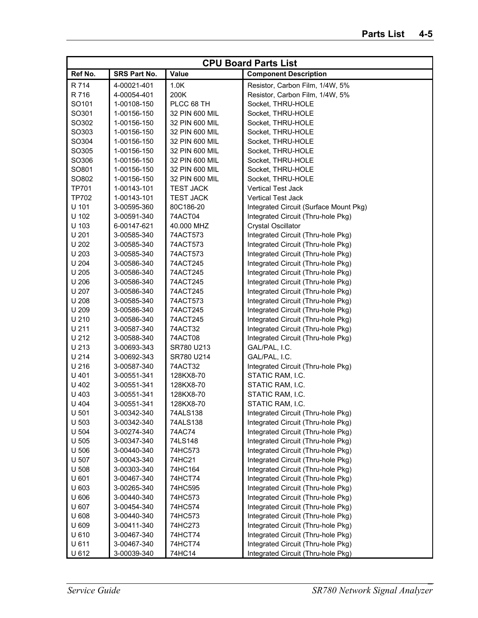| <b>CPU Board Parts List</b> |              |                  |                                        |
|-----------------------------|--------------|------------------|----------------------------------------|
| Ref No.                     | SRS Part No. | Value            | <b>Component Description</b>           |
| R 714                       | 4-00021-401  | 1.0K             | Resistor, Carbon Film, 1/4W, 5%        |
| R 716                       | 4-00054-401  | 200K             | Resistor, Carbon Film, 1/4W, 5%        |
| SO101                       | 1-00108-150  | PLCC 68 TH       | Socket, THRU-HOLE                      |
| SO301                       | 1-00156-150  | 32 PIN 600 MIL   | Socket, THRU-HOLE                      |
| SO302                       | 1-00156-150  | 32 PIN 600 MIL   | Socket, THRU-HOLE                      |
| SO303                       | 1-00156-150  | 32 PIN 600 MIL   | Socket, THRU-HOLE                      |
| SO304                       | 1-00156-150  | 32 PIN 600 MIL   | Socket, THRU-HOLE                      |
| SO305                       | 1-00156-150  | 32 PIN 600 MIL   | Socket, THRU-HOLE                      |
| SO306                       | 1-00156-150  | 32 PIN 600 MIL   | Socket, THRU-HOLE                      |
| SO801                       | 1-00156-150  | 32 PIN 600 MIL   | Socket, THRU-HOLE                      |
| SO802                       | 1-00156-150  | 32 PIN 600 MIL   | Socket, THRU-HOLE                      |
| <b>TP701</b>                | 1-00143-101  | <b>TEST JACK</b> | Vertical Test Jack                     |
| <b>TP702</b>                | 1-00143-101  | <b>TEST JACK</b> | <b>Vertical Test Jack</b>              |
| U 101                       | 3-00595-360  | 80C186-20        | Integrated Circuit (Surface Mount Pkg) |
| U 102                       | 3-00591-340  | 74ACT04          | Integrated Circuit (Thru-hole Pkg)     |
| U 103                       | 6-00147-621  | 40.000 MHZ       | <b>Crystal Oscillator</b>              |
| U 201                       | 3-00585-340  | 74ACT573         | Integrated Circuit (Thru-hole Pkg)     |
| U 202                       | 3-00585-340  | 74ACT573         | Integrated Circuit (Thru-hole Pkg)     |
| U 203                       | 3-00585-340  | 74ACT573         | Integrated Circuit (Thru-hole Pkg)     |
| U 204                       | 3-00586-340  | 74ACT245         | Integrated Circuit (Thru-hole Pkg)     |
| U 205                       | 3-00586-340  | 74ACT245         | Integrated Circuit (Thru-hole Pkg)     |
| U 206                       |              | 74ACT245         |                                        |
|                             | 3-00586-340  |                  | Integrated Circuit (Thru-hole Pkg)     |
| U 207                       | 3-00586-340  | 74ACT245         | Integrated Circuit (Thru-hole Pkg)     |
| U 208                       | 3-00585-340  | 74ACT573         | Integrated Circuit (Thru-hole Pkg)     |
| U 209                       | 3-00586-340  | 74ACT245         | Integrated Circuit (Thru-hole Pkg)     |
| U 210                       | 3-00586-340  | 74ACT245         | Integrated Circuit (Thru-hole Pkg)     |
| U 211                       | 3-00587-340  | 74ACT32          | Integrated Circuit (Thru-hole Pkg)     |
| U 212                       | 3-00588-340  | 74ACT08          | Integrated Circuit (Thru-hole Pkg)     |
| U 213                       | 3-00693-343  | SR780 U213       | GAL/PAL, I.C.                          |
| U 214                       | 3-00692-343  | SR780 U214       | GAL/PAL, I.C.                          |
| U 216                       | 3-00587-340  | 74ACT32          | Integrated Circuit (Thru-hole Pkg)     |
| U 401                       | 3-00551-341  | 128KX8-70        | STATIC RAM, I.C.                       |
| U 402                       | 3-00551-341  | 128KX8-70        | STATIC RAM, I.C.                       |
| U 403                       | 3-00551-341  | 128KX8-70        | STATIC RAM, I.C.                       |
| U 404                       | 3-00551-341  | 128KX8-70        | STATIC RAM, I.C.                       |
| U 501                       | 3-00342-340  | 74ALS138         | Integrated Circuit (Thru-hole Pkg)     |
| U 503                       | 3-00342-340  | 74ALS138         | Integrated Circuit (Thru-hole Pkg)     |
| U 504                       | 3-00274-340  | 74AC74           | Integrated Circuit (Thru-hole Pkg)     |
| U 505                       | 3-00347-340  | 74LS148          | Integrated Circuit (Thru-hole Pkg)     |
| U 506                       | 3-00440-340  | 74HC573          | Integrated Circuit (Thru-hole Pkg)     |
| U 507                       | 3-00043-340  | 74HC21           | Integrated Circuit (Thru-hole Pkg)     |
| U 508                       | 3-00303-340  | 74HC164          | Integrated Circuit (Thru-hole Pkg)     |
| U 601                       | 3-00467-340  | 74HCT74          | Integrated Circuit (Thru-hole Pkg)     |
| U 603                       | 3-00265-340  | 74HC595          | Integrated Circuit (Thru-hole Pkg)     |
| U 606                       | 3-00440-340  | 74HC573          | Integrated Circuit (Thru-hole Pkg)     |
| U 607                       | 3-00454-340  | 74HC574          | Integrated Circuit (Thru-hole Pkg)     |
| U 608                       | 3-00440-340  | 74HC573          | Integrated Circuit (Thru-hole Pkg)     |
| U 609                       | 3-00411-340  | 74HC273          | Integrated Circuit (Thru-hole Pkg)     |
| U 610                       | 3-00467-340  | 74HCT74          | Integrated Circuit (Thru-hole Pkg)     |
| U 611                       | 3-00467-340  | 74HCT74          | Integrated Circuit (Thru-hole Pkg)     |
| U 612                       | 3-00039-340  | 74HC14           | Integrated Circuit (Thru-hole Pkg)     |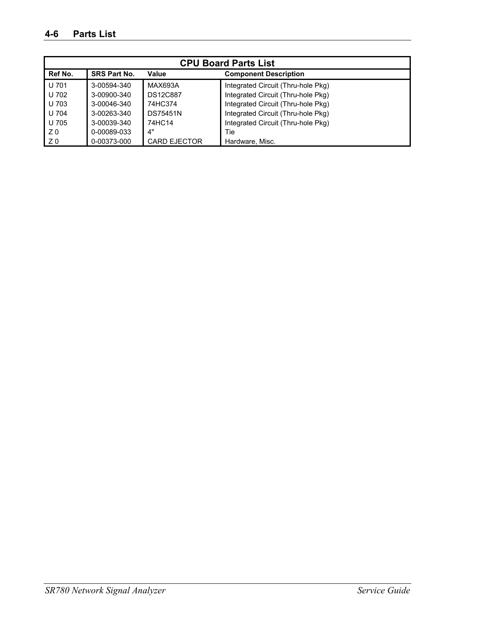| <b>CPU Board Parts List</b> |                     |                     |                                    |  |
|-----------------------------|---------------------|---------------------|------------------------------------|--|
| Ref No.                     | <b>SRS Part No.</b> | Value               | <b>Component Description</b>       |  |
| U 701                       | 3-00594-340         | MAX693A             | Integrated Circuit (Thru-hole Pkg) |  |
| U 702                       | 3-00900-340         | <b>DS12C887</b>     | Integrated Circuit (Thru-hole Pkg) |  |
| U 703                       | 3-00046-340         | 74HC374             | Integrated Circuit (Thru-hole Pkg) |  |
| U 704                       | 3-00263-340         | <b>DS75451N</b>     | Integrated Circuit (Thru-hole Pkg) |  |
| U 705                       | 3-00039-340         | 74HC14              | Integrated Circuit (Thru-hole Pkg) |  |
| Z <sub>0</sub>              | 0-00089-033         | 4"                  | Tie                                |  |
| Z <sub>0</sub>              | 0-00373-000         | <b>CARD EJECTOR</b> | Hardware, Misc.                    |  |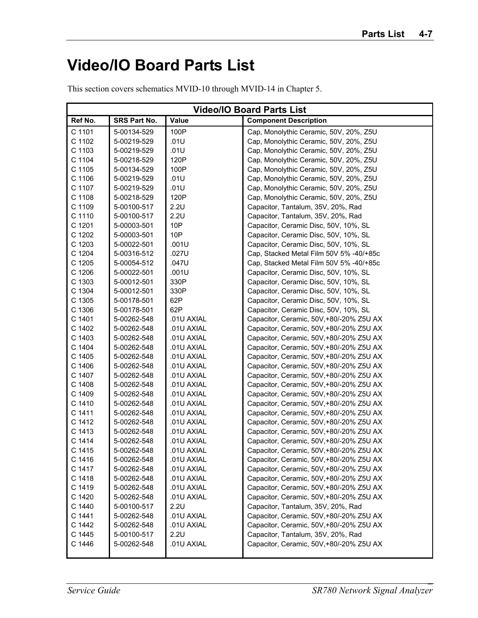## **Video/IO Board Parts List**

This section covers schematics MVID-10 through MVID-14 in Chapter 5.

|         | <b>Video/IO Board Parts List</b> |            |                                          |  |
|---------|----------------------------------|------------|------------------------------------------|--|
| Ref No. | SRS Part No.                     | Value      | <b>Component Description</b>             |  |
| C 1101  | 5-00134-529                      | 100P       | Cap, Monolythic Ceramic, 50V, 20%, Z5U   |  |
| C 1102  | 5-00219-529                      | .01U       | Cap, Monolythic Ceramic, 50V, 20%, Z5U   |  |
| C 1103  | 5-00219-529                      | .01U       | Cap, Monolythic Ceramic, 50V, 20%, Z5U   |  |
| C 1104  | 5-00218-529                      | 120P       | Cap, Monolythic Ceramic, 50V, 20%, Z5U   |  |
| C 1105  | 5-00134-529                      | 100P       | Cap, Monolythic Ceramic, 50V, 20%, Z5U   |  |
| C 1106  | 5-00219-529                      | .01U       | Cap, Monolythic Ceramic, 50V, 20%, Z5U   |  |
| C 1107  | 5-00219-529                      | .01U       | Cap, Monolythic Ceramic, 50V, 20%, Z5U   |  |
| C 1108  | 5-00218-529                      | 120P       | Cap, Monolythic Ceramic, 50V, 20%, Z5U   |  |
| C 1109  | 5-00100-517                      | 2.2U       | Capacitor, Tantalum, 35V, 20%, Rad       |  |
| C 1110  | 5-00100-517                      | 2.2U       | Capacitor, Tantalum, 35V, 20%, Rad       |  |
| C 1201  | 5-00003-501                      | 10P        | Capacitor, Ceramic Disc, 50V, 10%, SL    |  |
| C 1202  | 5-00003-501                      | 10P        | Capacitor, Ceramic Disc, 50V, 10%, SL    |  |
| C 1203  | 5-00022-501                      | .001U      | Capacitor, Ceramic Disc, 50V, 10%, SL    |  |
| C 1204  | 5-00316-512                      | .027U      | Cap, Stacked Metal Film 50V 5% -40/+85c  |  |
| C 1205  | 5-00054-512                      | .047U      | Cap, Stacked Metal Film 50V 5% -40/+85c  |  |
| C 1206  | 5-00022-501                      | .001U      | Capacitor, Ceramic Disc, 50V, 10%, SL    |  |
| C 1303  | 5-00012-501                      | 330P       | Capacitor, Ceramic Disc, 50V, 10%, SL    |  |
| C 1304  | 5-00012-501                      | 330P       | Capacitor, Ceramic Disc, 50V, 10%, SL    |  |
| C 1305  | 5-00178-501                      | 62P        | Capacitor, Ceramic Disc, 50V, 10%, SL    |  |
| C 1306  | 5-00178-501                      | 62P        | Capacitor, Ceramic Disc, 50V, 10%, SL    |  |
| C 1401  | 5-00262-548                      | .01U AXIAL | Capacitor, Ceramic, 50V,+80/-20% Z5U AX  |  |
| C 1402  | 5-00262-548                      | .01U AXIAL | Capacitor, Ceramic, 50V, +80/-20% Z5U AX |  |
| C 1403  | 5-00262-548                      | .01U AXIAL | Capacitor, Ceramic, 50V, +80/-20% Z5U AX |  |
| C 1404  | 5-00262-548                      | .01U AXIAL | Capacitor, Ceramic, 50V, +80/-20% Z5U AX |  |
| C 1405  | 5-00262-548                      | .01U AXIAL | Capacitor, Ceramic, 50V, +80/-20% Z5U AX |  |
| C 1406  | 5-00262-548                      | .01U AXIAL | Capacitor, Ceramic, 50V, +80/-20% Z5U AX |  |
| C 1407  | 5-00262-548                      | .01U AXIAL | Capacitor, Ceramic, 50V, +80/-20% Z5U AX |  |
| C 1408  | 5-00262-548                      | .01U AXIAL | Capacitor, Ceramic, 50V, +80/-20% Z5U AX |  |
| C 1409  | 5-00262-548                      | .01U AXIAL | Capacitor, Ceramic, 50V, +80/-20% Z5U AX |  |
| C 1410  | 5-00262-548                      | .01U AXIAL | Capacitor, Ceramic, 50V, +80/-20% Z5U AX |  |
| C 1411  | 5-00262-548                      | .01U AXIAL | Capacitor, Ceramic, 50V, +80/-20% Z5U AX |  |
| C 1412  | 5-00262-548                      | .01U AXIAL | Capacitor, Ceramic, 50V, +80/-20% Z5U AX |  |
| C 1413  | 5-00262-548                      | .01U AXIAL | Capacitor, Ceramic, 50V,+80/-20% Z5U AX  |  |
| C 1414  | 5-00262-548                      | .01U AXIAL | Capacitor, Ceramic, 50V,+80/-20% Z5U AX  |  |
| C 1415  | 5-00262-548                      | .01U AXIAL | Capacitor, Ceramic, 50V,+80/-20% Z5U AX  |  |
| C 1416  | 5-00262-548                      | .01U AXIAL | Capacitor, Ceramic, 50V,+80/-20% Z5U AX  |  |
| C 1417  | 5-00262-548                      | .01U AXIAL | Capacitor, Ceramic, 50V,+80/-20% Z5U AX  |  |
| C 1418  | 5-00262-548                      | .01U AXIAL | Capacitor, Ceramic, 50V, +80/-20% Z5U AX |  |
| C 1419  | 5-00262-548                      | .01U AXIAL | Capacitor, Ceramic, 50V,+80/-20% Z5U AX  |  |
| C 1420  | 5-00262-548                      | .01U AXIAL | Capacitor, Ceramic, 50V,+80/-20% Z5U AX  |  |
| C 1440  | 5-00100-517                      | 2.2U       | Capacitor, Tantalum, 35V, 20%, Rad       |  |
| C 1441  | 5-00262-548                      | .01U AXIAL | Capacitor, Ceramic, 50V,+80/-20% Z5U AX  |  |
| C 1442  | 5-00262-548                      | .01U AXIAL | Capacitor, Ceramic, 50V, +80/-20% Z5U AX |  |
| C 1445  | 5-00100-517                      | 2.2U       | Capacitor, Tantalum, 35V, 20%, Rad       |  |
| C 1446  | 5-00262-548                      | .01U AXIAL | Capacitor, Ceramic, 50V,+80/-20% Z5U AX  |  |
|         |                                  |            |                                          |  |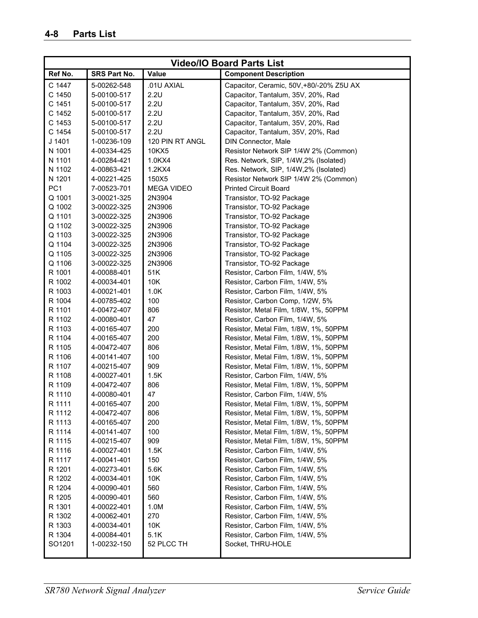| <b>Video/IO Board Parts List</b> |              |                   |                                         |
|----------------------------------|--------------|-------------------|-----------------------------------------|
| Ref No.                          | SRS Part No. | Value             | <b>Component Description</b>            |
| C 1447                           | 5-00262-548  | .01U AXIAL        | Capacitor, Ceramic, 50V,+80/-20% Z5U AX |
| C 1450                           | 5-00100-517  | 2.2U              | Capacitor, Tantalum, 35V, 20%, Rad      |
| C 1451                           | 5-00100-517  | 2.2U              | Capacitor, Tantalum, 35V, 20%, Rad      |
| C 1452                           | 5-00100-517  | 2.2U              | Capacitor, Tantalum, 35V, 20%, Rad      |
| C 1453                           | 5-00100-517  | 2.2U              | Capacitor, Tantalum, 35V, 20%, Rad      |
| C 1454                           | 5-00100-517  | 2.2U              | Capacitor, Tantalum, 35V, 20%, Rad      |
| J 1401                           | 1-00236-109  | 120 PIN RT ANGL   | <b>DIN Connector, Male</b>              |
| N 1001                           | 4-00334-425  | 10KX5             | Resistor Network SIP 1/4W 2% (Common)   |
| N 1101                           | 4-00284-421  | 1.0KX4            | Res. Network, SIP, 1/4W, 2% (Isolated)  |
| N 1102                           | 4-00863-421  | 1.2KX4            | Res. Network, SIP, 1/4W, 2% (Isolated)  |
| N 1201                           | 4-00221-425  | 150X5             | Resistor Network SIP 1/4W 2% (Common)   |
| PC <sub>1</sub>                  | 7-00523-701  | <b>MEGA VIDEO</b> | <b>Printed Circuit Board</b>            |
| Q 1001                           | 3-00021-325  | 2N3904            | Transistor, TO-92 Package               |
| Q 1002                           | 3-00022-325  | 2N3906            | Transistor, TO-92 Package               |
| Q 1101                           | 3-00022-325  | 2N3906            | Transistor, TO-92 Package               |
| Q 1102                           | 3-00022-325  | 2N3906            | Transistor, TO-92 Package               |
| Q 1103                           | 3-00022-325  | 2N3906            | Transistor, TO-92 Package               |
| Q 1104                           | 3-00022-325  | 2N3906            | Transistor, TO-92 Package               |
| Q 1105                           | 3-00022-325  | 2N3906            | Transistor, TO-92 Package               |
| Q 1106                           | 3-00022-325  | 2N3906            | Transistor, TO-92 Package               |
| R 1001                           | 4-00088-401  | 51K               | Resistor, Carbon Film, 1/4W, 5%         |
| R 1002                           | 4-00034-401  | 10K               | Resistor, Carbon Film, 1/4W, 5%         |
| R 1003                           | 4-00021-401  | 1.0K              | Resistor, Carbon Film, 1/4W, 5%         |
| R 1004                           | 4-00785-402  | 100               | Resistor, Carbon Comp, 1/2W, 5%         |
| R 1101                           | 4-00472-407  | 806               | Resistor, Metal Film, 1/8W, 1%, 50PPM   |
| R 1102                           | 4-00080-401  | 47                | Resistor, Carbon Film, 1/4W, 5%         |
| R 1103                           | 4-00165-407  | 200               | Resistor, Metal Film, 1/8W, 1%, 50PPM   |
| R 1104                           | 4-00165-407  | 200               | Resistor, Metal Film, 1/8W, 1%, 50PPM   |
| R 1105                           | 4-00472-407  | 806               | Resistor, Metal Film, 1/8W, 1%, 50PPM   |
| R 1106                           | 4-00141-407  | 100               | Resistor, Metal Film, 1/8W, 1%, 50PPM   |
| R 1107                           | 4-00215-407  | 909               | Resistor, Metal Film, 1/8W, 1%, 50PPM   |
| R 1108                           | 4-00027-401  | 1.5K              | Resistor, Carbon Film, 1/4W, 5%         |
| R 1109                           | 4-00472-407  | 806               | Resistor, Metal Film, 1/8W, 1%, 50PPM   |
| R 1110                           | 4-00080-401  | 47                | Resistor, Carbon Film, 1/4W, 5%         |
| R 1111                           | 4-00165-407  | 200               | Resistor, Metal Film, 1/8W, 1%, 50PPM   |
| R 1112                           | 4-00472-407  | 806               | Resistor, Metal Film, 1/8W, 1%, 50PPM   |
| R 1113                           | 4-00165-407  | 200               | Resistor, Metal Film, 1/8W, 1%, 50PPM   |
| R 1114                           | 4-00141-407  | 100               | Resistor, Metal Film, 1/8W, 1%, 50PPM   |
| R 1115                           | 4-00215-407  | 909               | Resistor, Metal Film, 1/8W, 1%, 50PPM   |
| R 1116                           | 4-00027-401  | 1.5K              | Resistor, Carbon Film, 1/4W, 5%         |
| R 1117                           | 4-00041-401  | 150               | Resistor, Carbon Film, 1/4W, 5%         |
| R 1201                           | 4-00273-401  | 5.6K              | Resistor, Carbon Film, 1/4W, 5%         |
| R 1202                           | 4-00034-401  | 10K               | Resistor, Carbon Film, 1/4W, 5%         |
| R 1204                           | 4-00090-401  | 560               | Resistor, Carbon Film, 1/4W, 5%         |
| R 1205                           | 4-00090-401  | 560               | Resistor, Carbon Film, 1/4W, 5%         |
| R 1301                           | 4-00022-401  | 1.0M              | Resistor, Carbon Film, 1/4W, 5%         |
| R 1302                           | 4-00062-401  | 270               | Resistor, Carbon Film, 1/4W, 5%         |
| R 1303                           | 4-00034-401  | 10K               | Resistor, Carbon Film, 1/4W, 5%         |
| R 1304                           | 4-00084-401  | 5.1K              | Resistor, Carbon Film, 1/4W, 5%         |
| SO1201                           | 1-00232-150  | 52 PLCC TH        | Socket, THRU-HOLE                       |
|                                  |              |                   |                                         |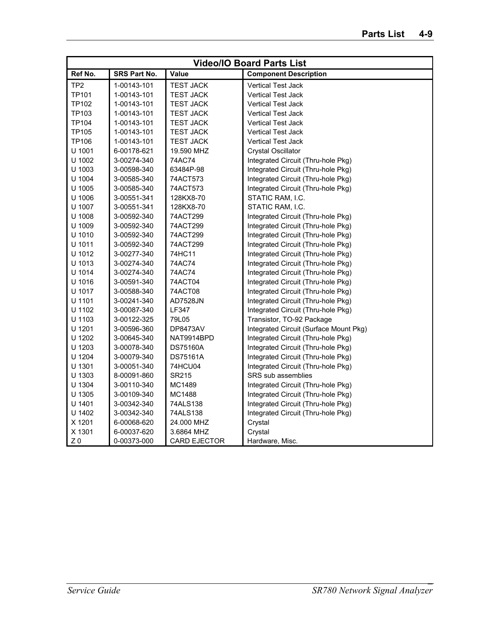|                 | <b>Video/IO Board Parts List</b> |                     |                                        |  |
|-----------------|----------------------------------|---------------------|----------------------------------------|--|
| Ref No.         | <b>SRS Part No.</b>              | Value               | <b>Component Description</b>           |  |
| TP <sub>2</sub> | 1-00143-101                      | <b>TEST JACK</b>    | <b>Vertical Test Jack</b>              |  |
| <b>TP101</b>    | 1-00143-101                      | <b>TEST JACK</b>    | <b>Vertical Test Jack</b>              |  |
| <b>TP102</b>    | 1-00143-101                      | <b>TEST JACK</b>    | <b>Vertical Test Jack</b>              |  |
| TP103           | 1-00143-101                      | <b>TEST JACK</b>    | <b>Vertical Test Jack</b>              |  |
| <b>TP104</b>    | 1-00143-101                      | <b>TEST JACK</b>    | <b>Vertical Test Jack</b>              |  |
| <b>TP105</b>    | 1-00143-101                      | <b>TEST JACK</b>    | <b>Vertical Test Jack</b>              |  |
| TP106           | 1-00143-101                      | <b>TEST JACK</b>    | <b>Vertical Test Jack</b>              |  |
| U 1001          | 6-00178-621                      | 19.590 MHZ          | <b>Crystal Oscillator</b>              |  |
| U 1002          | 3-00274-340                      | 74AC74              | Integrated Circuit (Thru-hole Pkg)     |  |
| U 1003          | 3-00598-340                      | 63484P-98           | Integrated Circuit (Thru-hole Pkg)     |  |
| U 1004          | 3-00585-340                      | 74ACT573            | Integrated Circuit (Thru-hole Pkg)     |  |
| U 1005          | 3-00585-340                      | 74ACT573            | Integrated Circuit (Thru-hole Pkg)     |  |
| U 1006          | 3-00551-341                      | 128KX8-70           | STATIC RAM, I.C.                       |  |
| U 1007          | 3-00551-341                      | 128KX8-70           | STATIC RAM, I.C.                       |  |
| U 1008          | 3-00592-340                      | 74ACT299            | Integrated Circuit (Thru-hole Pkg)     |  |
| U 1009          | 3-00592-340                      | 74ACT299            | Integrated Circuit (Thru-hole Pkg)     |  |
| U 1010          | 3-00592-340                      | 74ACT299            | Integrated Circuit (Thru-hole Pkg)     |  |
| U 1011          | 3-00592-340                      | 74ACT299            | Integrated Circuit (Thru-hole Pkg)     |  |
| U 1012          | 3-00277-340                      | 74HC11              | Integrated Circuit (Thru-hole Pkg)     |  |
| U 1013          | 3-00274-340                      | 74AC74              | Integrated Circuit (Thru-hole Pkg)     |  |
| U 1014          | 3-00274-340                      | 74AC74              | Integrated Circuit (Thru-hole Pkg)     |  |
| U 1016          | 3-00591-340                      | 74ACT04             | Integrated Circuit (Thru-hole Pkg)     |  |
| U 1017          | 3-00588-340                      | 74ACT08             | Integrated Circuit (Thru-hole Pkg)     |  |
| U 1101          | 3-00241-340                      | AD7528JN            | Integrated Circuit (Thru-hole Pkg)     |  |
| U 1102          | 3-00087-340                      | LF347               | Integrated Circuit (Thru-hole Pkg)     |  |
| U 1103          | 3-00122-325                      | 79L05               | Transistor, TO-92 Package              |  |
| U 1201          | 3-00596-360                      | <b>DP8473AV</b>     | Integrated Circuit (Surface Mount Pkg) |  |
| U 1202          | 3-00645-340                      | NAT9914BPD          | Integrated Circuit (Thru-hole Pkg)     |  |
| U 1203          | 3-00078-340                      | <b>DS75160A</b>     | Integrated Circuit (Thru-hole Pkg)     |  |
| U 1204          | 3-00079-340                      | <b>DS75161A</b>     | Integrated Circuit (Thru-hole Pkg)     |  |
| U 1301          | 3-00051-340                      | 74HCU04             | Integrated Circuit (Thru-hole Pkg)     |  |
| U 1303          | 8-00091-860                      | SR215               | <b>SRS</b> sub assemblies              |  |
| U 1304          | 3-00110-340                      | MC1489              | Integrated Circuit (Thru-hole Pkg)     |  |
| U 1305          | 3-00109-340                      | MC1488              | Integrated Circuit (Thru-hole Pkg)     |  |
| U 1401          | 3-00342-340                      | 74ALS138            | Integrated Circuit (Thru-hole Pkg)     |  |
| U 1402          | 3-00342-340                      | 74ALS138            | Integrated Circuit (Thru-hole Pkg)     |  |
| X 1201          | 6-00068-620                      | 24.000 MHZ          | Crystal                                |  |
| X 1301          | 6-00037-620                      | 3.6864 MHZ          | Crystal                                |  |
| Z <sub>0</sub>  | 0-00373-000                      | <b>CARD EJECTOR</b> | Hardware, Misc.                        |  |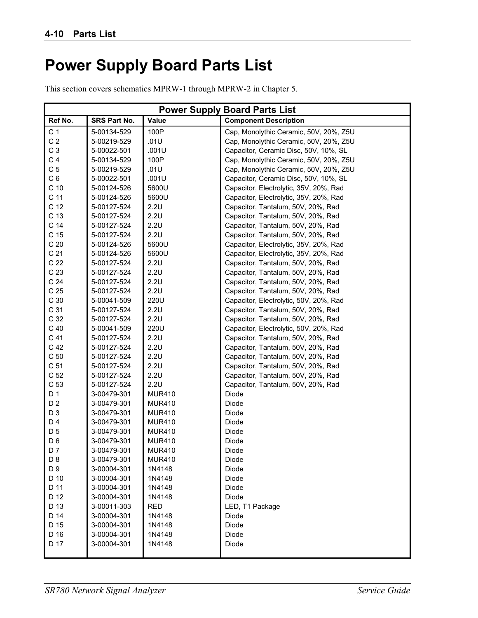## **Power Supply Board Parts List**

This section covers schematics MPRW-1 through MPRW-2 in Chapter 5.

|                 | <b>Power Supply Board Parts List</b> |               |                                        |  |
|-----------------|--------------------------------------|---------------|----------------------------------------|--|
| Ref No.         | SRS Part No.                         | Value         | <b>Component Description</b>           |  |
| C <sub>1</sub>  | 5-00134-529                          | 100P          | Cap, Monolythic Ceramic, 50V, 20%, Z5U |  |
| C <sub>2</sub>  | 5-00219-529                          | .01U          | Cap, Monolythic Ceramic, 50V, 20%, Z5U |  |
| C <sub>3</sub>  | 5-00022-501                          | .001U         | Capacitor, Ceramic Disc, 50V, 10%, SL  |  |
| C <sub>4</sub>  | 5-00134-529                          | 100P          | Cap, Monolythic Ceramic, 50V, 20%, Z5U |  |
| C <sub>5</sub>  | 5-00219-529                          | .01U          | Cap, Monolythic Ceramic, 50V, 20%, Z5U |  |
| C <sub>6</sub>  | 5-00022-501                          | .001U         | Capacitor, Ceramic Disc, 50V, 10%, SL  |  |
| C <sub>10</sub> | 5-00124-526                          | 5600U         | Capacitor, Electrolytic, 35V, 20%, Rad |  |
| C <sub>11</sub> | 5-00124-526                          | 5600U         | Capacitor, Electrolytic, 35V, 20%, Rad |  |
| C <sub>12</sub> | 5-00127-524                          | 2.2U          | Capacitor, Tantalum, 50V, 20%, Rad     |  |
| C 13            | 5-00127-524                          | 2.2U          | Capacitor, Tantalum, 50V, 20%, Rad     |  |
| C <sub>14</sub> | 5-00127-524                          | 2.2U          | Capacitor, Tantalum, 50V, 20%, Rad     |  |
| C <sub>15</sub> | 5-00127-524                          | 2.2U          | Capacitor, Tantalum, 50V, 20%, Rad     |  |
| C <sub>20</sub> | 5-00124-526                          | 5600U         | Capacitor, Electrolytic, 35V, 20%, Rad |  |
| C <sub>21</sub> | 5-00124-526                          | 5600U         | Capacitor, Electrolytic, 35V, 20%, Rad |  |
| C <sub>22</sub> | 5-00127-524                          | 2.2U          | Capacitor, Tantalum, 50V, 20%, Rad     |  |
| C <sub>23</sub> | 5-00127-524                          | 2.2U          | Capacitor, Tantalum, 50V, 20%, Rad     |  |
| C <sub>24</sub> | 5-00127-524                          | 2.2U          | Capacitor, Tantalum, 50V, 20%, Rad     |  |
| C <sub>25</sub> | 5-00127-524                          | 2.2U          | Capacitor, Tantalum, 50V, 20%, Rad     |  |
| C <sub>30</sub> | 5-00041-509                          | 220U          | Capacitor, Electrolytic, 50V, 20%, Rad |  |
| C <sub>31</sub> | 5-00127-524                          | 2.2U          | Capacitor, Tantalum, 50V, 20%, Rad     |  |
| C 32            | 5-00127-524                          | 2.2U          | Capacitor, Tantalum, 50V, 20%, Rad     |  |
| C <sub>40</sub> | 5-00041-509                          | 220U          | Capacitor, Electrolytic, 50V, 20%, Rad |  |
| C <sub>41</sub> | 5-00127-524                          | 2.2U          | Capacitor, Tantalum, 50V, 20%, Rad     |  |
| C <sub>42</sub> | 5-00127-524                          | 2.2U          | Capacitor, Tantalum, 50V, 20%, Rad     |  |
| C <sub>50</sub> | 5-00127-524                          | 2.2U          | Capacitor, Tantalum, 50V, 20%, Rad     |  |
| C <sub>51</sub> | 5-00127-524                          | 2.2U          | Capacitor, Tantalum, 50V, 20%, Rad     |  |
| C <sub>52</sub> | 5-00127-524                          | 2.2U          | Capacitor, Tantalum, 50V, 20%, Rad     |  |
| C 53            | 5-00127-524                          | 2.2U          | Capacitor, Tantalum, 50V, 20%, Rad     |  |
| D <sub>1</sub>  | 3-00479-301                          | <b>MUR410</b> | Diode                                  |  |
| D <sub>2</sub>  | 3-00479-301                          | <b>MUR410</b> | Diode                                  |  |
| D <sub>3</sub>  | 3-00479-301                          | <b>MUR410</b> | Diode                                  |  |
| D <sub>4</sub>  | 3-00479-301                          | <b>MUR410</b> | Diode                                  |  |
| D <sub>5</sub>  | 3-00479-301                          | <b>MUR410</b> | Diode                                  |  |
| D <sub>6</sub>  | 3-00479-301                          | <b>MUR410</b> | Diode                                  |  |
| D <sub>7</sub>  | 3-00479-301                          | <b>MUR410</b> | Diode                                  |  |
| D <sub>8</sub>  | 3-00479-301                          | <b>MUR410</b> | Diode                                  |  |
| D 9             | 3-00004-301                          | 1N4148        | Diode                                  |  |
| D 10            | 3-00004-301                          | 1N4148        | Diode                                  |  |
| D 11            | 3-00004-301                          | 1N4148        | Diode                                  |  |
| D 12            | 3-00004-301                          | 1N4148        | Diode                                  |  |
| D 13            | 3-00011-303                          | <b>RED</b>    | LED, T1 Package                        |  |
| D 14            | 3-00004-301                          | 1N4148        | Diode                                  |  |
| D 15            | 3-00004-301                          | 1N4148        | Diode                                  |  |
| D 16            | 3-00004-301                          | 1N4148        | Diode                                  |  |
| D 17            | 3-00004-301                          | 1N4148        | Diode                                  |  |
|                 |                                      |               |                                        |  |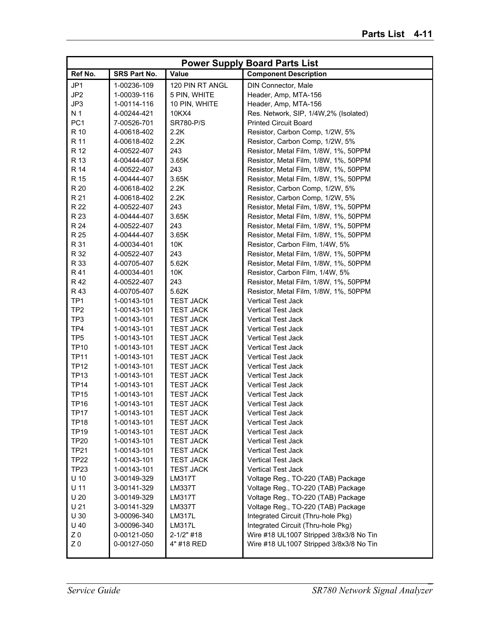|                 | <b>Power Supply Board Parts List</b> |                  |                                         |  |
|-----------------|--------------------------------------|------------------|-----------------------------------------|--|
| Ref No.         | SRS Part No.                         | Value            | <b>Component Description</b>            |  |
| JP1             | 1-00236-109                          | 120 PIN RT ANGL  | DIN Connector, Male                     |  |
| JP <sub>2</sub> | 1-00039-116                          | 5 PIN, WHITE     | Header, Amp, MTA-156                    |  |
| JP3             | 1-00114-116                          | 10 PIN, WHITE    | Header, Amp, MTA-156                    |  |
| N 1             | 4-00244-421                          | 10KX4            | Res. Network, SIP, 1/4W, 2% (Isolated)  |  |
| PC <sub>1</sub> | 7-00526-701                          | <b>SR780-P/S</b> | <b>Printed Circuit Board</b>            |  |
| R 10            | 4-00618-402                          | 2.2K             | Resistor, Carbon Comp, 1/2W, 5%         |  |
| R 11            | 4-00618-402                          | 2.2K             | Resistor, Carbon Comp, 1/2W, 5%         |  |
| R 12            | 4-00522-407                          | 243              | Resistor, Metal Film, 1/8W, 1%, 50PPM   |  |
| R 13            | 4-00444-407                          | 3.65K            | Resistor, Metal Film, 1/8W, 1%, 50PPM   |  |
| R 14            | 4-00522-407                          | 243              | Resistor, Metal Film, 1/8W, 1%, 50PPM   |  |
| R 15            | 4-00444-407                          | 3.65K            | Resistor, Metal Film, 1/8W, 1%, 50PPM   |  |
| R 20            | 4-00618-402                          | 2.2K             | Resistor, Carbon Comp, 1/2W, 5%         |  |
| R 21            | 4-00618-402                          | 2.2K             | Resistor, Carbon Comp, 1/2W, 5%         |  |
| R 22            | 4-00522-407                          | 243              | Resistor, Metal Film, 1/8W, 1%, 50PPM   |  |
| R 23            | 4-00444-407                          | 3.65K            | Resistor, Metal Film, 1/8W, 1%, 50PPM   |  |
| R 24            | 4-00522-407                          | 243              | Resistor, Metal Film, 1/8W, 1%, 50PPM   |  |
| R 25            | 4-00444-407                          | 3.65K            | Resistor, Metal Film, 1/8W, 1%, 50PPM   |  |
| R 31            | 4-00034-401                          | 10K              | Resistor, Carbon Film, 1/4W, 5%         |  |
| R 32            | 4-00522-407                          | 243              | Resistor, Metal Film, 1/8W, 1%, 50PPM   |  |
| R 33            | 4-00705-407                          | 5.62K            | Resistor, Metal Film, 1/8W, 1%, 50PPM   |  |
| R 41            | 4-00034-401                          | 10K              | Resistor, Carbon Film, 1/4W, 5%         |  |
| R 42            | 4-00522-407                          | 243              | Resistor, Metal Film, 1/8W, 1%, 50PPM   |  |
| R 43            | 4-00705-407                          | 5.62K            | Resistor, Metal Film, 1/8W, 1%, 50PPM   |  |
| TP <sub>1</sub> | 1-00143-101                          | <b>TEST JACK</b> | <b>Vertical Test Jack</b>               |  |
| TP <sub>2</sub> | 1-00143-101                          | <b>TEST JACK</b> | <b>Vertical Test Jack</b>               |  |
| TP3             | 1-00143-101                          | <b>TEST JACK</b> | <b>Vertical Test Jack</b>               |  |
| TP4             | 1-00143-101                          | <b>TEST JACK</b> | <b>Vertical Test Jack</b>               |  |
| TP <sub>5</sub> | 1-00143-101                          | <b>TEST JACK</b> | <b>Vertical Test Jack</b>               |  |
| <b>TP10</b>     | 1-00143-101                          | <b>TEST JACK</b> | <b>Vertical Test Jack</b>               |  |
| <b>TP11</b>     | 1-00143-101                          | <b>TEST JACK</b> | <b>Vertical Test Jack</b>               |  |
| <b>TP12</b>     | 1-00143-101                          | <b>TEST JACK</b> | <b>Vertical Test Jack</b>               |  |
| <b>TP13</b>     | 1-00143-101                          | <b>TEST JACK</b> | <b>Vertical Test Jack</b>               |  |
| <b>TP14</b>     | 1-00143-101                          | <b>TEST JACK</b> | <b>Vertical Test Jack</b>               |  |
| <b>TP15</b>     | 1-00143-101                          | <b>TEST JACK</b> | <b>Vertical Test Jack</b>               |  |
| <b>TP16</b>     | 1-00143-101                          | <b>TEST JACK</b> | Vertical Test Jack                      |  |
| <b>TP17</b>     | 1-00143-101                          | <b>TEST JACK</b> | <b>Vertical Test Jack</b>               |  |
| <b>TP18</b>     | 1-00143-101                          | <b>TEST JACK</b> | Vertical Test Jack                      |  |
| <b>TP19</b>     | 1-00143-101                          | <b>TEST JACK</b> | <b>Vertical Test Jack</b>               |  |
| <b>TP20</b>     | 1-00143-101                          | <b>TEST JACK</b> | Vertical Test Jack                      |  |
| <b>TP21</b>     | 1-00143-101                          | <b>TEST JACK</b> | <b>Vertical Test Jack</b>               |  |
| <b>TP22</b>     | 1-00143-101                          | <b>TEST JACK</b> | Vertical Test Jack                      |  |
| <b>TP23</b>     | 1-00143-101                          | <b>TEST JACK</b> | Vertical Test Jack                      |  |
| $U$ 10          | 3-00149-329                          | <b>LM317T</b>    | Voltage Reg., TO-220 (TAB) Package      |  |
| $U$ 11          | 3-00141-329                          | <b>LM337T</b>    | Voltage Reg., TO-220 (TAB) Package      |  |
| U <sub>20</sub> | 3-00149-329                          | <b>LM317T</b>    | Voltage Reg., TO-220 (TAB) Package      |  |
| U <sub>21</sub> | 3-00141-329                          | <b>LM337T</b>    | Voltage Reg., TO-220 (TAB) Package      |  |
| U 30            | 3-00096-340                          | <b>LM317L</b>    | Integrated Circuit (Thru-hole Pkg)      |  |
| $U$ 40          | 3-00096-340                          | <b>LM317L</b>    | Integrated Circuit (Thru-hole Pkg)      |  |
| Z <sub>0</sub>  | 0-00121-050                          | $2 - 1/2"$ #18   | Wire #18 UL1007 Stripped 3/8x3/8 No Tin |  |
| Z <sub>0</sub>  | 0-00127-050                          | 4" #18 RED       | Wire #18 UL1007 Stripped 3/8x3/8 No Tin |  |
|                 |                                      |                  |                                         |  |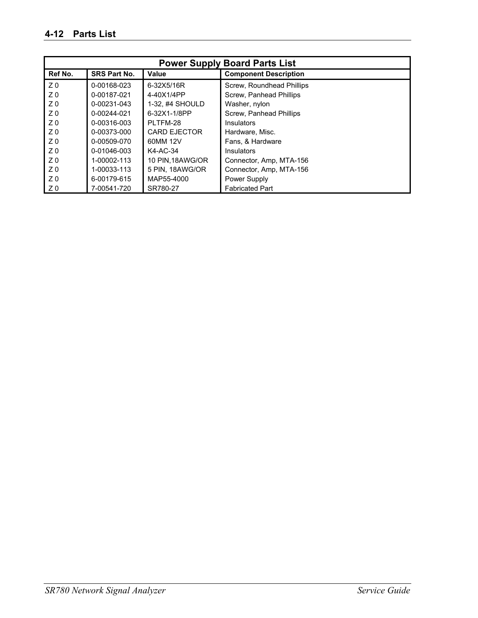| <b>Power Supply Board Parts List</b> |                     |                     |                              |
|--------------------------------------|---------------------|---------------------|------------------------------|
| Ref No.                              | <b>SRS Part No.</b> | Value               | <b>Component Description</b> |
| Z <sub>0</sub>                       | 0-00168-023         | 6-32X5/16R          | Screw, Roundhead Phillips    |
| Z <sub>0</sub>                       | 0-00187-021         | 4-40X1/4PP          | Screw, Panhead Phillips      |
| Z <sub>0</sub>                       | 0-00231-043         | 1-32, #4 SHOULD     | Washer, nylon                |
| Z <sub>0</sub>                       | 0-00244-021         | 6-32X1-1/8PP        | Screw, Panhead Phillips      |
| Z <sub>0</sub>                       | 0-00316-003         | PLTFM-28            | <b>Insulators</b>            |
| Z <sub>0</sub>                       | 0-00373-000         | <b>CARD EJECTOR</b> | Hardware, Misc.              |
| Z <sub>0</sub>                       | 0-00509-070         | 60MM 12V            | Fans, & Hardware             |
| Z <sub>0</sub>                       | 0-01046-003         | K4-AC-34            | <b>Insulators</b>            |
| Z <sub>0</sub>                       | 1-00002-113         | 10 PIN, 18AWG/OR    | Connector, Amp, MTA-156      |
| Z <sub>0</sub>                       | 1-00033-113         | 5 PIN, 18AWG/OR     | Connector, Amp, MTA-156      |
| Z <sub>0</sub>                       | 6-00179-615         | MAP55-4000          | Power Supply                 |
| Z0                                   | 7-00541-720         | SR780-27            | <b>Fabricated Part</b>       |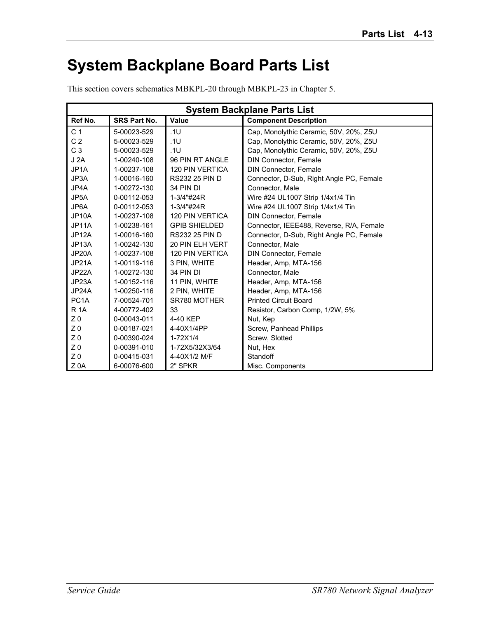## **System Backplane Board Parts List**

This section covers schematics MBKPL-20 through MBKPL-23 in Chapter 5.

| <b>System Backplane Parts List</b> |                     |                        |                                          |
|------------------------------------|---------------------|------------------------|------------------------------------------|
| Ref No.                            | <b>SRS Part No.</b> | Value                  | <b>Component Description</b>             |
| C <sub>1</sub>                     | 5-00023-529         | .1U                    | Cap, Monolythic Ceramic, 50V, 20%, Z5U   |
| C <sub>2</sub>                     | 5-00023-529         | .1U                    | Cap, Monolythic Ceramic, 50V, 20%, Z5U   |
| C <sub>3</sub>                     | 5-00023-529         | .1U                    | Cap, Monolythic Ceramic, 50V, 20%, Z5U   |
| J2A                                | 1-00240-108         | 96 PIN RT ANGLE        | <b>DIN Connector, Female</b>             |
| JP <sub>1</sub> A                  | 1-00237-108         | <b>120 PIN VERTICA</b> | <b>DIN Connector, Female</b>             |
| JP3A                               | 1-00016-160         | <b>RS232 25 PIN D</b>  | Connector, D-Sub, Right Angle PC, Female |
| JP4A                               | 1-00272-130         | 34 PIN DI              | Connector, Male                          |
| JP5A                               | 0-00112-053         | 1-3/4"#24R             | Wire #24 UL1007 Strip 1/4x1/4 Tin        |
| JP6A                               | 0-00112-053         | 1-3/4"#24R             | Wire #24 UL1007 Strip 1/4x1/4 Tin        |
| JP <sub>10</sub> A                 | 1-00237-108         | <b>120 PIN VERTICA</b> | <b>DIN Connector, Female</b>             |
| JP11A                              | 1-00238-161         | <b>GPIB SHIELDED</b>   | Connector, IEEE488, Reverse, R/A, Female |
| JP <sub>12</sub> A                 | 1-00016-160         | <b>RS232 25 PIN D</b>  | Connector, D-Sub, Right Angle PC, Female |
| JP <sub>13</sub> A                 | 1-00242-130         | 20 PIN ELH VERT        | Connector, Male                          |
| JP20A                              | 1-00237-108         | <b>120 PIN VERTICA</b> | <b>DIN Connector, Female</b>             |
| JP21A                              | 1-00119-116         | 3 PIN, WHITE           | Header, Amp, MTA-156                     |
| JP22A                              | 1-00272-130         | 34 PIN DI              | Connector, Male                          |
| JP23A                              | 1-00152-116         | 11 PIN, WHITE          | Header, Amp, MTA-156                     |
| JP24A                              | 1-00250-116         | 2 PIN, WHITE           | Header, Amp, MTA-156                     |
| PC <sub>1</sub> A                  | 7-00524-701         | SR780 MOTHER           | <b>Printed Circuit Board</b>             |
| <b>R</b> 1A                        | 4-00772-402         | 33                     | Resistor, Carbon Comp, 1/2W, 5%          |
| Z <sub>0</sub>                     | 0-00043-011         | 4-40 KEP               | Nut, Kep                                 |
| Z <sub>0</sub>                     | 0-00187-021         | 4-40X1/4PP             | Screw, Panhead Phillips                  |
| Z <sub>0</sub>                     | 0-00390-024         | $1-72X1/4$             | Screw, Slotted                           |
| Z <sub>0</sub>                     | 0-00391-010         | 1-72X5/32X3/64         | Nut, Hex                                 |
| Z <sub>0</sub>                     | 0-00415-031         | 4-40X1/2 M/F           | Standoff                                 |
| Z <sub>0</sub> A                   | 6-00076-600         | 2" SPKR                | Misc. Components                         |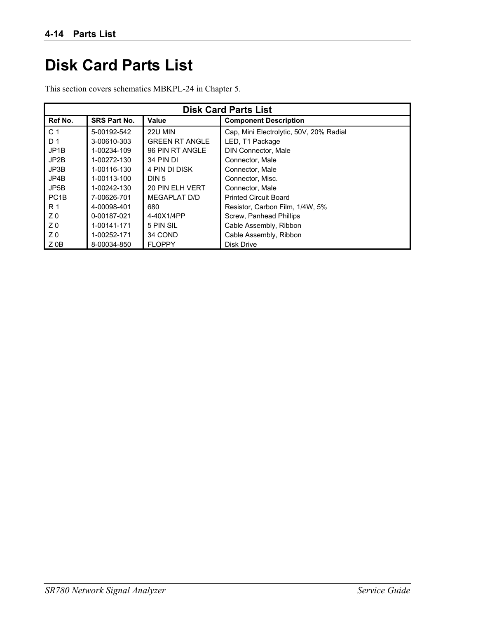### **Disk Card Parts List**

This section covers schematics MBKPL-24 in Chapter 5.

| <b>Disk Card Parts List</b> |                     |                       |                                         |
|-----------------------------|---------------------|-----------------------|-----------------------------------------|
| Ref No.                     | <b>SRS Part No.</b> | Value                 | <b>Component Description</b>            |
| C <sub>1</sub>              | 5-00192-542         | 22U MIN               | Cap, Mini Electrolytic, 50V, 20% Radial |
| D 1                         | 3-00610-303         | <b>GREEN RT ANGLE</b> | LED, T1 Package                         |
| JP <sub>1</sub> B           | 1-00234-109         | 96 PIN RT ANGLE       | DIN Connector, Male                     |
| JP2B                        | 1-00272-130         | 34 PIN DI             | Connector, Male                         |
| JP3B                        | 1-00116-130         | 4 PIN DI DISK         | Connector, Male                         |
| JP4B                        | 1-00113-100         | DIN 5                 | Connector, Misc.                        |
| JP5B                        | 1-00242-130         | 20 PIN ELH VERT       | Connector, Male                         |
| PC <sub>1</sub> B           | 7-00626-701         | MEGAPLAT D/D          | <b>Printed Circuit Board</b>            |
| R 1                         | 4-00098-401         | 680                   | Resistor, Carbon Film, 1/4W, 5%         |
| Z <sub>0</sub>              | 0-00187-021         | 4-40X1/4PP            | Screw, Panhead Phillips                 |
| Z <sub>0</sub>              | 1-00141-171         | 5 PIN SIL             | Cable Assembly, Ribbon                  |
| Z <sub>0</sub>              | 1-00252-171         | 34 COND               | Cable Assembly, Ribbon                  |
| $Z$ OB                      | 8-00034-850         | <b>FLOPPY</b>         | Disk Drive                              |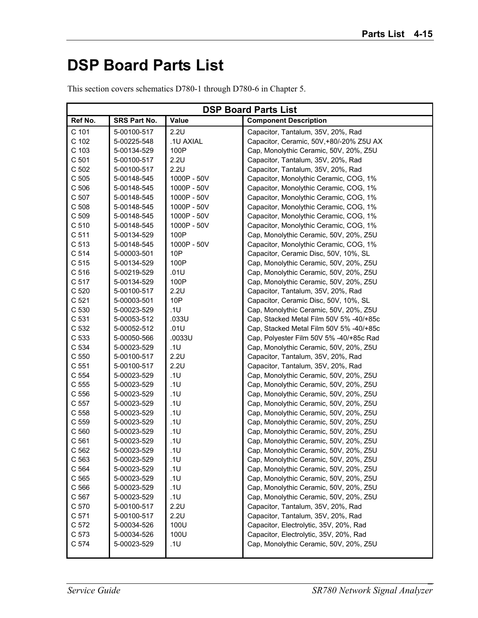## **DSP Board Parts List**

|                  | <b>DSP Board Parts List</b> |             |                                          |  |
|------------------|-----------------------------|-------------|------------------------------------------|--|
| Ref No.          | SRS Part No.                | Value       | <b>Component Description</b>             |  |
| C 101            | 5-00100-517                 | 2.2U        | Capacitor, Tantalum, 35V, 20%, Rad       |  |
| C 102            | 5-00225-548                 | .1U AXIAL   | Capacitor, Ceramic, 50V, +80/-20% Z5U AX |  |
| C 103            | 5-00134-529                 | 100P        | Cap, Monolythic Ceramic, 50V, 20%, Z5U   |  |
| C 501            | 5-00100-517                 | 2.2U        | Capacitor, Tantalum, 35V, 20%, Rad       |  |
| C 502            | 5-00100-517                 | 2.2U        | Capacitor, Tantalum, 35V, 20%, Rad       |  |
| C 505            | 5-00148-545                 | 1000P - 50V | Capacitor, Monolythic Ceramic, COG, 1%   |  |
| C 506            | 5-00148-545                 | 1000P - 50V | Capacitor, Monolythic Ceramic, COG, 1%   |  |
| C 507            | 5-00148-545                 | 1000P - 50V | Capacitor, Monolythic Ceramic, COG, 1%   |  |
| C 508            | 5-00148-545                 | 1000P - 50V | Capacitor, Monolythic Ceramic, COG, 1%   |  |
| C 509            | 5-00148-545                 | 1000P - 50V | Capacitor, Monolythic Ceramic, COG, 1%   |  |
| C 510            | 5-00148-545                 | 1000P - 50V | Capacitor, Monolythic Ceramic, COG, 1%   |  |
| C 511            | 5-00134-529                 | 100P        | Cap, Monolythic Ceramic, 50V, 20%, Z5U   |  |
| C 513            | 5-00148-545                 | 1000P - 50V | Capacitor, Monolythic Ceramic, COG, 1%   |  |
| C 514            | 5-00003-501                 | 10P         | Capacitor, Ceramic Disc, 50V, 10%, SL    |  |
| C <sub>515</sub> | 5-00134-529                 | 100P        | Cap, Monolythic Ceramic, 50V, 20%, Z5U   |  |
| C 516            | 5-00219-529                 | .01U        | Cap, Monolythic Ceramic, 50V, 20%, Z5U   |  |
| C 517            | 5-00134-529                 | 100P        | Cap, Monolythic Ceramic, 50V, 20%, Z5U   |  |
| C 520            | 5-00100-517                 | 2.2U        | Capacitor, Tantalum, 35V, 20%, Rad       |  |
| C 521            | 5-00003-501                 | 10P         | Capacitor, Ceramic Disc, 50V, 10%, SL    |  |
| C 530            | 5-00023-529                 | .1U         | Cap, Monolythic Ceramic, 50V, 20%, Z5U   |  |
| C 531            | 5-00053-512                 | .033U       | Cap, Stacked Metal Film 50V 5% -40/+85c  |  |
| C 532            | 5-00052-512                 | .01U        | Cap, Stacked Metal Film 50V 5% -40/+85c  |  |
| C 533            | 5-00050-566                 | .0033U      | Cap, Polyester Film 50V 5% -40/+85c Rad  |  |
| C 534            | 5-00023-529                 | .1U         | Cap, Monolythic Ceramic, 50V, 20%, Z5U   |  |
| C 550            | 5-00100-517                 | 2.2U        | Capacitor, Tantalum, 35V, 20%, Rad       |  |
| C 551            | 5-00100-517                 | 2.2U        | Capacitor, Tantalum, 35V, 20%, Rad       |  |
| C 554            | 5-00023-529                 | .1U         | Cap, Monolythic Ceramic, 50V, 20%, Z5U   |  |
| C 555            | 5-00023-529                 | .1U         | Cap, Monolythic Ceramic, 50V, 20%, Z5U   |  |
| C 556            | 5-00023-529                 | .1U         | Cap, Monolythic Ceramic, 50V, 20%, Z5U   |  |
| C 557            | 5-00023-529                 | .1U         | Cap, Monolythic Ceramic, 50V, 20%, Z5U   |  |
| C 558            | 5-00023-529                 | .1U         | Cap, Monolythic Ceramic, 50V, 20%, Z5U   |  |
| C 559            | 5-00023-529                 | .1U         | Cap, Monolythic Ceramic, 50V, 20%, Z5U   |  |
| C 560            | 5-00023-529                 | .1U         | Cap, Monolythic Ceramic, 50V, 20%, Z5U   |  |
| C 561            | 5-00023-529                 | .1U         | Cap, Monolythic Ceramic, 50V, 20%, Z5U   |  |
| C 562            | 5-00023-529                 | 1U          | Cap, Monolythic Ceramic, 50V, 20%, Z5U   |  |
| C 563            | 5-00023-529                 | .1U         | Cap, Monolythic Ceramic, 50V, 20%, Z5U   |  |
| C 564            | 5-00023-529                 | .1U         | Cap, Monolythic Ceramic, 50V, 20%, Z5U   |  |
| C 565            | 5-00023-529                 | .1U         | Cap, Monolythic Ceramic, 50V, 20%, Z5U   |  |
| C 566            | 5-00023-529                 | .1U         | Cap, Monolythic Ceramic, 50V, 20%, Z5U   |  |
| C 567            | 5-00023-529                 | .1U         | Cap, Monolythic Ceramic, 50V, 20%, Z5U   |  |
| C 570            | 5-00100-517                 | 2.2U        | Capacitor, Tantalum, 35V, 20%, Rad       |  |
| C 571            | 5-00100-517                 | 2.2U        | Capacitor, Tantalum, 35V, 20%, Rad       |  |
| C 572            | 5-00034-526                 | 100U        | Capacitor, Electrolytic, 35V, 20%, Rad   |  |
| C 573            | 5-00034-526                 | 100U        | Capacitor, Electrolytic, 35V, 20%, Rad   |  |
| C 574            | 5-00023-529                 | .1U         | Cap, Monolythic Ceramic, 50V, 20%, Z5U   |  |
|                  |                             |             |                                          |  |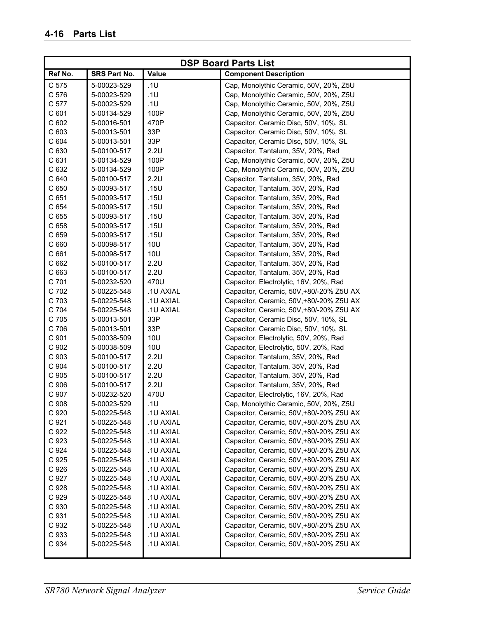| <b>DSP Board Parts List</b> |              |            |                                          |
|-----------------------------|--------------|------------|------------------------------------------|
| Ref No.                     | SRS Part No. | Value      | <b>Component Description</b>             |
| C 575                       | 5-00023-529  | .1U        | Cap, Monolythic Ceramic, 50V, 20%, Z5U   |
| C 576                       | 5-00023-529  | .1U        | Cap, Monolythic Ceramic, 50V, 20%, Z5U   |
| C 577                       | 5-00023-529  | .1U        | Cap, Monolythic Ceramic, 50V, 20%, Z5U   |
| C 601                       | 5-00134-529  | 100P       | Cap, Monolythic Ceramic, 50V, 20%, Z5U   |
| C 602                       | 5-00016-501  | 470P       | Capacitor, Ceramic Disc, 50V, 10%, SL    |
| C 603                       | 5-00013-501  | 33P        | Capacitor, Ceramic Disc, 50V, 10%, SL    |
| C 604                       | 5-00013-501  | 33P        | Capacitor, Ceramic Disc, 50V, 10%, SL    |
| C 630                       | 5-00100-517  | 2.2U       | Capacitor, Tantalum, 35V, 20%, Rad       |
| C 631                       | 5-00134-529  | 100P       | Cap, Monolythic Ceramic, 50V, 20%, Z5U   |
| C 632                       | 5-00134-529  | 100P       | Cap, Monolythic Ceramic, 50V, 20%, Z5U   |
| C 640                       | 5-00100-517  | 2.2U       | Capacitor, Tantalum, 35V, 20%, Rad       |
| C 650                       | 5-00093-517  | .15U       | Capacitor, Tantalum, 35V, 20%, Rad       |
| C 651                       | 5-00093-517  | .15U       | Capacitor, Tantalum, 35V, 20%, Rad       |
| C 654                       | 5-00093-517  | .15U       | Capacitor, Tantalum, 35V, 20%, Rad       |
| C 655                       | 5-00093-517  | .15U       | Capacitor, Tantalum, 35V, 20%, Rad       |
| C 658                       | 5-00093-517  | .15U       | Capacitor, Tantalum, 35V, 20%, Rad       |
| C 659                       | 5-00093-517  | .15U       | Capacitor, Tantalum, 35V, 20%, Rad       |
| C 660                       | 5-00098-517  | 10U        | Capacitor, Tantalum, 35V, 20%, Rad       |
| C 661                       | 5-00098-517  | <b>10U</b> | Capacitor, Tantalum, 35V, 20%, Rad       |
| C 662                       | 5-00100-517  | 2.2U       | Capacitor, Tantalum, 35V, 20%, Rad       |
| C 663                       | 5-00100-517  | 2.2U       | Capacitor, Tantalum, 35V, 20%, Rad       |
| C 701                       | 5-00232-520  | 470U       | Capacitor, Electrolytic, 16V, 20%, Rad   |
| C 702                       | 5-00225-548  | .1U AXIAL  | Capacitor, Ceramic, 50V,+80/-20% Z5U AX  |
| C 703                       | 5-00225-548  | .1U AXIAL  | Capacitor, Ceramic, 50V,+80/-20% Z5U AX  |
| C 704                       | 5-00225-548  | .1U AXIAL  | Capacitor, Ceramic, 50V,+80/-20% Z5U AX  |
| C 705                       | 5-00013-501  | 33P        | Capacitor, Ceramic Disc, 50V, 10%, SL    |
| C 706                       | 5-00013-501  | 33P        | Capacitor, Ceramic Disc, 50V, 10%, SL    |
| C 901                       | 5-00038-509  | <b>10U</b> | Capacitor, Electrolytic, 50V, 20%, Rad   |
| C 902                       | 5-00038-509  | <b>10U</b> | Capacitor, Electrolytic, 50V, 20%, Rad   |
| C 903                       | 5-00100-517  | 2.2U       | Capacitor, Tantalum, 35V, 20%, Rad       |
| C 904                       | 5-00100-517  | 2.2U       | Capacitor, Tantalum, 35V, 20%, Rad       |
| C 905                       | 5-00100-517  | 2.2U       | Capacitor, Tantalum, 35V, 20%, Rad       |
| C 906                       | 5-00100-517  | 2.2U       | Capacitor, Tantalum, 35V, 20%, Rad       |
| C 907                       | 5-00232-520  | 470U       | Capacitor, Electrolytic, 16V, 20%, Rad   |
| C 908                       | 5-00023-529  | .1U        | Cap, Monolythic Ceramic, 50V, 20%, Z5U   |
| C 920                       | 5-00225-548  | .1U AXIAL  | Capacitor, Ceramic, 50V,+80/-20% Z5U AX  |
| C 921                       | 5-00225-548  | .1U AXIAL  | Capacitor, Ceramic, 50V,+80/-20% Z5U AX  |
| C 922                       | 5-00225-548  | .1U AXIAL  | Capacitor, Ceramic, 50V,+80/-20% Z5U AX  |
| C 923                       | 5-00225-548  | .1U AXIAL  | Capacitor, Ceramic, 50V,+80/-20% Z5U AX  |
| C 924                       | 5-00225-548  | .1U AXIAL  | Capacitor, Ceramic, 50V,+80/-20% Z5U AX  |
| C 925                       | 5-00225-548  | .1U AXIAL  | Capacitor, Ceramic, 50V,+80/-20% Z5U AX  |
| C 926                       | 5-00225-548  | .1U AXIAL  | Capacitor, Ceramic, 50V,+80/-20% Z5U AX  |
| C 927                       | 5-00225-548  | .1U AXIAL  | Capacitor, Ceramic, 50V,+80/-20% Z5U AX  |
| C 928                       | 5-00225-548  | .1U AXIAL  | Capacitor, Ceramic, 50V,+80/-20% Z5U AX  |
| C 929                       | 5-00225-548  | .1U AXIAL  | Capacitor, Ceramic, 50V,+80/-20% Z5U AX  |
| C 930                       | 5-00225-548  | .1U AXIAL  | Capacitor, Ceramic, 50V,+80/-20% Z5U AX  |
| C 931                       | 5-00225-548  | .1U AXIAL  | Capacitor, Ceramic, 50V,+80/-20% Z5U AX  |
| C 932                       | 5-00225-548  | .1U AXIAL  | Capacitor, Ceramic, 50V, +80/-20% Z5U AX |
| C 933                       | 5-00225-548  | .1U AXIAL  | Capacitor, Ceramic, 50V, +80/-20% Z5U AX |
| C 934                       | 5-00225-548  | .1U AXIAL  | Capacitor, Ceramic, 50V,+80/-20% Z5U AX  |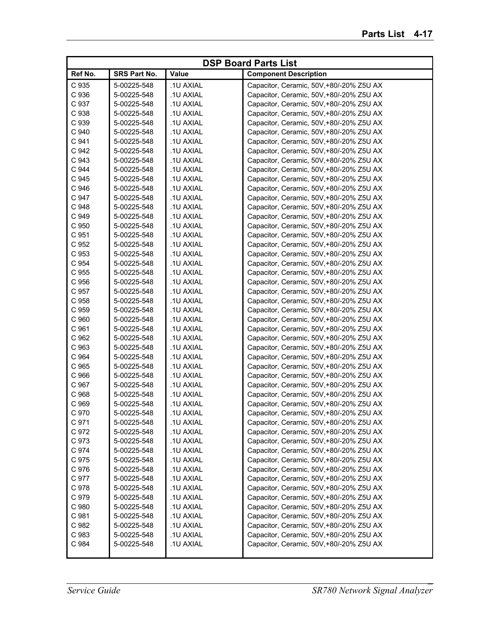|         |              |                 | <b>DSP Board Parts List</b>              |
|---------|--------------|-----------------|------------------------------------------|
| Ref No. | SRS Part No. | Value           | <b>Component Description</b>             |
| C 935   | 5-00225-548  | .1U AXIAL       | Capacitor, Ceramic, 50V, +80/-20% Z5U AX |
| C 936   | 5-00225-548  | .1U AXIAL       | Capacitor, Ceramic, 50V,+80/-20% Z5U AX  |
| C 937   | 5-00225-548  | .1U AXIAL       | Capacitor, Ceramic, 50V,+80/-20% Z5U AX  |
| C 938   | 5-00225-548  | .1U AXIAL       | Capacitor, Ceramic, 50V,+80/-20% Z5U AX  |
| C 939   | 5-00225-548  | .1U AXIAL       | Capacitor, Ceramic, 50V,+80/-20% Z5U AX  |
| C 940   | 5-00225-548  | .1U AXIAL       | Capacitor, Ceramic, 50V,+80/-20% Z5U AX  |
| C 941   | 5-00225-548  | .1U AXIAL       | Capacitor, Ceramic, 50V,+80/-20% Z5U AX  |
| C 942   | 5-00225-548  | .1U AXIAL       | Capacitor, Ceramic, 50V,+80/-20% Z5U AX  |
| C 943   | 5-00225-548  | .1U AXIAL       | Capacitor, Ceramic, 50V,+80/-20% Z5U AX  |
| C 944   | 5-00225-548  | .1U AXIAL       | Capacitor, Ceramic, 50V,+80/-20% Z5U AX  |
| C 945   | 5-00225-548  | .1U AXIAL       | Capacitor, Ceramic, 50V,+80/-20% Z5U AX  |
| C 946   | 5-00225-548  | .1U AXIAL       | Capacitor, Ceramic, 50V,+80/-20% Z5U AX  |
| C 947   | 5-00225-548  | .1U AXIAL       | Capacitor, Ceramic, 50V,+80/-20% Z5U AX  |
| C 948   | 5-00225-548  | .1U AXIAL       | Capacitor, Ceramic, 50V,+80/-20% Z5U AX  |
| C 949   | 5-00225-548  | .1U AXIAL       | Capacitor, Ceramic, 50V,+80/-20% Z5U AX  |
| C 950   | 5-00225-548  | .1U AXIAL       | Capacitor, Ceramic, 50V,+80/-20% Z5U AX  |
| C 951   | 5-00225-548  | .1U AXIAL       | Capacitor, Ceramic, 50V,+80/-20% Z5U AX  |
| C 952   | 5-00225-548  | .1U AXIAL       | Capacitor, Ceramic, 50V,+80/-20% Z5U AX  |
| C 953   | 5-00225-548  | .1U AXIAL       | Capacitor, Ceramic, 50V,+80/-20% Z5U AX  |
| C 954   | 5-00225-548  | .1U AXIAL       | Capacitor, Ceramic, 50V,+80/-20% Z5U AX  |
| C 955   | 5-00225-548  | .1U AXIAL       | Capacitor, Ceramic, 50V,+80/-20% Z5U AX  |
| C 956   | 5-00225-548  | .1U AXIAL       | Capacitor, Ceramic, 50V,+80/-20% Z5U AX  |
| C 957   | 5-00225-548  | .1U AXIAL       | Capacitor, Ceramic, 50V,+80/-20% Z5U AX  |
| C 958   | 5-00225-548  | .1U AXIAL       | Capacitor, Ceramic, 50V,+80/-20% Z5U AX  |
| C 959   | 5-00225-548  | .1U AXIAL       | Capacitor, Ceramic, 50V,+80/-20% Z5U AX  |
| C 960   | 5-00225-548  | .1U AXIAL       | Capacitor, Ceramic, 50V,+80/-20% Z5U AX  |
| C 961   | 5-00225-548  | .1U AXIAL       | Capacitor, Ceramic, 50V,+80/-20% Z5U AX  |
| C 962   | 5-00225-548  | .1U AXIAL       | Capacitor, Ceramic, 50V,+80/-20% Z5U AX  |
| C 963   | 5-00225-548  | .1U AXIAL       | Capacitor, Ceramic, 50V,+80/-20% Z5U AX  |
| C 964   | 5-00225-548  | .1U AXIAL       | Capacitor, Ceramic, 50V,+80/-20% Z5U AX  |
| C 965   | 5-00225-548  | .1U AXIAL       | Capacitor, Ceramic, 50V,+80/-20% Z5U AX  |
| C 966   | 5-00225-548  | .1U AXIAL       | Capacitor, Ceramic, 50V,+80/-20% Z5U AX  |
| C 967   | 5-00225-548  | .1U AXIAL       | Capacitor, Ceramic, 50V,+80/-20% Z5U AX  |
| C 968   | 5-00225-548  | .1U AXIAL       | Capacitor, Ceramic, 50V,+80/-20% Z5U AX  |
| C 969   | 5-00225-548  | <b>1U AXIAL</b> | Capacitor, Ceramic, 50V,+80/-20% Z5U AX  |
| C 970   | 5-00225-548  | .1U AXIAL       | Capacitor, Ceramic, 50V, +80/-20% Z5U AX |
| C 971   | 5-00225-548  | .1U AXIAL       | Capacitor, Ceramic, 50V,+80/-20% Z5U AX  |
| C 972   | 5-00225-548  | .1U AXIAL       | Capacitor, Ceramic, 50V,+80/-20% Z5U AX  |
| C 973   | 5-00225-548  | .1U AXIAL       | Capacitor, Ceramic, 50V,+80/-20% Z5U AX  |
| C 974   | 5-00225-548  | .1U AXIAL       | Capacitor, Ceramic, 50V,+80/-20% Z5U AX  |
| C 975   | 5-00225-548  | .1U AXIAL       | Capacitor, Ceramic, 50V,+80/-20% Z5U AX  |
| C 976   | 5-00225-548  | .1U AXIAL       | Capacitor, Ceramic, 50V,+80/-20% Z5U AX  |
| C 977   | 5-00225-548  | .1U AXIAL       | Capacitor, Ceramic, 50V,+80/-20% Z5U AX  |
| C 978   | 5-00225-548  | .1U AXIAL       | Capacitor, Ceramic, 50V,+80/-20% Z5U AX  |
| C 979   | 5-00225-548  | .1U AXIAL       | Capacitor, Ceramic, 50V,+80/-20% Z5U AX  |
| C 980   | 5-00225-548  | .1U AXIAL       | Capacitor, Ceramic, 50V,+80/-20% Z5U AX  |
| C 981   | 5-00225-548  | .1U AXIAL       | Capacitor, Ceramic, 50V,+80/-20% Z5U AX  |
| C 982   | 5-00225-548  | .1U AXIAL       | Capacitor, Ceramic, 50V,+80/-20% Z5U AX  |
| C 983   | 5-00225-548  | .1U AXIAL       | Capacitor, Ceramic, 50V,+80/-20% Z5U AX  |
| C 984   | 5-00225-548  | .1U AXIAL       | Capacitor, Ceramic, 50V,+80/-20% Z5U AX  |
|         |              |                 |                                          |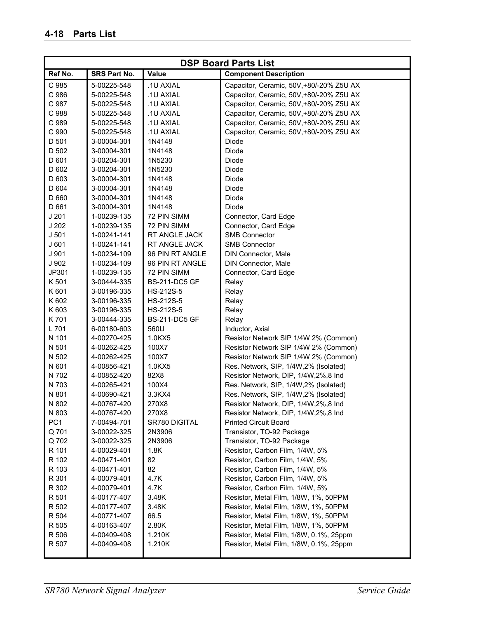| <b>DSP Board Parts List</b> |              |                      |                                         |
|-----------------------------|--------------|----------------------|-----------------------------------------|
| Ref No.                     | SRS Part No. | Value                | <b>Component Description</b>            |
| C 985                       | 5-00225-548  | .1U AXIAL            | Capacitor, Ceramic, 50V,+80/-20% Z5U AX |
| C 986                       | 5-00225-548  | .1U AXIAL            | Capacitor, Ceramic, 50V,+80/-20% Z5U AX |
| C 987                       | 5-00225-548  | .1U AXIAL            | Capacitor, Ceramic, 50V,+80/-20% Z5U AX |
| C 988                       | 5-00225-548  | .1U AXIAL            | Capacitor, Ceramic, 50V,+80/-20% Z5U AX |
| C 989                       | 5-00225-548  | .1U AXIAL            | Capacitor, Ceramic, 50V,+80/-20% Z5U AX |
| C 990                       | 5-00225-548  | .1U AXIAL            | Capacitor, Ceramic, 50V,+80/-20% Z5U AX |
| D 501                       | 3-00004-301  | 1N4148               | Diode                                   |
| D 502                       | 3-00004-301  | 1N4148               | Diode                                   |
| D 601                       | 3-00204-301  | 1N5230               | Diode                                   |
| D 602                       | 3-00204-301  | 1N5230               | Diode                                   |
| D 603                       | 3-00004-301  | 1N4148               | Diode                                   |
| D 604                       | 3-00004-301  | 1N4148               | Diode                                   |
| D 660                       | 3-00004-301  | 1N4148               | Diode                                   |
| D 661                       | 3-00004-301  | 1N4148               | <b>Diode</b>                            |
| J201                        | 1-00239-135  | 72 PIN SIMM          | Connector, Card Edge                    |
| J202                        | 1-00239-135  | 72 PIN SIMM          | Connector, Card Edge                    |
| J <sub>501</sub>            | 1-00241-141  | RT ANGLE JACK        | <b>SMB Connector</b>                    |
| J601                        | 1-00241-141  | RT ANGLE JACK        | <b>SMB Connector</b>                    |
| J 901                       | 1-00234-109  | 96 PIN RT ANGLE      | DIN Connector, Male                     |
| J 902                       | 1-00234-109  | 96 PIN RT ANGLE      | DIN Connector, Male                     |
| JP301                       | 1-00239-135  | 72 PIN SIMM          | Connector, Card Edge                    |
| K 501                       | 3-00444-335  | <b>BS-211-DC5 GF</b> | Relay                                   |
| K 601                       | 3-00196-335  | HS-212S-5            | Relay                                   |
| K 602                       | 3-00196-335  | HS-212S-5            | Relay                                   |
| K 603                       | 3-00196-335  | HS-212S-5            | Relay                                   |
| K701                        | 3-00444-335  | <b>BS-211-DC5 GF</b> | Relay                                   |
| L 701                       | 6-00180-603  | 560U                 | Inductor, Axial                         |
| N 101                       | 4-00270-425  | 1.0KX5               | Resistor Network SIP 1/4W 2% (Common)   |
| N 501                       | 4-00262-425  | 100X7                | Resistor Network SIP 1/4W 2% (Common)   |
| N 502                       | 4-00262-425  | 100X7                | Resistor Network SIP 1/4W 2% (Common)   |
| N 601                       | 4-00856-421  | 1.0KX5               | Res. Network, SIP, 1/4W, 2% (Isolated)  |
| N 702                       | 4-00852-420  | 82X8                 | Resistor Network, DIP, 1/4W, 2%, 8 Ind  |
| N 703                       | 4-00265-421  | 100X4                | Res. Network, SIP, 1/4W, 2% (Isolated)  |
| N 801                       | 4-00690-421  | 3.3KX4               | Res. Network, SIP, 1/4W, 2% (Isolated)  |
| N 802                       | 4-00767-420  | 270X8                | Resistor Network, DIP, 1/4W, 2%, 8 Ind  |
| N 803                       | 4-00767-420  | 270X8                | Resistor Network, DIP, 1/4W, 2%, 8 Ind  |
| PC <sub>1</sub>             | 7-00494-701  | SR780 DIGITAL        | <b>Printed Circuit Board</b>            |
| Q 701                       | 3-00022-325  | 2N3906               | Transistor, TO-92 Package               |
| Q 702                       | 3-00022-325  | 2N3906               | Transistor, TO-92 Package               |
| R 101                       | 4-00029-401  | 1.8K                 | Resistor, Carbon Film, 1/4W, 5%         |
| R 102                       | 4-00471-401  | 82                   | Resistor, Carbon Film, 1/4W, 5%         |
| R 103                       | 4-00471-401  | 82                   | Resistor, Carbon Film, 1/4W, 5%         |
| R 301                       | 4-00079-401  | 4.7K                 | Resistor, Carbon Film, 1/4W, 5%         |
| R 302                       | 4-00079-401  | 4.7K                 | Resistor, Carbon Film, 1/4W, 5%         |
| R 501                       | 4-00177-407  | 3.48K                | Resistor, Metal Film, 1/8W, 1%, 50PPM   |
| R 502                       | 4-00177-407  | 3.48K                | Resistor, Metal Film, 1/8W, 1%, 50PPM   |
| R 504                       | 4-00771-407  | 66.5                 | Resistor, Metal Film, 1/8W, 1%, 50PPM   |
| R 505                       | 4-00163-407  | 2.80K                | Resistor, Metal Film, 1/8W, 1%, 50PPM   |
| R 506                       | 4-00409-408  | 1.210K               | Resistor, Metal Film, 1/8W, 0.1%, 25ppm |
| R 507                       | 4-00409-408  | 1.210K               | Resistor, Metal Film, 1/8W, 0.1%, 25ppm |
|                             |              |                      |                                         |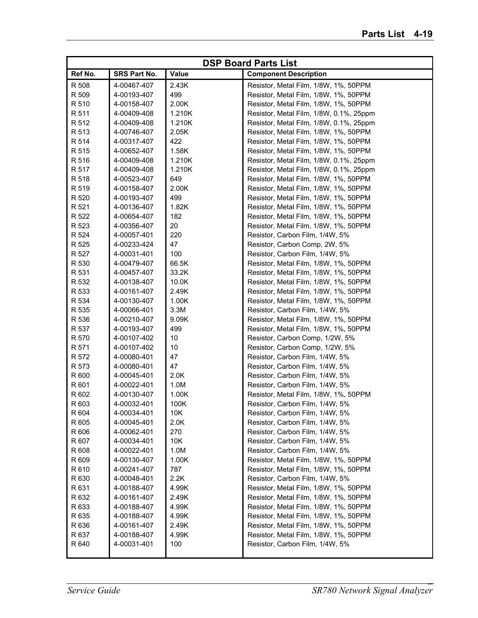|         |              |        | <b>DSP Board Parts List</b>             |
|---------|--------------|--------|-----------------------------------------|
| Ref No. | SRS Part No. | Value  | <b>Component Description</b>            |
| R 508   | 4-00467-407  | 2.43K  | Resistor, Metal Film, 1/8W, 1%, 50PPM   |
| R 509   | 4-00193-407  | 499    | Resistor, Metal Film, 1/8W, 1%, 50PPM   |
| R 510   | 4-00158-407  | 2.00K  | Resistor, Metal Film, 1/8W, 1%, 50PPM   |
| R 511   | 4-00409-408  | 1.210K | Resistor, Metal Film, 1/8W, 0.1%, 25ppm |
| R 512   | 4-00409-408  | 1.210K | Resistor, Metal Film, 1/8W, 0.1%, 25ppm |
| R 513   | 4-00746-407  | 2.05K  | Resistor, Metal Film, 1/8W, 1%, 50PPM   |
| R 514   | 4-00317-407  | 422    | Resistor, Metal Film, 1/8W, 1%, 50PPM   |
| R 515   | 4-00652-407  | 1.58K  | Resistor, Metal Film, 1/8W, 1%, 50PPM   |
| R 516   | 4-00409-408  | 1.210K | Resistor, Metal Film, 1/8W, 0.1%, 25ppm |
| R 517   | 4-00409-408  | 1.210K | Resistor, Metal Film, 1/8W, 0.1%, 25ppm |
| R 518   | 4-00523-407  | 649    | Resistor, Metal Film, 1/8W, 1%, 50PPM   |
| R 519   | 4-00158-407  | 2.00K  | Resistor, Metal Film, 1/8W, 1%, 50PPM   |
| R 520   | 4-00193-407  | 499    | Resistor, Metal Film, 1/8W, 1%, 50PPM   |
| R 521   | 4-00136-407  | 1.82K  | Resistor, Metal Film, 1/8W, 1%, 50PPM   |
| R 522   | 4-00654-407  | 182    | Resistor, Metal Film, 1/8W, 1%, 50PPM   |
| R 523   | 4-00356-407  | 20     | Resistor, Metal Film, 1/8W, 1%, 50PPM   |
| R 524   | 4-00057-401  | 220    | Resistor, Carbon Film, 1/4W, 5%         |
| R 525   | 4-00233-424  | 47     | Resistor, Carbon Comp, 2W, 5%           |
| R 527   | 4-00031-401  | 100    | Resistor, Carbon Film, 1/4W, 5%         |
| R 530   | 4-00479-407  | 66.5K  | Resistor, Metal Film, 1/8W, 1%, 50PPM   |
| R 531   | 4-00457-407  | 33.2K  | Resistor, Metal Film, 1/8W, 1%, 50PPM   |
| R 532   | 4-00138-407  | 10.0K  | Resistor, Metal Film, 1/8W, 1%, 50PPM   |
| R 533   | 4-00161-407  | 2.49K  | Resistor, Metal Film, 1/8W, 1%, 50PPM   |
| R 534   | 4-00130-407  | 1.00K  | Resistor, Metal Film, 1/8W, 1%, 50PPM   |
| R 535   | 4-00066-401  | 3.3M   | Resistor, Carbon Film, 1/4W, 5%         |
| R 536   | 4-00210-407  | 9.09K  | Resistor, Metal Film, 1/8W, 1%, 50PPM   |
| R 537   | 4-00193-407  | 499    | Resistor, Metal Film, 1/8W, 1%, 50PPM   |
| R 570   | 4-00107-402  | 10     | Resistor, Carbon Comp, 1/2W, 5%         |
| R 571   | 4-00107-402  | 10     | Resistor, Carbon Comp, 1/2W, 5%         |
| R 572   | 4-00080-401  | 47     | Resistor, Carbon Film, 1/4W, 5%         |
| R 573   | 4-00080-401  | 47     | Resistor, Carbon Film, 1/4W, 5%         |
| R 600   | 4-00045-401  | 2.0K   | Resistor, Carbon Film, 1/4W, 5%         |
| R 601   | 4-00022-401  | 1.0M   | Resistor, Carbon Film, 1/4W, 5%         |
| R 602   | 4-00130-407  | 1.00K  | Resistor, Metal Film, 1/8W, 1%, 50PPM   |
| R 603   | 4-00032-401  | 100K   | Resistor, Carbon Film, 1/4W, 5%         |
| R 604   | 4-00034-401  | 10K    | Resistor, Carbon Film, 1/4W, 5%         |
| R 605   | 4-00045-401  | 2.0K   | Resistor, Carbon Film, 1/4W, 5%         |
| R 606   | 4-00062-401  | 270    | Resistor, Carbon Film, 1/4W, 5%         |
| R 607   | 4-00034-401  | 10K    | Resistor, Carbon Film, 1/4W, 5%         |
| R 608   | 4-00022-401  | 1.0M   | Resistor, Carbon Film, 1/4W, 5%         |
| R 609   | 4-00130-407  | 1.00K  | Resistor, Metal Film, 1/8W, 1%, 50PPM   |
| R 610   | 4-00241-407  | 787    | Resistor, Metal Film, 1/8W, 1%, 50PPM   |
| R 630   | 4-00048-401  | 2.2K   | Resistor, Carbon Film, 1/4W, 5%         |
| R 631   | 4-00188-407  | 4.99K  | Resistor, Metal Film, 1/8W, 1%, 50PPM   |
| R 632   | 4-00161-407  | 2.49K  | Resistor, Metal Film, 1/8W, 1%, 50PPM   |
| R 633   | 4-00188-407  | 4.99K  | Resistor, Metal Film, 1/8W, 1%, 50PPM   |
| R 635   | 4-00188-407  | 4.99K  | Resistor, Metal Film, 1/8W, 1%, 50PPM   |
| R 636   | 4-00161-407  | 2.49K  | Resistor, Metal Film, 1/8W, 1%, 50PPM   |
| R 637   | 4-00188-407  | 4.99K  | Resistor, Metal Film, 1/8W, 1%, 50PPM   |
| R 640   | 4-00031-401  | 100    | Resistor, Carbon Film, 1/4W, 5%         |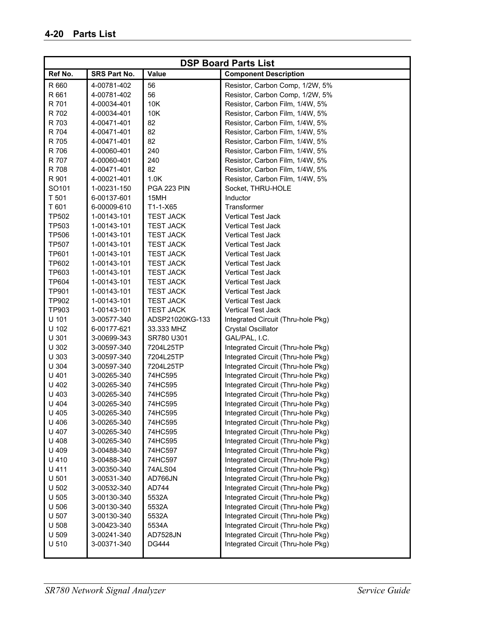| <b>DSP Board Parts List</b> |              |                  |                                    |
|-----------------------------|--------------|------------------|------------------------------------|
| Ref No.                     | SRS Part No. | Value            | <b>Component Description</b>       |
| R 660                       | 4-00781-402  | 56               | Resistor, Carbon Comp, 1/2W, 5%    |
| R 661                       | 4-00781-402  | 56               | Resistor, Carbon Comp, 1/2W, 5%    |
| R 701                       | 4-00034-401  | 10K              | Resistor, Carbon Film, 1/4W, 5%    |
| R 702                       | 4-00034-401  | 10K              | Resistor, Carbon Film, 1/4W, 5%    |
| R 703                       | 4-00471-401  | 82               | Resistor, Carbon Film, 1/4W, 5%    |
| R 704                       | 4-00471-401  | 82               | Resistor, Carbon Film, 1/4W, 5%    |
| R 705                       | 4-00471-401  | 82               | Resistor, Carbon Film, 1/4W, 5%    |
| R 706                       | 4-00060-401  | 240              | Resistor, Carbon Film, 1/4W, 5%    |
| R 707                       | 4-00060-401  | 240              | Resistor, Carbon Film, 1/4W, 5%    |
| R 708                       | 4-00471-401  | 82               | Resistor, Carbon Film, 1/4W, 5%    |
| R 901                       | 4-00021-401  | 1.0K             | Resistor, Carbon Film, 1/4W, 5%    |
| SO101                       | 1-00231-150  | PGA 223 PIN      | Socket, THRU-HOLE                  |
| T 501                       | 6-00137-601  | 15MH             | Inductor                           |
| T 601                       | 6-00009-610  | $T1-1-X65$       | Transformer                        |
| <b>TP502</b>                | 1-00143-101  | <b>TEST JACK</b> | <b>Vertical Test Jack</b>          |
| TP503                       | 1-00143-101  | <b>TEST JACK</b> | <b>Vertical Test Jack</b>          |
| <b>TP506</b>                | 1-00143-101  | <b>TEST JACK</b> | <b>Vertical Test Jack</b>          |
| <b>TP507</b>                | 1-00143-101  | <b>TEST JACK</b> | <b>Vertical Test Jack</b>          |
| <b>TP601</b>                | 1-00143-101  | <b>TEST JACK</b> | <b>Vertical Test Jack</b>          |
| TP602                       | 1-00143-101  | <b>TEST JACK</b> | <b>Vertical Test Jack</b>          |
| TP603                       | 1-00143-101  | <b>TEST JACK</b> | <b>Vertical Test Jack</b>          |
| <b>TP604</b>                | 1-00143-101  | <b>TEST JACK</b> | <b>Vertical Test Jack</b>          |
| <b>TP901</b>                | 1-00143-101  | <b>TEST JACK</b> | <b>Vertical Test Jack</b>          |
| TP902                       | 1-00143-101  | <b>TEST JACK</b> | <b>Vertical Test Jack</b>          |
| TP903                       | 1-00143-101  | <b>TEST JACK</b> | <b>Vertical Test Jack</b>          |
| U 101                       | 3-00577-340  | ADSP21020KG-133  | Integrated Circuit (Thru-hole Pkg) |
| U 102                       | 6-00177-621  | 33.333 MHZ       | <b>Crystal Oscillator</b>          |
| U 301                       | 3-00699-343  | SR780 U301       | GAL/PAL, I.C.                      |
| U 302                       | 3-00597-340  | 7204L25TP        | Integrated Circuit (Thru-hole Pkg) |
| U 303                       | 3-00597-340  | 7204L25TP        | Integrated Circuit (Thru-hole Pkg) |
| U 304                       | 3-00597-340  | 7204L25TP        | Integrated Circuit (Thru-hole Pkg) |
| U 401                       | 3-00265-340  | 74HC595          | Integrated Circuit (Thru-hole Pkg) |
| U 402                       | 3-00265-340  | 74HC595          | Integrated Circuit (Thru-hole Pkg) |
| U 403                       | 3-00265-340  | 74HC595          | Integrated Circuit (Thru-hole Pkg) |
| U 404                       | 3-00265-340  | 74HC595          | Integrated Circuit (Thru-hole Pkg) |
| U 405                       | 3-00265-340  | 74HC595          | Integrated Circuit (Thru-hole Pkg) |
| U 406                       | 3-00265-340  | 74HC595          | Integrated Circuit (Thru-hole Pkg) |
| U 407                       | 3-00265-340  | 74HC595          | Integrated Circuit (Thru-hole Pkg) |
| U 408                       | 3-00265-340  | 74HC595          | Integrated Circuit (Thru-hole Pkg) |
| U 409                       | 3-00488-340  | 74HC597          | Integrated Circuit (Thru-hole Pkg) |
| U 410                       | 3-00488-340  | 74HC597          | Integrated Circuit (Thru-hole Pkg) |
| U 411                       | 3-00350-340  | 74ALS04          | Integrated Circuit (Thru-hole Pkg) |
| U 501                       | 3-00531-340  | AD766JN          | Integrated Circuit (Thru-hole Pkg) |
| U 502                       | 3-00532-340  | AD744            | Integrated Circuit (Thru-hole Pkg) |
| U 505                       | 3-00130-340  | 5532A            | Integrated Circuit (Thru-hole Pkg) |
| U 506                       | 3-00130-340  | 5532A            | Integrated Circuit (Thru-hole Pkg) |
| U 507                       | 3-00130-340  | 5532A            | Integrated Circuit (Thru-hole Pkg) |
| U 508                       | 3-00423-340  | 5534A            | Integrated Circuit (Thru-hole Pkg) |
| U 509                       | 3-00241-340  | <b>AD7528JN</b>  | Integrated Circuit (Thru-hole Pkg) |
| U 510                       | 3-00371-340  | <b>DG444</b>     | Integrated Circuit (Thru-hole Pkg) |
|                             |              |                  |                                    |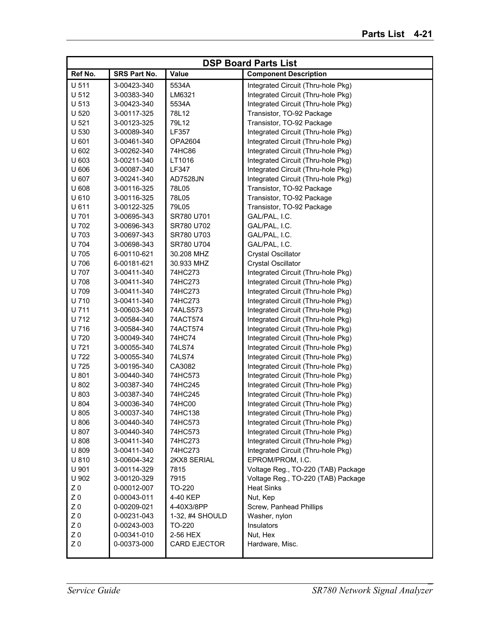| <b>DSP Board Parts List</b>      |                            |                    |                                    |
|----------------------------------|----------------------------|--------------------|------------------------------------|
| Ref No.                          | <b>SRS Part No.</b>        | Value              | <b>Component Description</b>       |
| U 511                            | 3-00423-340                | 5534A              | Integrated Circuit (Thru-hole Pkg) |
| U 512                            | 3-00383-340                | LM6321             | Integrated Circuit (Thru-hole Pkg) |
| U 513                            | 3-00423-340                | 5534A              | Integrated Circuit (Thru-hole Pkg) |
| U 520                            | 3-00117-325                | 78L12              | Transistor, TO-92 Package          |
| U <sub>521</sub>                 | 3-00123-325                | 79L12              | Transistor, TO-92 Package          |
| U 530                            | 3-00089-340                | LF357              | Integrated Circuit (Thru-hole Pkg) |
| U 601                            | 3-00461-340                | <b>OPA2604</b>     | Integrated Circuit (Thru-hole Pkg) |
| U 602                            | 3-00262-340                | 74HC86             | Integrated Circuit (Thru-hole Pkg) |
| U 603                            | 3-00211-340                | LT1016             | Integrated Circuit (Thru-hole Pkg) |
| U 606                            | 3-00087-340                | LF347              | Integrated Circuit (Thru-hole Pkg) |
| U 607                            | 3-00241-340                | AD7528JN           | Integrated Circuit (Thru-hole Pkg) |
| U 608                            | 3-00116-325                | 78L05              | Transistor, TO-92 Package          |
| U 610                            | 3-00116-325                | 78L05              | Transistor, TO-92 Package          |
| U 611                            | 3-00122-325                | 79L05              | Transistor, TO-92 Package          |
| U 701                            | 3-00695-343                | SR780 U701         | GAL/PAL, I.C.                      |
| U 702                            | 3-00696-343                | SR780 U702         | GAL/PAL, I.C.                      |
| U 703                            | 3-00697-343                | SR780 U703         | GAL/PAL, I.C.                      |
| U 704                            | 3-00698-343                | SR780 U704         | GAL/PAL, I.C.                      |
| U 705                            | 6-00110-621                | 30.208 MHZ         | <b>Crystal Oscillator</b>          |
| U 706                            | 6-00181-621                | 30.933 MHZ         | <b>Crystal Oscillator</b>          |
| U 707                            | 3-00411-340                | 74HC273            | Integrated Circuit (Thru-hole Pkg) |
| U 708                            | 3-00411-340                | 74HC273            | Integrated Circuit (Thru-hole Pkg) |
| U 709                            | 3-00411-340                | 74HC273            | Integrated Circuit (Thru-hole Pkg) |
| U 710                            | 3-00411-340                | 74HC273            | Integrated Circuit (Thru-hole Pkg) |
| U 711                            | 3-00603-340                | 74ALS573           | Integrated Circuit (Thru-hole Pkg) |
| U 712                            | 3-00584-340                | 74ACT574           | Integrated Circuit (Thru-hole Pkg) |
| U 716                            | 3-00584-340                | 74ACT574           | Integrated Circuit (Thru-hole Pkg) |
| U 720                            | 3-00049-340                | 74HC74             | Integrated Circuit (Thru-hole Pkg) |
| U 721                            | 3-00055-340                | 74LS74             | Integrated Circuit (Thru-hole Pkg) |
| U 722                            | 3-00055-340                | 74LS74             | Integrated Circuit (Thru-hole Pkg) |
| U 725                            | 3-00195-340                | CA3082             | Integrated Circuit (Thru-hole Pkg) |
| U 801                            | 3-00440-340                | 74HC573            | Integrated Circuit (Thru-hole Pkg) |
| U 802                            | 3-00387-340                | 74HC245            | Integrated Circuit (Thru-hole Pkg) |
| U 803                            | 3-00387-340                | 74HC245            | Integrated Circuit (Thru-hole Pkg) |
| U 804                            | 3-00036-340                | 74HC00             | Integrated Circuit (Thru-hole Pkg) |
| U 805                            | 3-00037-340                | 74HC138            | Integrated Circuit (Thru-hole Pkg) |
| U 806                            | 3-00440-340                | 74HC573            | Integrated Circuit (Thru-hole Pkg) |
| U 807                            | 3-00440-340                | 74HC573            | Integrated Circuit (Thru-hole Pkg) |
| U 808                            | 3-00411-340                | 74HC273            | Integrated Circuit (Thru-hole Pkg) |
| U 809                            | 3-00411-340                | 74HC273            | Integrated Circuit (Thru-hole Pkg) |
| U 810                            | 3-00604-342                | 2KX8 SERIAL        | EPROM/PROM, I.C.                   |
| U 901                            | 3-00114-329                | 7815               | Voltage Reg., TO-220 (TAB) Package |
| U 902                            | 3-00120-329                | 7915               | Voltage Reg., TO-220 (TAB) Package |
| Z <sub>0</sub>                   | 0-00012-007                | TO-220             | <b>Heat Sinks</b>                  |
| $Z\;0$                           | 0-00043-011                | 4-40 KEP           | Nut, Kep                           |
| Z <sub>0</sub>                   | 0-00209-021                | 4-40X3/8PP         | Screw, Panhead Phillips            |
| Z <sub>0</sub>                   | 0-00231-043                | 1-32, #4 SHOULD    | Washer, nylon                      |
| Z <sub>0</sub><br>Z <sub>0</sub> | 0-00243-003                | TO-220<br>2-56 HEX | Insulators<br>Nut, Hex             |
| Z <sub>0</sub>                   | 0-00341-010<br>0-00373-000 | CARD EJECTOR       | Hardware, Misc.                    |
|                                  |                            |                    |                                    |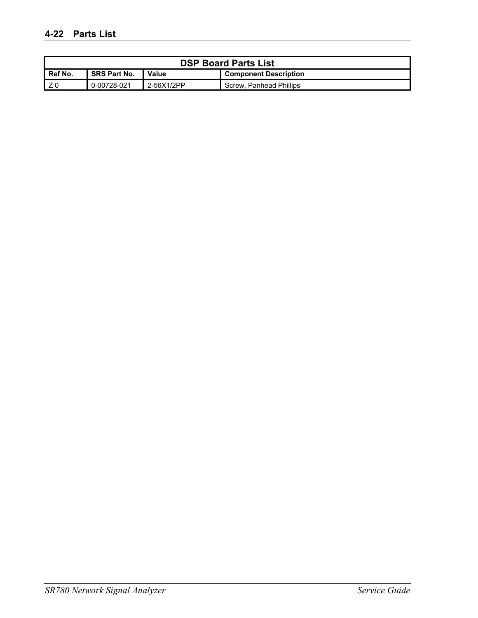| <b>DSP Board Parts List</b> |                                                              |            |                         |  |
|-----------------------------|--------------------------------------------------------------|------------|-------------------------|--|
| Ref No.                     | <b>SRS Part No.</b><br>Value<br><b>Component Description</b> |            |                         |  |
|                             | 0-00728-021                                                  | 2-56X1/2PP | Screw. Panhead Phillips |  |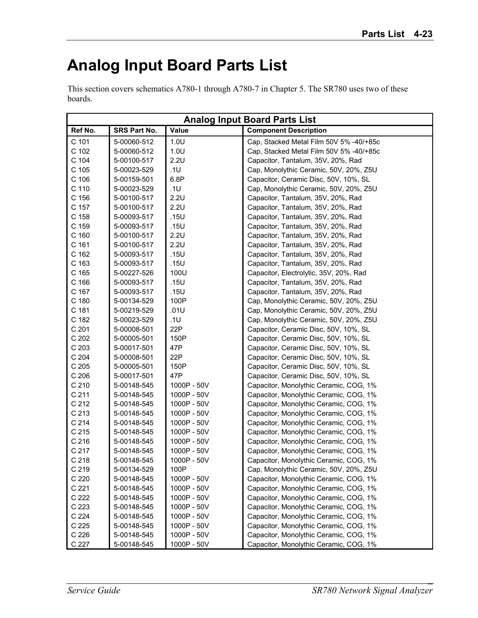### **Analog Input Board Parts List**

This section covers schematics A780-1 through A780-7 in Chapter 5. The SR780 uses two of these boards.

|                  | <b>Analog Input Board Parts List</b> |              |                                         |
|------------------|--------------------------------------|--------------|-----------------------------------------|
| Ref No.          | SRS Part No.                         | <b>Value</b> | <b>Component Description</b>            |
| C 101            | 5-00060-512                          | 1.0U         | Cap, Stacked Metal Film 50V 5% -40/+85c |
| C 102            | 5-00060-512                          | 1.0U         | Cap, Stacked Metal Film 50V 5% -40/+85c |
| C 104            | 5-00100-517                          | 2.2U         | Capacitor, Tantalum, 35V, 20%, Rad      |
| C 105            | 5-00023-529                          | .1U          | Cap, Monolythic Ceramic, 50V, 20%, Z5U  |
| C 106            | 5-00159-501                          | 6.8P         | Capacitor, Ceramic Disc, 50V, 10%, SL   |
| C 110            | 5-00023-529                          | .1U          | Cap, Monolythic Ceramic, 50V, 20%, Z5U  |
| C 156            | 5-00100-517                          | 2.2U         | Capacitor, Tantalum, 35V, 20%, Rad      |
| C 157            | 5-00100-517                          | 2.2U         | Capacitor, Tantalum, 35V, 20%, Rad      |
| C 158            | 5-00093-517                          | .15U         | Capacitor, Tantalum, 35V, 20%, Rad      |
| C 159            | 5-00093-517                          | .15U         | Capacitor, Tantalum, 35V, 20%, Rad      |
| C 160            | 5-00100-517                          | 2.2U         | Capacitor, Tantalum, 35V, 20%, Rad      |
| C 161            | 5-00100-517                          | 2.2U         | Capacitor, Tantalum, 35V, 20%, Rad      |
| C 162            | 5-00093-517                          | .15U         | Capacitor, Tantalum, 35V, 20%, Rad      |
| C 163            | 5-00093-517                          | .15U         | Capacitor, Tantalum, 35V, 20%, Rad      |
| C 165            | 5-00227-526                          | 100U         | Capacitor, Electrolytic, 35V, 20%, Rad  |
| C 166            | 5-00093-517                          | .15U         | Capacitor, Tantalum, 35V, 20%, Rad      |
| C 167            | 5-00093-517                          | .15U         | Capacitor, Tantalum, 35V, 20%, Rad      |
| C 180            | 5-00134-529                          | 100P         | Cap, Monolythic Ceramic, 50V, 20%, Z5U  |
| C 181            | 5-00219-529                          | .01U         | Cap, Monolythic Ceramic, 50V, 20%, Z5U  |
| C 182            | 5-00023-529                          | .1U          | Cap, Monolythic Ceramic, 50V, 20%, Z5U  |
| C 201            | 5-00008-501                          | 22P          | Capacitor, Ceramic Disc, 50V, 10%, SL   |
| C 202            | 5-00005-501                          | 150P         | Capacitor, Ceramic Disc, 50V, 10%, SL   |
| C 203            | 5-00017-501                          | 47P          | Capacitor, Ceramic Disc, 50V, 10%, SL   |
| C 204            | 5-00008-501                          | 22P          | Capacitor, Ceramic Disc, 50V, 10%, SL   |
| C 205            | 5-00005-501                          | 150P         | Capacitor, Ceramic Disc, 50V, 10%, SL   |
| C 206            | 5-00017-501                          | 47P          | Capacitor, Ceramic Disc, 50V, 10%, SL   |
| C 210            | 5-00148-545                          | 1000P - 50V  | Capacitor, Monolythic Ceramic, COG, 1%  |
| C <sub>211</sub> | 5-00148-545                          | 1000P - 50V  | Capacitor, Monolythic Ceramic, COG, 1%  |
| C 212            | 5-00148-545                          | 1000P - 50V  | Capacitor, Monolythic Ceramic, COG, 1%  |
| C 213            | 5-00148-545                          | 1000P - 50V  | Capacitor, Monolythic Ceramic, COG, 1%  |
| C 214            | 5-00148-545                          | 1000P - 50V  | Capacitor, Monolythic Ceramic, COG, 1%  |
| C 215            | 5-00148-545                          | 1000P - 50V  | Capacitor, Monolythic Ceramic, COG, 1%  |
| C 216            | 5-00148-545                          | 1000P - 50V  | Capacitor, Monolythic Ceramic, COG, 1%  |
| C 217            | 5-00148-545                          | 1000P - 50V  | Capacitor, Monolythic Ceramic, COG, 1%  |
| C <sub>218</sub> | 5-00148-545                          | 1000P - 50V  | Capacitor, Monolythic Ceramic, COG, 1%  |
| C 219            | 5-00134-529                          | 100P         | Cap, Monolythic Ceramic, 50V, 20%, Z5U  |
| C 220            | 5-00148-545                          | 1000P - 50V  | Capacitor, Monolythic Ceramic, COG, 1%  |
| C 221            | 5-00148-545                          | 1000P - 50V  | Capacitor, Monolythic Ceramic, COG, 1%  |
| C 222            | 5-00148-545                          | 1000P - 50V  | Capacitor, Monolythic Ceramic, COG, 1%  |
| C 223            | 5-00148-545                          | 1000P - 50V  | Capacitor, Monolythic Ceramic, COG, 1%  |
| C 224            | 5-00148-545                          | 1000P - 50V  | Capacitor, Monolythic Ceramic, COG, 1%  |
| C 225            | 5-00148-545                          | 1000P - 50V  | Capacitor, Monolythic Ceramic, COG, 1%  |
| C 226            | 5-00148-545                          | 1000P - 50V  | Capacitor, Monolythic Ceramic, COG, 1%  |
| C 227            | 5-00148-545                          | 1000P - 50V  | Capacitor, Monolythic Ceramic, COG, 1%  |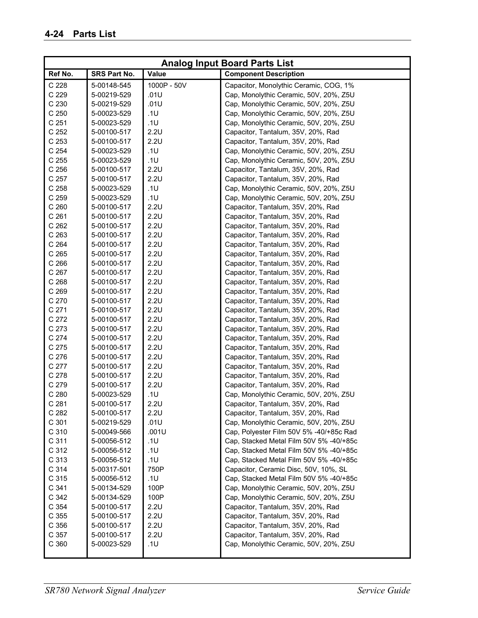|                  |              |              | <b>Analog Input Board Parts List</b>    |
|------------------|--------------|--------------|-----------------------------------------|
| Ref No.          | SRS Part No. | <b>Value</b> | <b>Component Description</b>            |
| C 228            | 5-00148-545  | 1000P - 50V  | Capacitor, Monolythic Ceramic, COG, 1%  |
| C 229            | 5-00219-529  | .01U         | Cap, Monolythic Ceramic, 50V, 20%, Z5U  |
| C 230            | 5-00219-529  | .01U         | Cap, Monolythic Ceramic, 50V, 20%, Z5U  |
| C 250            | 5-00023-529  | .1U          | Cap, Monolythic Ceramic, 50V, 20%, Z5U  |
| C <sub>251</sub> | 5-00023-529  | .1U          | Cap, Monolythic Ceramic, 50V, 20%, Z5U  |
| C 252            | 5-00100-517  | 2.2U         | Capacitor, Tantalum, 35V, 20%, Rad      |
| C 253            | 5-00100-517  | 2.2U         | Capacitor, Tantalum, 35V, 20%, Rad      |
| C 254            | 5-00023-529  | .1U          | Cap, Monolythic Ceramic, 50V, 20%, Z5U  |
| C 255            | 5-00023-529  | .1U          | Cap, Monolythic Ceramic, 50V, 20%, Z5U  |
| C 256            | 5-00100-517  | 2.2U         | Capacitor, Tantalum, 35V, 20%, Rad      |
| C 257            | 5-00100-517  | 2.2U         | Capacitor, Tantalum, 35V, 20%, Rad      |
| C 258            | 5-00023-529  | .1U          | Cap, Monolythic Ceramic, 50V, 20%, Z5U  |
| C 259            | 5-00023-529  | .1U          | Cap, Monolythic Ceramic, 50V, 20%, Z5U  |
| C 260            | 5-00100-517  | 2.2U         | Capacitor, Tantalum, 35V, 20%, Rad      |
| C <sub>261</sub> | 5-00100-517  | 2.2U         | Capacitor, Tantalum, 35V, 20%, Rad      |
| C 262            | 5-00100-517  | 2.2U         | Capacitor, Tantalum, 35V, 20%, Rad      |
| C 263            | 5-00100-517  | 2.2U         | Capacitor, Tantalum, 35V, 20%, Rad      |
| C 264            | 5-00100-517  | 2.2U         | Capacitor, Tantalum, 35V, 20%, Rad      |
| C 265            | 5-00100-517  | 2.2U         | Capacitor, Tantalum, 35V, 20%, Rad      |
| C <sub>266</sub> | 5-00100-517  | 2.2U         | Capacitor, Tantalum, 35V, 20%, Rad      |
| C 267            | 5-00100-517  | 2.2U         | Capacitor, Tantalum, 35V, 20%, Rad      |
| C 268            | 5-00100-517  | 2.2U         | Capacitor, Tantalum, 35V, 20%, Rad      |
| C 269            | 5-00100-517  | 2.2U         | Capacitor, Tantalum, 35V, 20%, Rad      |
| C 270            | 5-00100-517  | 2.2U         | Capacitor, Tantalum, 35V, 20%, Rad      |
| C 271            | 5-00100-517  | 2.2U         | Capacitor, Tantalum, 35V, 20%, Rad      |
| C 272            | 5-00100-517  | 2.2U         | Capacitor, Tantalum, 35V, 20%, Rad      |
| C 273            | 5-00100-517  | 2.2U         | Capacitor, Tantalum, 35V, 20%, Rad      |
| C 274            | 5-00100-517  | 2.2U         | Capacitor, Tantalum, 35V, 20%, Rad      |
| C 275            | 5-00100-517  | 2.2U         | Capacitor, Tantalum, 35V, 20%, Rad      |
| C 276            | 5-00100-517  | 2.2U         | Capacitor, Tantalum, 35V, 20%, Rad      |
| C 277            | 5-00100-517  | 2.2U         | Capacitor, Tantalum, 35V, 20%, Rad      |
| C 278            | 5-00100-517  | 2.2U         | Capacitor, Tantalum, 35V, 20%, Rad      |
| C 279            | 5-00100-517  | 2.2U         | Capacitor, Tantalum, 35V, 20%, Rad      |
| C 280            | 5-00023-529  | .1U          | Cap, Monolythic Ceramic, 50V, 20%, Z5U  |
| C 281            | 5-00100-517  | 2.2U         | Capacitor, Tantalum, 35V, 20%, Rad      |
| C 282            | 5-00100-517  | 2.2U         | Capacitor, Tantalum, 35V, 20%, Rad      |
| C 301            | 5-00219-529  | .01U         | Cap, Monolythic Ceramic, 50V, 20%, Z5U  |
| C 310            | 5-00049-566  | .001U        | Cap, Polyester Film 50V 5% -40/+85c Rad |
| C 311            | 5-00056-512  | .1U          | Cap, Stacked Metal Film 50V 5% -40/+85c |
| C 312            | 5-00056-512  | .1U          | Cap, Stacked Metal Film 50V 5% -40/+85c |
| C 313            | 5-00056-512  | .1U          | Cap, Stacked Metal Film 50V 5% -40/+85c |
| C 314            | 5-00317-501  | 750P         | Capacitor, Ceramic Disc, 50V, 10%, SL   |
| C 315            | 5-00056-512  | .1U          | Cap, Stacked Metal Film 50V 5% -40/+85c |
| C 341            | 5-00134-529  | 100P         | Cap, Monolythic Ceramic, 50V, 20%, Z5U  |
| C 342            | 5-00134-529  | 100P         | Cap, Monolythic Ceramic, 50V, 20%, Z5U  |
| C 354            | 5-00100-517  | 2.2U         | Capacitor, Tantalum, 35V, 20%, Rad      |
| C 355            | 5-00100-517  | 2.2U         | Capacitor, Tantalum, 35V, 20%, Rad      |
| C 356            | 5-00100-517  | 2.2U         | Capacitor, Tantalum, 35V, 20%, Rad      |
| C 357            | 5-00100-517  | 2.2U         | Capacitor, Tantalum, 35V, 20%, Rad      |
| C 360            | 5-00023-529  | .1U          | Cap, Monolythic Ceramic, 50V, 20%, Z5U  |
|                  |              |              |                                         |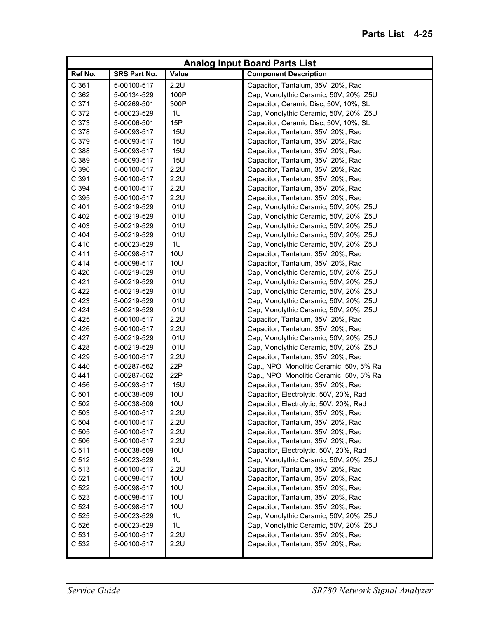|                  |              |            | <b>Analog Input Board Parts List</b>    |
|------------------|--------------|------------|-----------------------------------------|
| Ref No.          | SRS Part No. | Value      | <b>Component Description</b>            |
| C 361            | 5-00100-517  | 2.2U       | Capacitor, Tantalum, 35V, 20%, Rad      |
| C 362            | 5-00134-529  | 100P       | Cap, Monolythic Ceramic, 50V, 20%, Z5U  |
| C 371            | 5-00269-501  | 300P       | Capacitor, Ceramic Disc, 50V, 10%, SL   |
| C 372            | 5-00023-529  | .1U        | Cap, Monolythic Ceramic, 50V, 20%, Z5U  |
| C 373            | 5-00006-501  | 15P        | Capacitor, Ceramic Disc, 50V, 10%, SL   |
| C 378            | 5-00093-517  | .15U       | Capacitor, Tantalum, 35V, 20%, Rad      |
| C 379            | 5-00093-517  | .15U       | Capacitor, Tantalum, 35V, 20%, Rad      |
| C 388            | 5-00093-517  | .15U       | Capacitor, Tantalum, 35V, 20%, Rad      |
| C 389            | 5-00093-517  | .15U       | Capacitor, Tantalum, 35V, 20%, Rad      |
| C 390            | 5-00100-517  | 2.2U       | Capacitor, Tantalum, 35V, 20%, Rad      |
| C 391            | 5-00100-517  | 2.2U       | Capacitor, Tantalum, 35V, 20%, Rad      |
| C 394            | 5-00100-517  | 2.2U       | Capacitor, Tantalum, 35V, 20%, Rad      |
| C 395            | 5-00100-517  | 2.2U       | Capacitor, Tantalum, 35V, 20%, Rad      |
| C 401            | 5-00219-529  | .01U       | Cap, Monolythic Ceramic, 50V, 20%, Z5U  |
| C 402            | 5-00219-529  | .01U       | Cap, Monolythic Ceramic, 50V, 20%, Z5U  |
| C 403            | 5-00219-529  | .01U       | Cap, Monolythic Ceramic, 50V, 20%, Z5U  |
| C 404            | 5-00219-529  | .01U       | Cap, Monolythic Ceramic, 50V, 20%, Z5U  |
| C 410            | 5-00023-529  | .1U        | Cap, Monolythic Ceramic, 50V, 20%, Z5U  |
| C 411            | 5-00098-517  | 10U        | Capacitor, Tantalum, 35V, 20%, Rad      |
| C 414            | 5-00098-517  | <b>10U</b> | Capacitor, Tantalum, 35V, 20%, Rad      |
| C 420            | 5-00219-529  | .01U       | Cap, Monolythic Ceramic, 50V, 20%, Z5U  |
| C 421            | 5-00219-529  | .01U       | Cap, Monolythic Ceramic, 50V, 20%, Z5U  |
| C 422            | 5-00219-529  | .01U       | Cap, Monolythic Ceramic, 50V, 20%, Z5U  |
| C 423            | 5-00219-529  | .01U       | Cap, Monolythic Ceramic, 50V, 20%, Z5U  |
| C 424            | 5-00219-529  | .01U       | Cap, Monolythic Ceramic, 50V, 20%, Z5U  |
| C 425            | 5-00100-517  | 2.2U       | Capacitor, Tantalum, 35V, 20%, Rad      |
| C 426            | 5-00100-517  | 2.2U       | Capacitor, Tantalum, 35V, 20%, Rad      |
| C 427            | 5-00219-529  | .01U       | Cap, Monolythic Ceramic, 50V, 20%, Z5U  |
| C 428            | 5-00219-529  | .01U       | Cap, Monolythic Ceramic, 50V, 20%, Z5U  |
| C 429            | 5-00100-517  | 2.2U       | Capacitor, Tantalum, 35V, 20%, Rad      |
| C 440            | 5-00287-562  | 22P        | Cap., NPO Monolitic Ceramic, 50v, 5% Ra |
| C 441            | 5-00287-562  | 22P        | Cap., NPO Monolitic Ceramic, 50v, 5% Ra |
| C 456            | 5-00093-517  | .15U       | Capacitor, Tantalum, 35V, 20%, Rad      |
| C 501            | 5-00038-509  | <b>10U</b> | Capacitor, Electrolytic, 50V, 20%, Rad  |
| C <sub>502</sub> | 5-00038-509  | 10U        | Capacitor, Electrolytic, 50V, 20%, Rad  |
| C <sub>503</sub> | 5-00100-517  | 2.2U       | Capacitor, Tantalum, 35V, 20%, Rad      |
| C 504            | 5-00100-517  | 2.2U       | Capacitor, Tantalum, 35V, 20%, Rad      |
| C 505            | 5-00100-517  | 2.2U       | Capacitor, Tantalum, 35V, 20%, Rad      |
| C <sub>506</sub> | 5-00100-517  | 2.2U       | Capacitor, Tantalum, 35V, 20%, Rad      |
| C 511            | 5-00038-509  | 10U        | Capacitor, Electrolytic, 50V, 20%, Rad  |
| C 512            | 5-00023-529  | .1U        | Cap, Monolythic Ceramic, 50V, 20%, Z5U  |
| C 513            | 5-00100-517  | 2.2U       | Capacitor, Tantalum, 35V, 20%, Rad      |
| C 521            | 5-00098-517  | 10U        | Capacitor, Tantalum, 35V, 20%, Rad      |
| C 522            | 5-00098-517  | 10U        | Capacitor, Tantalum, 35V, 20%, Rad      |
| C 523            | 5-00098-517  | 10U        | Capacitor, Tantalum, 35V, 20%, Rad      |
| C 524            | 5-00098-517  | 10U        | Capacitor, Tantalum, 35V, 20%, Rad      |
| C 525            | 5-00023-529  | .1U        | Cap, Monolythic Ceramic, 50V, 20%, Z5U  |
| C 526            | 5-00023-529  | .1U        | Cap, Monolythic Ceramic, 50V, 20%, Z5U  |
| C 531            | 5-00100-517  | 2.2U       | Capacitor, Tantalum, 35V, 20%, Rad      |
| C 532            | 5-00100-517  | 2.2U       | Capacitor, Tantalum, 35V, 20%, Rad      |
|                  |              |            |                                         |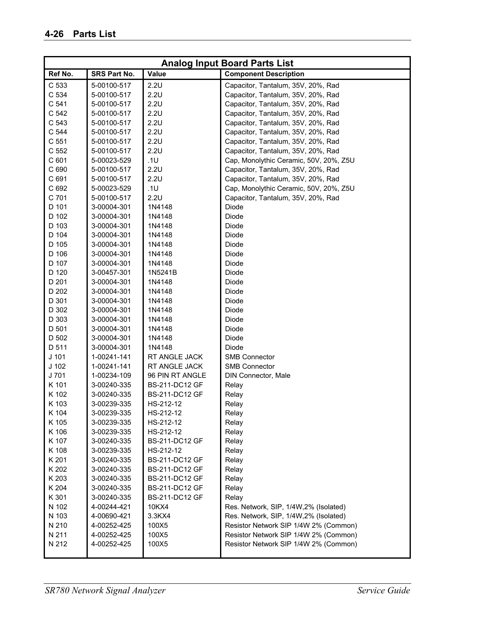|                  |              |                 | <b>Analog Input Board Parts List</b>   |
|------------------|--------------|-----------------|----------------------------------------|
| Ref No.          | SRS Part No. | <b>Value</b>    | <b>Component Description</b>           |
| C 533            | 5-00100-517  | 2.2U            | Capacitor, Tantalum, 35V, 20%, Rad     |
| C 534            | 5-00100-517  | 2.2U            | Capacitor, Tantalum, 35V, 20%, Rad     |
| C <sub>541</sub> | 5-00100-517  | 2.2U            | Capacitor, Tantalum, 35V, 20%, Rad     |
| C 542            | 5-00100-517  | 2.2U            | Capacitor, Tantalum, 35V, 20%, Rad     |
| C 543            | 5-00100-517  | 2.2U            | Capacitor, Tantalum, 35V, 20%, Rad     |
| C 544            | 5-00100-517  | 2.2U            | Capacitor, Tantalum, 35V, 20%, Rad     |
| C <sub>551</sub> | 5-00100-517  | 2.2U            | Capacitor, Tantalum, 35V, 20%, Rad     |
| C <sub>552</sub> | 5-00100-517  | 2.2U            | Capacitor, Tantalum, 35V, 20%, Rad     |
| C 601            | 5-00023-529  | .1U             | Cap, Monolythic Ceramic, 50V, 20%, Z5U |
| C 690            | 5-00100-517  | 2.2U            | Capacitor, Tantalum, 35V, 20%, Rad     |
| C 691            | 5-00100-517  | 2.2U            | Capacitor, Tantalum, 35V, 20%, Rad     |
| C 692            | 5-00023-529  | .1U             | Cap, Monolythic Ceramic, 50V, 20%, Z5U |
| C 701            | 5-00100-517  | 2.2U            | Capacitor, Tantalum, 35V, 20%, Rad     |
| D 101            | 3-00004-301  | 1N4148          | Diode                                  |
| D 102            | 3-00004-301  | 1N4148          | Diode                                  |
| D 103            | 3-00004-301  | 1N4148          | Diode                                  |
| D 104            | 3-00004-301  | 1N4148          | Diode                                  |
| D 105            | 3-00004-301  | 1N4148          | Diode                                  |
| D 106            | 3-00004-301  | 1N4148          | Diode                                  |
| D 107            | 3-00004-301  | 1N4148          | Diode                                  |
| D 120            | 3-00457-301  | 1N5241B         | Diode                                  |
| D 201            | 3-00004-301  | 1N4148          | Diode                                  |
| D 202            | 3-00004-301  | 1N4148          | Diode                                  |
| D 301            | 3-00004-301  | 1N4148          | Diode                                  |
| D 302            | 3-00004-301  | 1N4148          | Diode                                  |
| D 303            | 3-00004-301  | 1N4148          | Diode                                  |
| D 501            | 3-00004-301  | 1N4148          | Diode                                  |
| D 502            | 3-00004-301  | 1N4148          | Diode                                  |
| D 511            | 3-00004-301  | 1N4148          | <b>Diode</b>                           |
| $J$ 101          | 1-00241-141  | RT ANGLE JACK   | <b>SMB Connector</b>                   |
| $J$ 102          | 1-00241-141  | RT ANGLE JACK   | <b>SMB Connector</b>                   |
| J 701            | 1-00234-109  | 96 PIN RT ANGLE | DIN Connector, Male                    |
| K 101            | 3-00240-335  | BS-211-DC12 GF  | Relay                                  |
| K 102            | 3-00240-335  | BS-211-DC12 GF  | Relay                                  |
| K 103            | 3-00239-335  | HS-212-12       | Relay                                  |
| K 104            | 3-00239-335  | HS-212-12       | Relay                                  |
| K 105            | 3-00239-335  | HS-212-12       | Relay                                  |
| K 106            | 3-00239-335  | HS-212-12       | Relay                                  |
| K 107            | 3-00240-335  | BS-211-DC12 GF  | Relay                                  |
| K 108            | 3-00239-335  | HS-212-12       | Relay                                  |
| K 201            | 3-00240-335  | BS-211-DC12 GF  | Relay                                  |
| K 202            | 3-00240-335  | BS-211-DC12 GF  | Relay                                  |
| K 203            | 3-00240-335  | BS-211-DC12 GF  | Relay                                  |
| K 204            | 3-00240-335  | BS-211-DC12 GF  | Relay                                  |
| K 301            | 3-00240-335  | BS-211-DC12 GF  | Relay                                  |
| N 102            | 4-00244-421  | 10KX4           | Res. Network, SIP, 1/4W, 2% (Isolated) |
| N 103            | 4-00690-421  | 3.3KX4          | Res. Network, SIP, 1/4W, 2% (Isolated) |
| N 210            | 4-00252-425  | 100X5           | Resistor Network SIP 1/4W 2% (Common)  |
| N 211            | 4-00252-425  | 100X5           | Resistor Network SIP 1/4W 2% (Common)  |
| N 212            | 4-00252-425  | 100X5           | Resistor Network SIP 1/4W 2% (Common)  |
|                  |              |                 |                                        |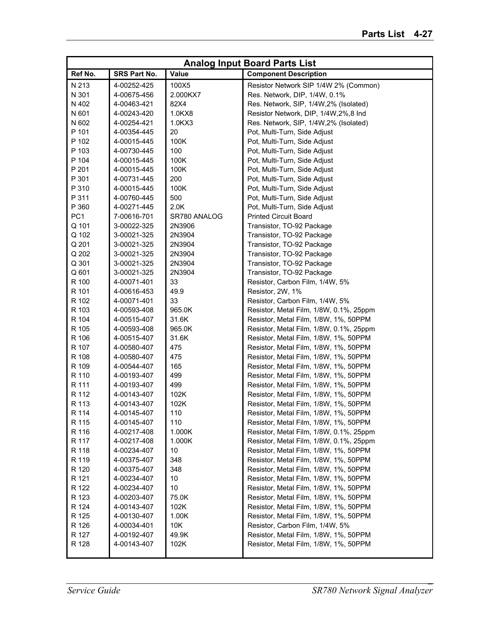|                 |              |              | <b>Analog Input Board Parts List</b>    |
|-----------------|--------------|--------------|-----------------------------------------|
| Ref No.         | SRS Part No. | Value        | <b>Component Description</b>            |
| N 213           | 4-00252-425  | 100X5        | Resistor Network SIP 1/4W 2% (Common)   |
| N 301           | 4-00675-456  | 2.000KX7     | Res. Network, DIP, 1/4W, 0.1%           |
| N 402           | 4-00463-421  | 82X4         | Res. Network, SIP, 1/4W, 2% (Isolated)  |
| N 601           | 4-00243-420  | 1.0KX8       | Resistor Network, DIP, 1/4W, 2%, 8 Ind  |
| N 602           | 4-00254-421  | 1.0KX3       | Res. Network, SIP, 1/4W, 2% (Isolated)  |
| P 101           | 4-00354-445  | 20           | Pot, Multi-Turn, Side Adjust            |
| P 102           | 4-00015-445  | 100K         | Pot, Multi-Turn, Side Adjust            |
| P 103           | 4-00730-445  | 100          | Pot, Multi-Turn, Side Adjust            |
| P 104           | 4-00015-445  | 100K         | Pot, Multi-Turn, Side Adjust            |
| P 201           | 4-00015-445  | 100K         | Pot, Multi-Turn, Side Adjust            |
| P 301           | 4-00731-445  | 200          | Pot, Multi-Turn, Side Adjust            |
| P 310           | 4-00015-445  | 100K         | Pot, Multi-Turn, Side Adjust            |
| P 311           | 4-00760-445  | 500          | Pot, Multi-Turn, Side Adjust            |
| P 360           | 4-00271-445  | 2.0K         | Pot, Multi-Turn, Side Adjust            |
| PC <sub>1</sub> | 7-00616-701  | SR780 ANALOG | <b>Printed Circuit Board</b>            |
| Q 101           | 3-00022-325  | 2N3906       | Transistor, TO-92 Package               |
| Q 102           | 3-00021-325  | 2N3904       | Transistor, TO-92 Package               |
| Q 201           | 3-00021-325  | 2N3904       | Transistor, TO-92 Package               |
| Q 202           | 3-00021-325  | 2N3904       | Transistor, TO-92 Package               |
| Q 301           | 3-00021-325  | 2N3904       | Transistor, TO-92 Package               |
| Q 601           | 3-00021-325  | 2N3904       | Transistor, TO-92 Package               |
| R 100           | 4-00071-401  | 33           | Resistor, Carbon Film, 1/4W, 5%         |
| R 101           | 4-00616-453  | 49.9         | Resistor, 2W, 1%                        |
| R 102           | 4-00071-401  | 33           | Resistor, Carbon Film, 1/4W, 5%         |
| R 103           | 4-00593-408  | 965.0K       | Resistor, Metal Film, 1/8W, 0.1%, 25ppm |
| R 104           | 4-00515-407  | 31.6K        | Resistor, Metal Film, 1/8W, 1%, 50PPM   |
| R 105           | 4-00593-408  | 965.0K       | Resistor, Metal Film, 1/8W, 0.1%, 25ppm |
| R 106           | 4-00515-407  | 31.6K        | Resistor, Metal Film, 1/8W, 1%, 50PPM   |
| R 107           | 4-00580-407  | 475          | Resistor, Metal Film, 1/8W, 1%, 50PPM   |
| R 108           | 4-00580-407  | 475          | Resistor, Metal Film, 1/8W, 1%, 50PPM   |
| R 109           | 4-00544-407  | 165          | Resistor, Metal Film, 1/8W, 1%, 50PPM   |
| R 110           | 4-00193-407  | 499          | Resistor, Metal Film, 1/8W, 1%, 50PPM   |
| R 111           | 4-00193-407  | 499          | Resistor, Metal Film, 1/8W, 1%, 50PPM   |
| R 112           | 4-00143-407  | 102K         | Resistor, Metal Film, 1/8W, 1%, 50PPM   |
| R 113           | 4-00143-407  | 102K         | Resistor, Metal Film, 1/8W, 1%, 50PPM   |
| R 114           | 4-00145-407  | 110          | Resistor, Metal Film, 1/8W, 1%, 50PPM   |
| R 115           | 4-00145-407  | 110          | Resistor, Metal Film, 1/8W, 1%, 50PPM   |
| R 116           | 4-00217-408  | 1.000K       | Resistor, Metal Film, 1/8W, 0.1%, 25ppm |
| R 117           | 4-00217-408  | 1.000K       | Resistor, Metal Film, 1/8W, 0.1%, 25ppm |
| R 118           | 4-00234-407  | 10           | Resistor, Metal Film, 1/8W, 1%, 50PPM   |
| R 119           | 4-00375-407  | 348          | Resistor, Metal Film, 1/8W, 1%, 50PPM   |
| R 120           | 4-00375-407  | 348          | Resistor, Metal Film, 1/8W, 1%, 50PPM   |
| R 121           | 4-00234-407  | 10           | Resistor, Metal Film, 1/8W, 1%, 50PPM   |
| R 122           | 4-00234-407  | 10           | Resistor, Metal Film, 1/8W, 1%, 50PPM   |
| R 123           | 4-00203-407  | 75.0K        | Resistor, Metal Film, 1/8W, 1%, 50PPM   |
| R 124           | 4-00143-407  | 102K         | Resistor, Metal Film, 1/8W, 1%, 50PPM   |
| R 125           | 4-00130-407  | 1.00K        | Resistor, Metal Film, 1/8W, 1%, 50PPM   |
| R 126           | 4-00034-401  | 10K          | Resistor, Carbon Film, 1/4W, 5%         |
| R 127           | 4-00192-407  | 49.9K        | Resistor, Metal Film, 1/8W, 1%, 50PPM   |
| R 128           | 4-00143-407  | 102K         | Resistor, Metal Film, 1/8W, 1%, 50PPM   |
|                 |              |              |                                         |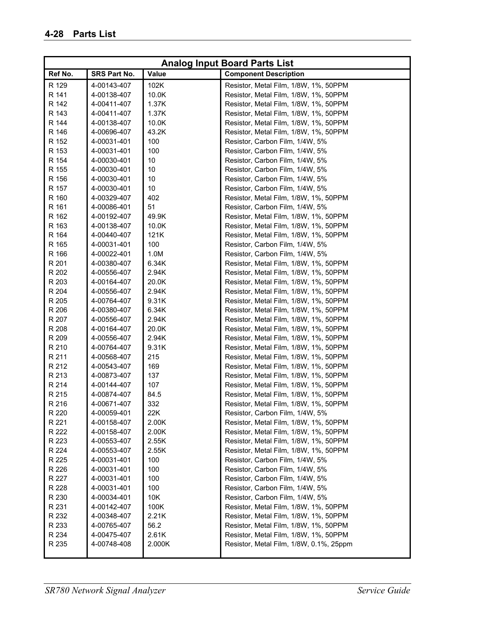|         |              |              | <b>Analog Input Board Parts List</b>    |
|---------|--------------|--------------|-----------------------------------------|
| Ref No. | SRS Part No. | <b>Value</b> | <b>Component Description</b>            |
| R 129   | 4-00143-407  | 102K         | Resistor, Metal Film, 1/8W, 1%, 50PPM   |
| R 141   | 4-00138-407  | 10.0K        | Resistor, Metal Film, 1/8W, 1%, 50PPM   |
| R 142   | 4-00411-407  | 1.37K        | Resistor, Metal Film, 1/8W, 1%, 50PPM   |
| R 143   | 4-00411-407  | 1.37K        | Resistor, Metal Film, 1/8W, 1%, 50PPM   |
| R 144   | 4-00138-407  | 10.0K        | Resistor, Metal Film, 1/8W, 1%, 50PPM   |
| R 146   | 4-00696-407  | 43.2K        | Resistor, Metal Film, 1/8W, 1%, 50PPM   |
| R 152   | 4-00031-401  | 100          | Resistor, Carbon Film, 1/4W, 5%         |
| R 153   | 4-00031-401  | 100          | Resistor, Carbon Film, 1/4W, 5%         |
| R 154   | 4-00030-401  | 10           | Resistor, Carbon Film, 1/4W, 5%         |
| R 155   | 4-00030-401  | 10           | Resistor, Carbon Film, 1/4W, 5%         |
| R 156   | 4-00030-401  | 10           | Resistor, Carbon Film, 1/4W, 5%         |
| R 157   | 4-00030-401  | 10           | Resistor, Carbon Film, 1/4W, 5%         |
| R 160   | 4-00329-407  | 402          | Resistor, Metal Film, 1/8W, 1%, 50PPM   |
| R 161   | 4-00086-401  | 51           | Resistor, Carbon Film, 1/4W, 5%         |
| R 162   | 4-00192-407  | 49.9K        | Resistor, Metal Film, 1/8W, 1%, 50PPM   |
| R 163   | 4-00138-407  | 10.0K        | Resistor, Metal Film, 1/8W, 1%, 50PPM   |
| R 164   | 4-00440-407  | 121K         | Resistor, Metal Film, 1/8W, 1%, 50PPM   |
| R 165   | 4-00031-401  | 100          | Resistor, Carbon Film, 1/4W, 5%         |
| R 166   | 4-00022-401  | 1.0M         | Resistor, Carbon Film, 1/4W, 5%         |
| R 201   | 4-00380-407  | 6.34K        | Resistor, Metal Film, 1/8W, 1%, 50PPM   |
| R 202   | 4-00556-407  | 2.94K        | Resistor, Metal Film, 1/8W, 1%, 50PPM   |
| R 203   | 4-00164-407  | 20.0K        | Resistor, Metal Film, 1/8W, 1%, 50PPM   |
| R 204   | 4-00556-407  | 2.94K        | Resistor, Metal Film, 1/8W, 1%, 50PPM   |
| R 205   | 4-00764-407  | 9.31K        | Resistor, Metal Film, 1/8W, 1%, 50PPM   |
| R 206   | 4-00380-407  | 6.34K        | Resistor, Metal Film, 1/8W, 1%, 50PPM   |
| R 207   | 4-00556-407  | 2.94K        | Resistor, Metal Film, 1/8W, 1%, 50PPM   |
| R 208   | 4-00164-407  | 20.0K        | Resistor, Metal Film, 1/8W, 1%, 50PPM   |
| R 209   | 4-00556-407  | 2.94K        | Resistor, Metal Film, 1/8W, 1%, 50PPM   |
| R 210   | 4-00764-407  | 9.31K        | Resistor, Metal Film, 1/8W, 1%, 50PPM   |
| R 211   | 4-00568-407  | 215          | Resistor, Metal Film, 1/8W, 1%, 50PPM   |
| R 212   | 4-00543-407  | 169          | Resistor, Metal Film, 1/8W, 1%, 50PPM   |
| R 213   | 4-00873-407  | 137          | Resistor, Metal Film, 1/8W, 1%, 50PPM   |
| R 214   | 4-00144-407  | 107          | Resistor, Metal Film, 1/8W, 1%, 50PPM   |
| R 215   | 4-00874-407  | 84.5         | Resistor, Metal Film, 1/8W, 1%, 50PPM   |
| R 216   | 4-00671-407  | 332          | Resistor, Metal Film, 1/8W, 1%, 50PPM   |
| R 220   | 4-00059-401  | 22K          | Resistor, Carbon Film, 1/4W, 5%         |
| R 221   | 4-00158-407  | 2.00K        | Resistor, Metal Film, 1/8W, 1%, 50PPM   |
| R 222   | 4-00158-407  | 2.00K        | Resistor, Metal Film, 1/8W, 1%, 50PPM   |
| R 223   | 4-00553-407  | 2.55K        | Resistor, Metal Film, 1/8W, 1%, 50PPM   |
| R 224   | 4-00553-407  | 2.55K        | Resistor, Metal Film, 1/8W, 1%, 50PPM   |
| R 225   | 4-00031-401  | 100          | Resistor, Carbon Film, 1/4W, 5%         |
| R 226   | 4-00031-401  | 100          | Resistor, Carbon Film, 1/4W, 5%         |
| R 227   | 4-00031-401  | 100          | Resistor, Carbon Film, 1/4W, 5%         |
| R 228   | 4-00031-401  | 100          | Resistor, Carbon Film, 1/4W, 5%         |
| R 230   | 4-00034-401  | 10K          | Resistor, Carbon Film, 1/4W, 5%         |
| R 231   | 4-00142-407  | 100K         | Resistor, Metal Film, 1/8W, 1%, 50PPM   |
| R 232   | 4-00348-407  | 2.21K        | Resistor, Metal Film, 1/8W, 1%, 50PPM   |
| R 233   | 4-00765-407  | 56.2         | Resistor, Metal Film, 1/8W, 1%, 50PPM   |
| R 234   | 4-00475-407  | 2.61K        | Resistor, Metal Film, 1/8W, 1%, 50PPM   |
| R 235   | 4-00748-408  | 2.000K       | Resistor, Metal Film, 1/8W, 0.1%, 25ppm |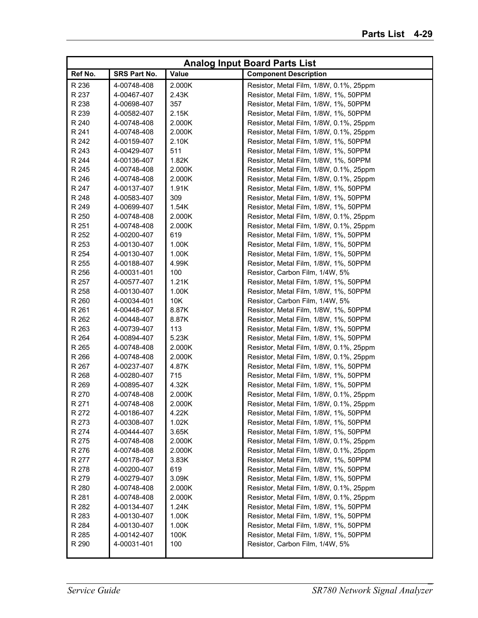|         |              |        | <b>Analog Input Board Parts List</b>    |
|---------|--------------|--------|-----------------------------------------|
| Ref No. | SRS Part No. | Value  | <b>Component Description</b>            |
| R 236   | 4-00748-408  | 2.000K | Resistor, Metal Film, 1/8W, 0.1%, 25ppm |
| R 237   | 4-00467-407  | 2.43K  | Resistor, Metal Film, 1/8W, 1%, 50PPM   |
| R 238   | 4-00698-407  | 357    | Resistor, Metal Film, 1/8W, 1%, 50PPM   |
| R 239   | 4-00582-407  | 2.15K  | Resistor, Metal Film, 1/8W, 1%, 50PPM   |
| R 240   | 4-00748-408  | 2.000K | Resistor, Metal Film, 1/8W, 0.1%, 25ppm |
| R 241   | 4-00748-408  | 2.000K | Resistor, Metal Film, 1/8W, 0.1%, 25ppm |
| R 242   | 4-00159-407  | 2.10K  | Resistor, Metal Film, 1/8W, 1%, 50PPM   |
| R 243   | 4-00429-407  | 511    | Resistor, Metal Film, 1/8W, 1%, 50PPM   |
| R 244   | 4-00136-407  | 1.82K  | Resistor, Metal Film, 1/8W, 1%, 50PPM   |
| R 245   | 4-00748-408  | 2.000K | Resistor, Metal Film, 1/8W, 0.1%, 25ppm |
| R 246   | 4-00748-408  | 2.000K | Resistor, Metal Film, 1/8W, 0.1%, 25ppm |
| R 247   | 4-00137-407  | 1.91K  | Resistor, Metal Film, 1/8W, 1%, 50PPM   |
| R 248   | 4-00583-407  | 309    | Resistor, Metal Film, 1/8W, 1%, 50PPM   |
| R 249   | 4-00699-407  | 1.54K  | Resistor, Metal Film, 1/8W, 1%, 50PPM   |
| R 250   | 4-00748-408  | 2.000K | Resistor, Metal Film, 1/8W, 0.1%, 25ppm |
| R 251   | 4-00748-408  | 2.000K | Resistor, Metal Film, 1/8W, 0.1%, 25ppm |
| R 252   | 4-00200-407  | 619    | Resistor, Metal Film, 1/8W, 1%, 50PPM   |
| R 253   | 4-00130-407  | 1.00K  | Resistor, Metal Film, 1/8W, 1%, 50PPM   |
| R 254   | 4-00130-407  | 1.00K  | Resistor, Metal Film, 1/8W, 1%, 50PPM   |
| R 255   | 4-00188-407  | 4.99K  | Resistor, Metal Film, 1/8W, 1%, 50PPM   |
| R 256   | 4-00031-401  | 100    | Resistor, Carbon Film, 1/4W, 5%         |
| R 257   | 4-00577-407  | 1.21K  | Resistor, Metal Film, 1/8W, 1%, 50PPM   |
| R 258   | 4-00130-407  | 1.00K  | Resistor, Metal Film, 1/8W, 1%, 50PPM   |
| R 260   | 4-00034-401  | 10K    | Resistor, Carbon Film, 1/4W, 5%         |
| R 261   | 4-00448-407  | 8.87K  | Resistor, Metal Film, 1/8W, 1%, 50PPM   |
| R 262   | 4-00448-407  | 8.87K  | Resistor, Metal Film, 1/8W, 1%, 50PPM   |
| R 263   | 4-00739-407  | 113    | Resistor, Metal Film, 1/8W, 1%, 50PPM   |
| R 264   | 4-00894-407  | 5.23K  | Resistor, Metal Film, 1/8W, 1%, 50PPM   |
| R 265   | 4-00748-408  | 2.000K | Resistor, Metal Film, 1/8W, 0.1%, 25ppm |
| R 266   | 4-00748-408  | 2.000K | Resistor, Metal Film, 1/8W, 0.1%, 25ppm |
| R 267   | 4-00237-407  | 4.87K  | Resistor, Metal Film, 1/8W, 1%, 50PPM   |
| R 268   | 4-00280-407  | 715    | Resistor, Metal Film, 1/8W, 1%, 50PPM   |
| R 269   | 4-00895-407  | 4.32K  | Resistor, Metal Film, 1/8W, 1%, 50PPM   |
| R 270   | 4-00748-408  | 2.000K | Resistor, Metal Film, 1/8W, 0.1%, 25ppm |
| R 271   | 4-00748-408  | 2.000K | Resistor, Metal Film, 1/8W, 0.1%, 25ppm |
| R 272   | 4-00186-407  | 4.22K  | Resistor, Metal Film, 1/8W, 1%, 50PPM   |
| R 273   | 4-00308-407  | 1.02K  | Resistor, Metal Film, 1/8W, 1%, 50PPM   |
| R 274   | 4-00444-407  | 3.65K  | Resistor, Metal Film, 1/8W, 1%, 50PPM   |
| R 275   | 4-00748-408  | 2.000K | Resistor, Metal Film, 1/8W, 0.1%, 25ppm |
| R 276   | 4-00748-408  | 2.000K | Resistor, Metal Film, 1/8W, 0.1%, 25ppm |
| R 277   | 4-00178-407  | 3.83K  | Resistor, Metal Film, 1/8W, 1%, 50PPM   |
| R 278   | 4-00200-407  | 619    | Resistor, Metal Film, 1/8W, 1%, 50PPM   |
| R 279   | 4-00279-407  | 3.09K  | Resistor, Metal Film, 1/8W, 1%, 50PPM   |
| R 280   | 4-00748-408  | 2.000K | Resistor, Metal Film, 1/8W, 0.1%, 25ppm |
| R 281   | 4-00748-408  | 2.000K | Resistor, Metal Film, 1/8W, 0.1%, 25ppm |
| R 282   | 4-00134-407  | 1.24K  | Resistor, Metal Film, 1/8W, 1%, 50PPM   |
| R 283   | 4-00130-407  | 1.00K  | Resistor, Metal Film, 1/8W, 1%, 50PPM   |
| R 284   | 4-00130-407  | 1.00K  | Resistor, Metal Film, 1/8W, 1%, 50PPM   |
| R 285   | 4-00142-407  | 100K   | Resistor, Metal Film, 1/8W, 1%, 50PPM   |
| R 290   | 4-00031-401  | 100    | Resistor, Carbon Film, 1/4W, 5%         |
|         |              |        |                                         |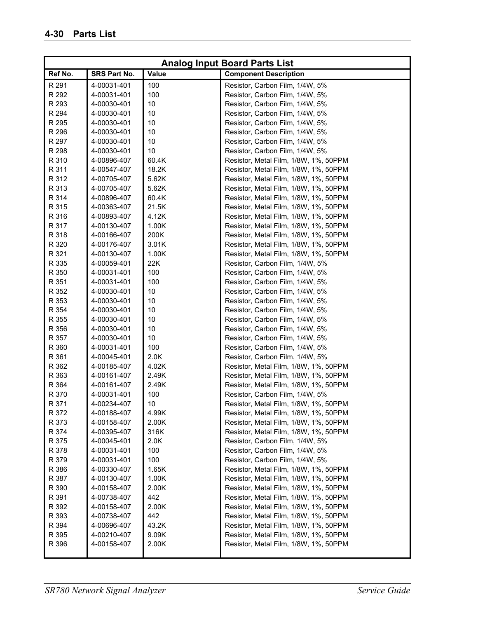|         |              |              | <b>Analog Input Board Parts List</b>  |
|---------|--------------|--------------|---------------------------------------|
| Ref No. | SRS Part No. | <b>Value</b> | <b>Component Description</b>          |
| R 291   | 4-00031-401  | 100          | Resistor, Carbon Film, 1/4W, 5%       |
| R 292   | 4-00031-401  | 100          | Resistor, Carbon Film, 1/4W, 5%       |
| R 293   | 4-00030-401  | 10           | Resistor, Carbon Film, 1/4W, 5%       |
| R 294   | 4-00030-401  | 10           | Resistor, Carbon Film, 1/4W, 5%       |
| R 295   | 4-00030-401  | 10           | Resistor, Carbon Film, 1/4W, 5%       |
| R 296   | 4-00030-401  | 10           | Resistor, Carbon Film, 1/4W, 5%       |
| R 297   | 4-00030-401  | 10           | Resistor, Carbon Film, 1/4W, 5%       |
| R 298   | 4-00030-401  | 10           | Resistor, Carbon Film, 1/4W, 5%       |
| R 310   | 4-00896-407  | 60.4K        | Resistor, Metal Film, 1/8W, 1%, 50PPM |
| R 311   | 4-00547-407  | 18.2K        | Resistor, Metal Film, 1/8W, 1%, 50PPM |
| R 312   | 4-00705-407  | 5.62K        | Resistor, Metal Film, 1/8W, 1%, 50PPM |
| R 313   | 4-00705-407  | 5.62K        | Resistor, Metal Film, 1/8W, 1%, 50PPM |
| R 314   | 4-00896-407  | 60.4K        | Resistor, Metal Film, 1/8W, 1%, 50PPM |
| R 315   | 4-00363-407  | 21.5K        | Resistor, Metal Film, 1/8W, 1%, 50PPM |
| R 316   | 4-00893-407  | 4.12K        | Resistor, Metal Film, 1/8W, 1%, 50PPM |
| R 317   | 4-00130-407  | 1.00K        | Resistor, Metal Film, 1/8W, 1%, 50PPM |
| R 318   | 4-00166-407  | 200K         | Resistor, Metal Film, 1/8W, 1%, 50PPM |
| R 320   | 4-00176-407  | 3.01K        | Resistor, Metal Film, 1/8W, 1%, 50PPM |
| R 321   | 4-00130-407  | 1.00K        | Resistor, Metal Film, 1/8W, 1%, 50PPM |
| R 335   | 4-00059-401  | 22K          | Resistor, Carbon Film, 1/4W, 5%       |
| R 350   | 4-00031-401  | 100          | Resistor, Carbon Film, 1/4W, 5%       |
| R 351   | 4-00031-401  | 100          | Resistor, Carbon Film, 1/4W, 5%       |
| R 352   | 4-00030-401  | 10           | Resistor, Carbon Film, 1/4W, 5%       |
| R 353   | 4-00030-401  | 10           | Resistor, Carbon Film, 1/4W, 5%       |
| R 354   | 4-00030-401  | 10           | Resistor, Carbon Film, 1/4W, 5%       |
| R 355   | 4-00030-401  | 10           | Resistor, Carbon Film, 1/4W, 5%       |
| R 356   | 4-00030-401  | 10           | Resistor, Carbon Film, 1/4W, 5%       |
| R 357   | 4-00030-401  | 10           | Resistor, Carbon Film, 1/4W, 5%       |
| R 360   | 4-00031-401  | 100          | Resistor, Carbon Film, 1/4W, 5%       |
| R 361   | 4-00045-401  | 2.0K         | Resistor, Carbon Film, 1/4W, 5%       |
| R 362   | 4-00185-407  | 4.02K        | Resistor, Metal Film, 1/8W, 1%, 50PPM |
| R 363   | 4-00161-407  | 2.49K        | Resistor, Metal Film, 1/8W, 1%, 50PPM |
| R 364   | 4-00161-407  | 2.49K        | Resistor, Metal Film, 1/8W, 1%, 50PPM |
| R 370   | 4-00031-401  | 100          | Resistor, Carbon Film, 1/4W, 5%       |
| R 371   | 4-00234-407  | 10           | Resistor, Metal Film, 1/8W, 1%, 50PPM |
| R 372   | 4-00188-407  | 4.99K        | Resistor, Metal Film, 1/8W, 1%, 50PPM |
| R 373   | 4-00158-407  | 2.00K        | Resistor, Metal Film, 1/8W, 1%, 50PPM |
| R 374   | 4-00395-407  | 316K         | Resistor, Metal Film, 1/8W, 1%, 50PPM |
| R 375   | 4-00045-401  | 2.0K         | Resistor, Carbon Film, 1/4W, 5%       |
| R 378   | 4-00031-401  | 100          | Resistor, Carbon Film, 1/4W, 5%       |
| R 379   | 4-00031-401  | 100          | Resistor, Carbon Film, 1/4W, 5%       |
| R 386   | 4-00330-407  | 1.65K        | Resistor, Metal Film, 1/8W, 1%, 50PPM |
| R 387   | 4-00130-407  | 1.00K        | Resistor, Metal Film, 1/8W, 1%, 50PPM |
| R 390   | 4-00158-407  | 2.00K        | Resistor, Metal Film, 1/8W, 1%, 50PPM |
| R 391   | 4-00738-407  | 442          | Resistor, Metal Film, 1/8W, 1%, 50PPM |
| R 392   | 4-00158-407  | 2.00K        | Resistor, Metal Film, 1/8W, 1%, 50PPM |
| R 393   | 4-00738-407  | 442          | Resistor, Metal Film, 1/8W, 1%, 50PPM |
| R 394   | 4-00696-407  | 43.2K        | Resistor, Metal Film, 1/8W, 1%, 50PPM |
| R 395   | 4-00210-407  | 9.09K        | Resistor, Metal Film, 1/8W, 1%, 50PPM |
| R 396   | 4-00158-407  | 2.00K        | Resistor, Metal Film, 1/8W, 1%, 50PPM |
|         |              |              |                                       |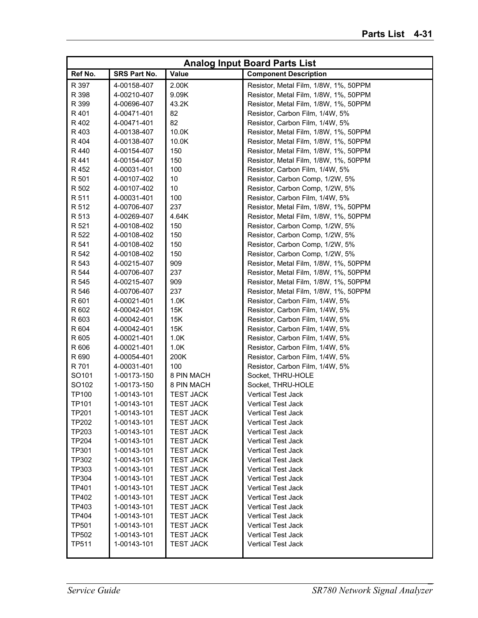|              |              |                  | <b>Analog Input Board Parts List</b>  |
|--------------|--------------|------------------|---------------------------------------|
| Ref No.      | SRS Part No. | <b>Value</b>     | <b>Component Description</b>          |
| R 397        | 4-00158-407  | 2.00K            | Resistor, Metal Film, 1/8W, 1%, 50PPM |
| R 398        | 4-00210-407  | 9.09K            | Resistor, Metal Film, 1/8W, 1%, 50PPM |
| R 399        | 4-00696-407  | 43.2K            | Resistor, Metal Film, 1/8W, 1%, 50PPM |
| R 401        | 4-00471-401  | 82               | Resistor, Carbon Film, 1/4W, 5%       |
| R 402        | 4-00471-401  | 82               | Resistor, Carbon Film, 1/4W, 5%       |
| R 403        | 4-00138-407  | 10.0K            | Resistor, Metal Film, 1/8W, 1%, 50PPM |
| R 404        | 4-00138-407  | 10.0K            | Resistor, Metal Film, 1/8W, 1%, 50PPM |
| R 440        | 4-00154-407  | 150              | Resistor, Metal Film, 1/8W, 1%, 50PPM |
| R 441        | 4-00154-407  | 150              | Resistor, Metal Film, 1/8W, 1%, 50PPM |
| R 452        | 4-00031-401  | 100              | Resistor, Carbon Film, 1/4W, 5%       |
| R 501        | 4-00107-402  | 10               | Resistor, Carbon Comp, 1/2W, 5%       |
| R 502        | 4-00107-402  | 10               | Resistor, Carbon Comp, 1/2W, 5%       |
| R 511        | 4-00031-401  | 100              | Resistor, Carbon Film, 1/4W, 5%       |
| R 512        | 4-00706-407  | 237              | Resistor, Metal Film, 1/8W, 1%, 50PPM |
| R 513        | 4-00269-407  | 4.64K            | Resistor, Metal Film, 1/8W, 1%, 50PPM |
| R 521        | 4-00108-402  | 150              | Resistor, Carbon Comp, 1/2W, 5%       |
| R 522        | 4-00108-402  | 150              | Resistor, Carbon Comp, 1/2W, 5%       |
| R 541        | 4-00108-402  | 150              | Resistor, Carbon Comp, 1/2W, 5%       |
| R 542        | 4-00108-402  | 150              | Resistor, Carbon Comp, 1/2W, 5%       |
| R 543        | 4-00215-407  | 909              | Resistor, Metal Film, 1/8W, 1%, 50PPM |
| R 544        | 4-00706-407  | 237              | Resistor, Metal Film, 1/8W, 1%, 50PPM |
| R 545        | 4-00215-407  | 909              | Resistor, Metal Film, 1/8W, 1%, 50PPM |
| R 546        | 4-00706-407  | 237              | Resistor, Metal Film, 1/8W, 1%, 50PPM |
| R 601        | 4-00021-401  | 1.0K             | Resistor, Carbon Film, 1/4W, 5%       |
| R 602        | 4-00042-401  | 15K              | Resistor, Carbon Film, 1/4W, 5%       |
| R 603        | 4-00042-401  | 15K              | Resistor, Carbon Film, 1/4W, 5%       |
| R 604        | 4-00042-401  | 15K              | Resistor, Carbon Film, 1/4W, 5%       |
| R 605        | 4-00021-401  | 1.0K             | Resistor, Carbon Film, 1/4W, 5%       |
| R 606        | 4-00021-401  | 1.0K             | Resistor, Carbon Film, 1/4W, 5%       |
| R 690        | 4-00054-401  | 200K             | Resistor, Carbon Film, 1/4W, 5%       |
| R 701        | 4-00031-401  | 100              | Resistor, Carbon Film, 1/4W, 5%       |
| SO101        | 1-00173-150  | 8 PIN MACH       | Socket, THRU-HOLE                     |
| SO102        | 1-00173-150  | 8 PIN MACH       | Socket, THRU-HOLE                     |
| TP100        | 1-00143-101  | <b>TEST JACK</b> | <b>Vertical Test Jack</b>             |
| <b>TP101</b> | 1-00143-101  | <b>TEST JACK</b> | <b>Vertical Test Jack</b>             |
| TP201        | 1-00143-101  | <b>TEST JACK</b> | <b>Vertical Test Jack</b>             |
| <b>TP202</b> | 1-00143-101  | <b>TEST JACK</b> | Vertical Test Jack                    |
| TP203        | 1-00143-101  | <b>TEST JACK</b> | Vertical Test Jack                    |
| TP204        | 1-00143-101  | <b>TEST JACK</b> | Vertical Test Jack                    |
| TP301        | 1-00143-101  | <b>TEST JACK</b> | Vertical Test Jack                    |
| TP302        | 1-00143-101  | <b>TEST JACK</b> | Vertical Test Jack                    |
| TP303        | 1-00143-101  | <b>TEST JACK</b> | Vertical Test Jack                    |
| TP304        | 1-00143-101  | <b>TEST JACK</b> | Vertical Test Jack                    |
| TP401        | 1-00143-101  | <b>TEST JACK</b> | Vertical Test Jack                    |
| TP402        | 1-00143-101  | <b>TEST JACK</b> | Vertical Test Jack                    |
| TP403        | 1-00143-101  | <b>TEST JACK</b> | Vertical Test Jack                    |
| TP404        | 1-00143-101  | <b>TEST JACK</b> | Vertical Test Jack                    |
| <b>TP501</b> | 1-00143-101  | <b>TEST JACK</b> | Vertical Test Jack                    |
| TP502        | 1-00143-101  | <b>TEST JACK</b> | <b>Vertical Test Jack</b>             |
| TP511        | 1-00143-101  | <b>TEST JACK</b> | Vertical Test Jack                    |
|              |              |                  |                                       |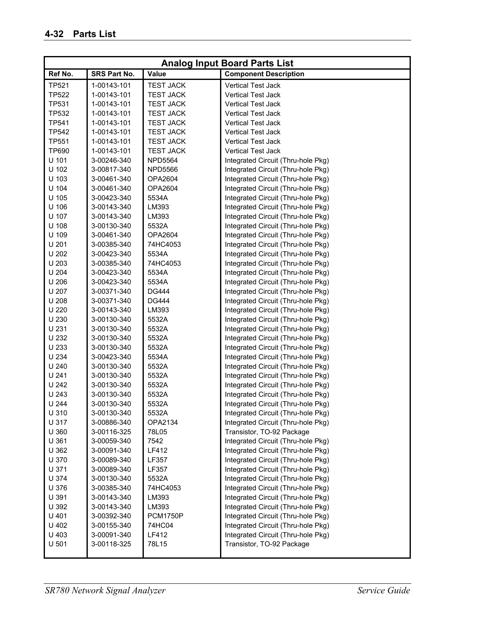|              |              |                  | <b>Analog Input Board Parts List</b> |
|--------------|--------------|------------------|--------------------------------------|
| Ref No.      | SRS Part No. | Value            | <b>Component Description</b>         |
| <b>TP521</b> | 1-00143-101  | <b>TEST JACK</b> | <b>Vertical Test Jack</b>            |
| <b>TP522</b> | 1-00143-101  | <b>TEST JACK</b> | <b>Vertical Test Jack</b>            |
| <b>TP531</b> | 1-00143-101  | <b>TEST JACK</b> | <b>Vertical Test Jack</b>            |
| <b>TP532</b> | 1-00143-101  | <b>TEST JACK</b> | <b>Vertical Test Jack</b>            |
| <b>TP541</b> | 1-00143-101  | <b>TEST JACK</b> | <b>Vertical Test Jack</b>            |
| <b>TP542</b> | 1-00143-101  | <b>TEST JACK</b> | <b>Vertical Test Jack</b>            |
| <b>TP551</b> | 1-00143-101  | <b>TEST JACK</b> | <b>Vertical Test Jack</b>            |
| TP690        | 1-00143-101  | <b>TEST JACK</b> | <b>Vertical Test Jack</b>            |
| U 101        | 3-00246-340  | <b>NPD5564</b>   | Integrated Circuit (Thru-hole Pkg)   |
| U 102        | 3-00817-340  | <b>NPD5566</b>   | Integrated Circuit (Thru-hole Pkg)   |
| U 103        | 3-00461-340  | OPA2604          | Integrated Circuit (Thru-hole Pkg)   |
| U 104        | 3-00461-340  | OPA2604          | Integrated Circuit (Thru-hole Pkg)   |
| U 105        | 3-00423-340  | 5534A            | Integrated Circuit (Thru-hole Pkg)   |
| U 106        | 3-00143-340  | LM393            | Integrated Circuit (Thru-hole Pkg)   |
| U 107        | 3-00143-340  | LM393            | Integrated Circuit (Thru-hole Pkg)   |
| U 108        | 3-00130-340  | 5532A            | Integrated Circuit (Thru-hole Pkg)   |
| U 109        | 3-00461-340  | OPA2604          | Integrated Circuit (Thru-hole Pkg)   |
| U 201        | 3-00385-340  | 74HC4053         | Integrated Circuit (Thru-hole Pkg)   |
| U 202        | 3-00423-340  | 5534A            | Integrated Circuit (Thru-hole Pkg)   |
| U 203        | 3-00385-340  | 74HC4053         | Integrated Circuit (Thru-hole Pkg)   |
| U 204        | 3-00423-340  | 5534A            | Integrated Circuit (Thru-hole Pkg)   |
| U 206        | 3-00423-340  | 5534A            | Integrated Circuit (Thru-hole Pkg)   |
| U 207        | 3-00371-340  | <b>DG444</b>     | Integrated Circuit (Thru-hole Pkg)   |
| U 208        | 3-00371-340  | <b>DG444</b>     | Integrated Circuit (Thru-hole Pkg)   |
| U 220        | 3-00143-340  | LM393            | Integrated Circuit (Thru-hole Pkg)   |
| U 230        | 3-00130-340  | 5532A            | Integrated Circuit (Thru-hole Pkg)   |
| U 231        | 3-00130-340  | 5532A            | Integrated Circuit (Thru-hole Pkg)   |
| U 232        | 3-00130-340  | 5532A            | Integrated Circuit (Thru-hole Pkg)   |
| U 233        | 3-00130-340  | 5532A            | Integrated Circuit (Thru-hole Pkg)   |
| U 234        | 3-00423-340  | 5534A            | Integrated Circuit (Thru-hole Pkg)   |
| U 240        | 3-00130-340  | 5532A            | Integrated Circuit (Thru-hole Pkg)   |
| U 241        | 3-00130-340  | 5532A            | Integrated Circuit (Thru-hole Pkg)   |
| U 242        | 3-00130-340  | 5532A            | Integrated Circuit (Thru-hole Pkg)   |
| U 243        | 3-00130-340  | 5532A            | Integrated Circuit (Thru-hole Pkg)   |
| U 244        | 3-00130-340  | 5532A            | Integrated Circuit (Thru-hole Pkg)   |
| U 310        | 3-00130-340  | 5532A            | Integrated Circuit (Thru-hole Pkg)   |
| U 317        | 3-00886-340  | OPA2134          | Integrated Circuit (Thru-hole Pkg)   |
| U 360        | 3-00116-325  | 78L05            | Transistor, TO-92 Package            |
| U 361        | 3-00059-340  | 7542             | Integrated Circuit (Thru-hole Pkg)   |
| U 362        | 3-00091-340  | LF412            | Integrated Circuit (Thru-hole Pkg)   |
| U 370        | 3-00089-340  | LF357            | Integrated Circuit (Thru-hole Pkg)   |
| U 371        | 3-00089-340  | LF357            | Integrated Circuit (Thru-hole Pkg)   |
| U 374        | 3-00130-340  | 5532A            | Integrated Circuit (Thru-hole Pkg)   |
| U 376        | 3-00385-340  | 74HC4053         | Integrated Circuit (Thru-hole Pkg)   |
| U 391        | 3-00143-340  | LM393            | Integrated Circuit (Thru-hole Pkg)   |
| U 392        | 3-00143-340  | LM393            | Integrated Circuit (Thru-hole Pkg)   |
| U 401        | 3-00392-340  | <b>PCM1750P</b>  | Integrated Circuit (Thru-hole Pkg)   |
| U 402        | 3-00155-340  | 74HC04           | Integrated Circuit (Thru-hole Pkg)   |
| U 403        | 3-00091-340  | LF412            | Integrated Circuit (Thru-hole Pkg)   |
| U 501        | 3-00118-325  | 78L15            | Transistor, TO-92 Package            |
|              |              |                  |                                      |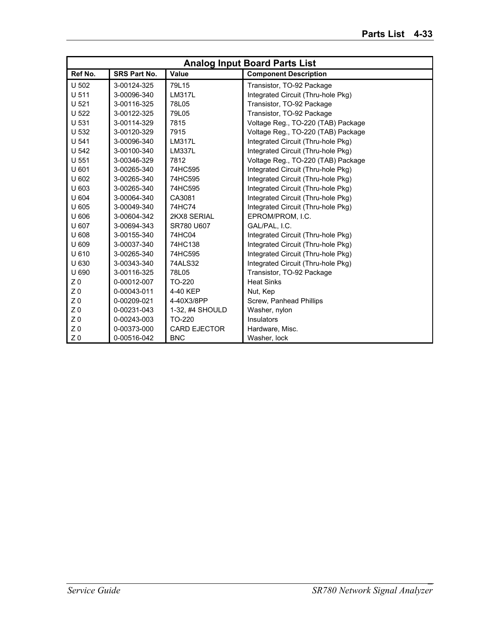|                  | <b>Analog Input Board Parts List</b> |                     |                                    |  |
|------------------|--------------------------------------|---------------------|------------------------------------|--|
| Ref No.          | <b>SRS Part No.</b>                  | Value               | <b>Component Description</b>       |  |
| U 502            | 3-00124-325                          | 79L15               | Transistor, TO-92 Package          |  |
| U 511            | 3-00096-340                          | <b>LM317L</b>       | Integrated Circuit (Thru-hole Pkg) |  |
| U <sub>521</sub> | 3-00116-325                          | 78L05               | Transistor, TO-92 Package          |  |
| U 522            | 3-00122-325                          | 79L05               | Transistor, TO-92 Package          |  |
| U 531            | 3-00114-329                          | 7815                | Voltage Reg., TO-220 (TAB) Package |  |
| U 532            | 3-00120-329                          | 7915                | Voltage Reg., TO-220 (TAB) Package |  |
| U 541            | 3-00096-340                          | <b>LM317L</b>       | Integrated Circuit (Thru-hole Pkg) |  |
| U 542            | 3-00100-340                          | <b>LM337L</b>       | Integrated Circuit (Thru-hole Pkg) |  |
| U 551            | 3-00346-329                          | 7812                | Voltage Reg., TO-220 (TAB) Package |  |
| U 601            | 3-00265-340                          | 74HC595             | Integrated Circuit (Thru-hole Pkg) |  |
| U 602            | 3-00265-340                          | 74HC595             | Integrated Circuit (Thru-hole Pkg) |  |
| U 603            | 3-00265-340                          | 74HC595             | Integrated Circuit (Thru-hole Pkg) |  |
| U 604            | 3-00064-340                          | CA3081              | Integrated Circuit (Thru-hole Pkg) |  |
| U 605            | 3-00049-340                          | 74HC74              | Integrated Circuit (Thru-hole Pkg) |  |
| U 606            | 3-00604-342                          | 2KX8 SERIAL         | EPROM/PROM, I.C.                   |  |
| U 607            | 3-00694-343                          | SR780 U607          | GAL/PAL, I.C.                      |  |
| U 608            | 3-00155-340                          | 74HC04              | Integrated Circuit (Thru-hole Pkg) |  |
| U 609            | 3-00037-340                          | 74HC138             | Integrated Circuit (Thru-hole Pkg) |  |
| U 610            | 3-00265-340                          | 74HC595             | Integrated Circuit (Thru-hole Pkg) |  |
| U 630            | 3-00343-340                          | 74ALS32             | Integrated Circuit (Thru-hole Pkg) |  |
| U 690            | 3-00116-325                          | 78L05               | Transistor, TO-92 Package          |  |
| Z <sub>0</sub>   | 0-00012-007                          | TO-220              | <b>Heat Sinks</b>                  |  |
| Z <sub>0</sub>   | 0-00043-011                          | 4-40 KEP            | Nut, Kep                           |  |
| Z <sub>0</sub>   | 0-00209-021                          | 4-40X3/8PP          | Screw, Panhead Phillips            |  |
| Z <sub>0</sub>   | 0-00231-043                          | 1-32, #4 SHOULD     | Washer, nylon                      |  |
| Z <sub>0</sub>   | 0-00243-003                          | TO-220              | Insulators                         |  |
| Z <sub>0</sub>   | 0-00373-000                          | <b>CARD EJECTOR</b> | Hardware, Misc.                    |  |
| Z <sub>0</sub>   | 0-00516-042                          | <b>BNC</b>          | Washer, lock                       |  |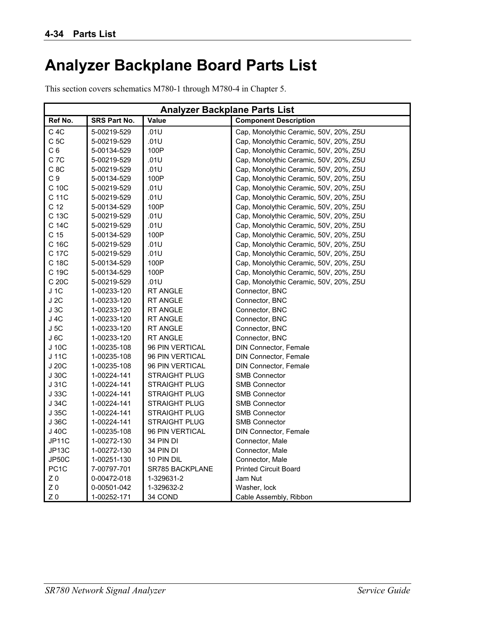## **Analyzer Backplane Board Parts List**

This section covers schematics M780-1 through M780-4 in Chapter 5.

| <b>Analyzer Backplane Parts List</b> |                     |                      |                                        |
|--------------------------------------|---------------------|----------------------|----------------------------------------|
| Ref No.                              | <b>SRS Part No.</b> | Value                | <b>Component Description</b>           |
| $C$ 4 $C$                            | 5-00219-529         | .01U                 | Cap, Monolythic Ceramic, 50V, 20%, Z5U |
| C <sub>5C</sub>                      | 5-00219-529         | .01U                 | Cap, Monolythic Ceramic, 50V, 20%, Z5U |
| C <sub>6</sub>                       | 5-00134-529         | 100P                 | Cap, Monolythic Ceramic, 50V, 20%, Z5U |
| C <sub>7C</sub>                      | 5-00219-529         | .01U                 | Cap, Monolythic Ceramic, 50V, 20%, Z5U |
| C <sub>8C</sub>                      | 5-00219-529         | .01U                 | Cap, Monolythic Ceramic, 50V, 20%, Z5U |
| C <sub>9</sub>                       | 5-00134-529         | 100P                 | Cap, Monolythic Ceramic, 50V, 20%, Z5U |
| C 10C                                | 5-00219-529         | .01U                 | Cap, Monolythic Ceramic, 50V, 20%, Z5U |
| C 11C                                | 5-00219-529         | .01U                 | Cap, Monolythic Ceramic, 50V, 20%, Z5U |
| C <sub>12</sub>                      | 5-00134-529         | 100P                 | Cap, Monolythic Ceramic, 50V, 20%, Z5U |
| C 13C                                | 5-00219-529         | .01U                 | Cap, Monolythic Ceramic, 50V, 20%, Z5U |
| C 14C                                | 5-00219-529         | .01U                 | Cap, Monolythic Ceramic, 50V, 20%, Z5U |
| C <sub>15</sub>                      | 5-00134-529         | 100P                 | Cap, Monolythic Ceramic, 50V, 20%, Z5U |
| C 16C                                | 5-00219-529         | .01U                 | Cap, Monolythic Ceramic, 50V, 20%, Z5U |
| C 17C                                | 5-00219-529         | .01U                 | Cap, Monolythic Ceramic, 50V, 20%, Z5U |
| C 18C                                | 5-00134-529         | 100P                 | Cap, Monolythic Ceramic, 50V, 20%, Z5U |
| C 19C                                | 5-00134-529         | 100P                 | Cap, Monolythic Ceramic, 50V, 20%, Z5U |
| C 20C                                | 5-00219-529         | .01U                 | Cap, Monolythic Ceramic, 50V, 20%, Z5U |
| J 1C                                 | 1-00233-120         | <b>RT ANGLE</b>      | Connector, BNC                         |
| J 2C                                 | 1-00233-120         | RT ANGLE             | Connector, BNC                         |
| J3C                                  | 1-00233-120         | RT ANGLE             | Connector, BNC                         |
| J 4C                                 | 1-00233-120         | <b>RT ANGLE</b>      | Connector, BNC                         |
| J5C                                  | 1-00233-120         | <b>RT ANGLE</b>      | Connector, BNC                         |
| J 6C                                 | 1-00233-120         | <b>RT ANGLE</b>      | Connector, BNC                         |
| J 10C                                | 1-00235-108         | 96 PIN VERTICAL      | DIN Connector, Female                  |
| J 11C                                | 1-00235-108         | 96 PIN VERTICAL      | <b>DIN Connector, Female</b>           |
| J 20C                                | 1-00235-108         | 96 PIN VERTICAL      | DIN Connector, Female                  |
| J30C                                 | 1-00224-141         | <b>STRAIGHT PLUG</b> | <b>SMB Connector</b>                   |
| J 31C                                | 1-00224-141         | <b>STRAIGHT PLUG</b> | <b>SMB Connector</b>                   |
| J 33C                                | 1-00224-141         | <b>STRAIGHT PLUG</b> | <b>SMB Connector</b>                   |
| J 34C                                | 1-00224-141         | <b>STRAIGHT PLUG</b> | <b>SMB Connector</b>                   |
| J 35C                                | 1-00224-141         | <b>STRAIGHT PLUG</b> | <b>SMB Connector</b>                   |
| J 36C                                | 1-00224-141         | STRAIGHT PLUG        | <b>SMB Connector</b>                   |
| J 40C                                | 1-00235-108         | 96 PIN VERTICAL      | <b>DIN Connector, Female</b>           |
| JP11C                                | 1-00272-130         | 34 PIN DI            | Connector, Male                        |
| JP <sub>13</sub> C                   | 1-00272-130         | 34 PIN DI            | Connector, Male                        |
| JP50C                                | 1-00251-130         | 10 PIN DIL           | Connector, Male                        |
| PC <sub>1</sub> C                    | 7-00797-701         | SR785 BACKPLANE      | <b>Printed Circuit Board</b>           |
| Z <sub>0</sub>                       | 0-00472-018         | 1-329631-2           | Jam Nut                                |
| Z <sub>0</sub>                       | 0-00501-042         | 1-329632-2           | Washer, lock                           |
| Z <sub>0</sub>                       | 1-00252-171         | 34 COND              | Cable Assembly, Ribbon                 |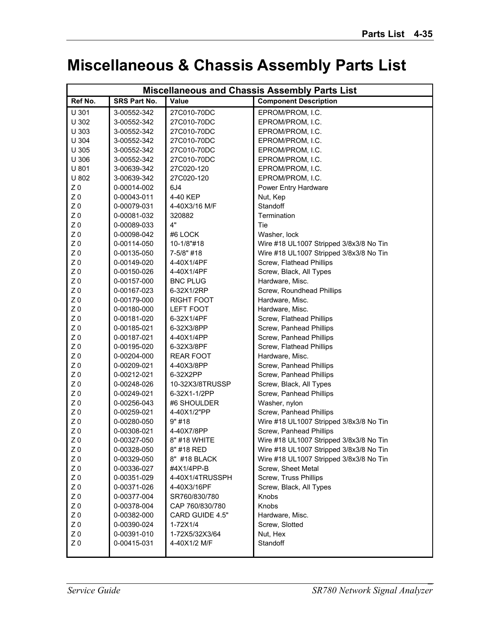#### **Miscellaneous & Chassis Assembly Parts List**

| <b>Miscellaneous and Chassis Assembly Parts List</b> |                     |                   |                                         |
|------------------------------------------------------|---------------------|-------------------|-----------------------------------------|
| Ref No.                                              | <b>SRS Part No.</b> | Value             | <b>Component Description</b>            |
| U 301                                                | 3-00552-342         | 27C010-70DC       | EPROM/PROM, I.C.                        |
| U 302                                                | 3-00552-342         | 27C010-70DC       | EPROM/PROM, I.C.                        |
| U 303                                                | 3-00552-342         | 27C010-70DC       | EPROM/PROM, I.C.                        |
| U 304                                                | 3-00552-342         | 27C010-70DC       | EPROM/PROM, I.C.                        |
| U 305                                                | 3-00552-342         | 27C010-70DC       | EPROM/PROM, I.C.                        |
| U 306                                                | 3-00552-342         | 27C010-70DC       | EPROM/PROM, I.C.                        |
| U 801                                                | 3-00639-342         | 27C020-120        | EPROM/PROM, I.C.                        |
| U 802                                                | 3-00639-342         | 27C020-120        | EPROM/PROM, I.C.                        |
| Z <sub>0</sub>                                       | 0-00014-002         | 6J <sub>4</sub>   | Power Entry Hardware                    |
| Z <sub>0</sub>                                       | 0-00043-011         | 4-40 KEP          | Nut, Kep                                |
| Z <sub>0</sub>                                       | 0-00079-031         | 4-40X3/16 M/F     | Standoff                                |
| Z <sub>0</sub>                                       | 0-00081-032         | 320882            | Termination                             |
| Z <sub>0</sub>                                       | 0-00089-033         | 4"                | Tie                                     |
| Z <sub>0</sub>                                       | 0-00098-042         | #6 LOCK           | Washer, lock                            |
| $Z\;0$                                               | 0-00114-050         | 10-1/8"#18        | Wire #18 UL1007 Stripped 3/8x3/8 No Tin |
| Z <sub>0</sub>                                       | 0-00135-050         | 7-5/8" #18        | Wire #18 UL1007 Stripped 3/8x3/8 No Tin |
| Z <sub>0</sub>                                       | 0-00149-020         | 4-40X1/4PF        | Screw, Flathead Phillips                |
| $Z\;0$                                               | 0-00150-026         | 4-40X1/4PF        | Screw, Black, All Types                 |
| Z <sub>0</sub>                                       | 0-00157-000         | <b>BNC PLUG</b>   | Hardware, Misc.                         |
| Z <sub>0</sub>                                       | 0-00167-023         | 6-32X1/2RP        | Screw, Roundhead Phillips               |
| Z <sub>0</sub>                                       | 0-00179-000         | <b>RIGHT FOOT</b> | Hardware, Misc.                         |
| Z <sub>0</sub>                                       | 0-00180-000         | <b>LEFT FOOT</b>  | Hardware, Misc.                         |
| Z <sub>0</sub>                                       | 0-00181-020         | 6-32X1/4PF        | Screw, Flathead Phillips                |
| Z <sub>0</sub>                                       | 0-00185-021         | 6-32X3/8PP        | Screw, Panhead Phillips                 |
| Z <sub>0</sub>                                       | 0-00187-021         | 4-40X1/4PP        | Screw, Panhead Phillips                 |
| Z <sub>0</sub>                                       | 0-00195-020         | 6-32X3/8PF        | Screw, Flathead Phillips                |
| Z <sub>0</sub>                                       | 0-00204-000         | <b>REAR FOOT</b>  | Hardware, Misc.                         |
| Z <sub>0</sub>                                       | 0-00209-021         | 4-40X3/8PP        | Screw, Panhead Phillips                 |
| $Z\;0$                                               | 0-00212-021         | 6-32X2PP          | Screw, Panhead Phillips                 |
| Z <sub>0</sub>                                       | 0-00248-026         | 10-32X3/8TRUSSP   | Screw, Black, All Types                 |
| Z <sub>0</sub>                                       | 0-00249-021         | 6-32X1-1/2PP      | Screw, Panhead Phillips                 |
| Z <sub>0</sub>                                       | 0-00256-043         | #6 SHOULDER       | Washer, nylon                           |
| Z <sub>0</sub>                                       | 0-00259-021         | 4-40X1/2"PP       | Screw, Panhead Phillips                 |
| Z <sub>0</sub>                                       | 0-00280-050         | 9" #18            | Wire #18 UL1007 Stripped 3/8x3/8 No Tin |
| Z <sub>0</sub>                                       | 0-00308-021         | 4-40X7/8PP        | Screw. Panhead Phillips                 |
| Z <sub>0</sub>                                       | 0-00327-050         | 8" #18 WHITE      | Wire #18 UL1007 Stripped 3/8x3/8 No Tin |
| $Z\;0$                                               | 0-00328-050         | 8" #18 RED        | Wire #18 UL1007 Stripped 3/8x3/8 No Tin |
| Z <sub>0</sub>                                       | 0-00329-050         | 8" #18 BLACK      | Wire #18 UL1007 Stripped 3/8x3/8 No Tin |
| Z <sub>0</sub>                                       | 0-00336-027         | #4X1/4PP-B        | Screw, Sheet Metal                      |
| Z <sub>0</sub>                                       | 0-00351-029         | 4-40X1/4TRUSSPH   | Screw, Truss Phillips                   |
| Z <sub>0</sub>                                       | 0-00371-026         | 4-40X3/16PF       | Screw, Black, All Types                 |
| Z <sub>0</sub>                                       | 0-00377-004         | SR760/830/780     | Knobs                                   |
| Z <sub>0</sub>                                       | 0-00378-004         | CAP 760/830/780   | Knobs                                   |
| Z <sub>0</sub>                                       | 0-00382-000         | CARD GUIDE 4.5"   | Hardware, Misc.                         |
| Z <sub>0</sub>                                       | 0-00390-024         | 1-72X1/4          | Screw, Slotted                          |
| Z <sub>0</sub>                                       | 0-00391-010         | 1-72X5/32X3/64    | Nut, Hex                                |
| Z <sub>0</sub>                                       | 0-00415-031         | 4-40X1/2 M/F      | Standoff                                |
|                                                      |                     |                   |                                         |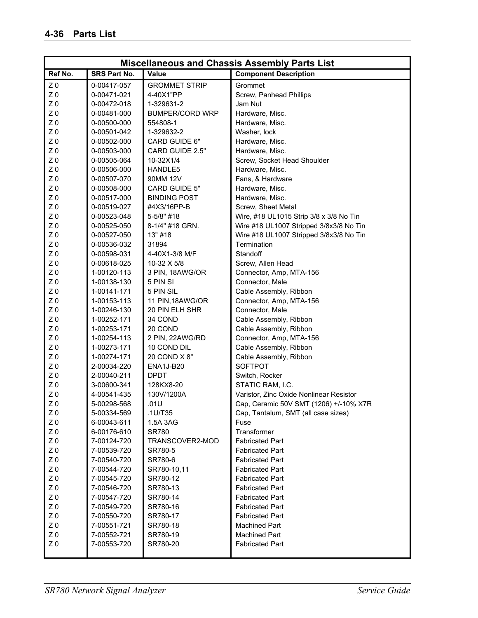| <b>Miscellaneous and Chassis Assembly Parts List</b> |                     |                        |                                         |
|------------------------------------------------------|---------------------|------------------------|-----------------------------------------|
| Ref No.                                              | <b>SRS Part No.</b> | <b>Value</b>           | <b>Component Description</b>            |
| Z <sub>0</sub>                                       | 0-00417-057         | <b>GROMMET STRIP</b>   | Grommet                                 |
| Z <sub>0</sub>                                       | 0-00471-021         | 4-40X1"PP              | Screw, Panhead Phillips                 |
| Z <sub>0</sub>                                       | 0-00472-018         | 1-329631-2             | Jam Nut                                 |
| Z <sub>0</sub>                                       | 0-00481-000         | <b>BUMPER/CORD WRP</b> | Hardware, Misc.                         |
| Z <sub>0</sub>                                       | 0-00500-000         | 554808-1               | Hardware, Misc.                         |
| Z <sub>0</sub>                                       | 0-00501-042         | 1-329632-2             | Washer, lock                            |
| Z <sub>0</sub>                                       | 0-00502-000         | CARD GUIDE 6"          | Hardware, Misc.                         |
| Z <sub>0</sub>                                       | 0-00503-000         | CARD GUIDE 2.5"        | Hardware, Misc.                         |
| Z <sub>0</sub>                                       | 0-00505-064         | 10-32X1/4              | Screw, Socket Head Shoulder             |
| Z <sub>0</sub>                                       | 0-00506-000         | HANDLE5                | Hardware, Misc.                         |
| Z <sub>0</sub>                                       | 0-00507-070         | 90MM 12V               | Fans, & Hardware                        |
| Z <sub>0</sub>                                       | 0-00508-000         | CARD GUIDE 5"          | Hardware, Misc.                         |
| Z <sub>0</sub>                                       | 0-00517-000         | <b>BINDING POST</b>    | Hardware, Misc.                         |
| Z <sub>0</sub>                                       | 0-00519-027         | #4X3/16PP-B            | Screw, Sheet Metal                      |
| Z <sub>0</sub>                                       | 0-00523-048         | 5-5/8" #18             | Wire, #18 UL1015 Strip 3/8 x 3/8 No Tin |
| Z <sub>0</sub>                                       | 0-00525-050         | 8-1/4" #18 GRN.        | Wire #18 UL1007 Stripped 3/8x3/8 No Tin |
| Z <sub>0</sub>                                       | 0-00527-050         | 13" #18                | Wire #18 UL1007 Stripped 3/8x3/8 No Tin |
| Z <sub>0</sub>                                       | 0-00536-032         | 31894                  | Termination                             |
| Z <sub>0</sub>                                       | 0-00598-031         | 4-40X1-3/8 M/F         | Standoff                                |
| Z <sub>0</sub>                                       | 0-00618-025         | 10-32 X 5/8            | Screw, Allen Head                       |
| Z <sub>0</sub>                                       | 1-00120-113         | 3 PIN, 18AWG/OR        | Connector, Amp, MTA-156                 |
| Z <sub>0</sub>                                       | 1-00138-130         | 5 PIN SI               | Connector, Male                         |
| Z <sub>0</sub>                                       | 1-00141-171         | 5 PIN SIL              | Cable Assembly, Ribbon                  |
| Z <sub>0</sub>                                       | 1-00153-113         | 11 PIN, 18AWG/OR       | Connector, Amp, MTA-156                 |
| Z <sub>0</sub>                                       | 1-00246-130         | 20 PIN ELH SHR         | Connector, Male                         |
| Z <sub>0</sub>                                       | 1-00252-171         | 34 COND                | Cable Assembly, Ribbon                  |
| Z <sub>0</sub>                                       | 1-00253-171         | 20 COND                | Cable Assembly, Ribbon                  |
| Z <sub>0</sub>                                       | 1-00254-113         | 2 PIN, 22AWG/RD        | Connector, Amp, MTA-156                 |
| Z <sub>0</sub>                                       | 1-00273-171         | 10 COND DIL            | Cable Assembly, Ribbon                  |
| Z <sub>0</sub>                                       | 1-00274-171         | 20 COND X 8"           | Cable Assembly, Ribbon                  |
| Z <sub>0</sub>                                       | 2-00034-220         | ENA1J-B20              | <b>SOFTPOT</b>                          |
| Z <sub>0</sub>                                       | 2-00040-211         | <b>DPDT</b>            | Switch, Rocker                          |
| Z <sub>0</sub>                                       | 3-00600-341         | 128KX8-20              | STATIC RAM, I.C.                        |
| Z <sub>0</sub>                                       | 4-00541-435         | 130V/1200A             | Varistor, Zinc Oxide Nonlinear Resistor |
| Z <sub>0</sub>                                       | 5-00298-568         | .01U                   | Cap, Ceramic 50V SMT (1206) +/-10% X7R  |
| Z <sub>0</sub>                                       | 5-00334-569         | .1U/T35                | Cap, Tantalum, SMT (all case sizes)     |
| Z <sub>0</sub>                                       | 6-00043-611         | 1.5A 3AG               | Fuse                                    |
| Z <sub>0</sub>                                       | 6-00176-610         | <b>SR780</b>           | Transformer                             |
| Z <sub>0</sub>                                       | 7-00124-720         | TRANSCOVER2-MOD        | <b>Fabricated Part</b>                  |
| Z <sub>0</sub>                                       | 7-00539-720         | SR780-5                | <b>Fabricated Part</b>                  |
| Z <sub>0</sub>                                       | 7-00540-720         | SR780-6                | <b>Fabricated Part</b>                  |
| Z <sub>0</sub>                                       | 7-00544-720         | SR780-10,11            | <b>Fabricated Part</b>                  |
| Z <sub>0</sub>                                       | 7-00545-720         | SR780-12               | <b>Fabricated Part</b>                  |
| Z <sub>0</sub>                                       | 7-00546-720         | SR780-13               | <b>Fabricated Part</b>                  |
| Z <sub>0</sub>                                       | 7-00547-720         | SR780-14               | <b>Fabricated Part</b>                  |
| Z <sub>0</sub>                                       | 7-00549-720         | SR780-16               | <b>Fabricated Part</b>                  |
| Z <sub>0</sub>                                       | 7-00550-720         | SR780-17               | <b>Fabricated Part</b>                  |
| Z <sub>0</sub>                                       | 7-00551-721         | SR780-18               | <b>Machined Part</b>                    |
| Z <sub>0</sub>                                       | 7-00552-721         | SR780-19               | <b>Machined Part</b>                    |
| Z <sub>0</sub>                                       | 7-00553-720         | SR780-20               | <b>Fabricated Part</b>                  |
|                                                      |                     |                        |                                         |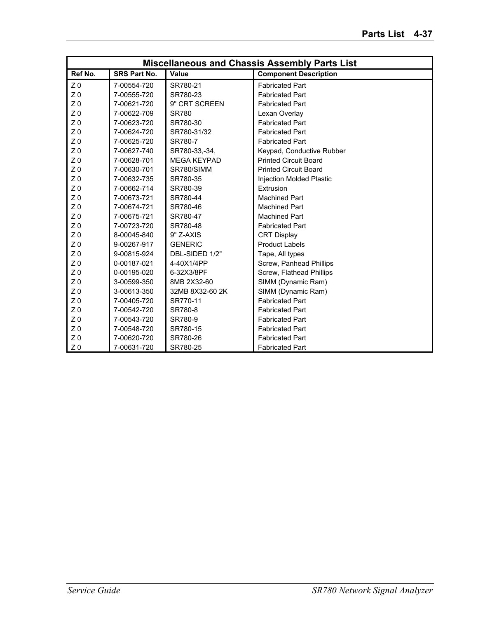| <b>Miscellaneous and Chassis Assembly Parts List</b> |                     |                    |                              |
|------------------------------------------------------|---------------------|--------------------|------------------------------|
| Ref No.                                              | <b>SRS Part No.</b> | Value              | <b>Component Description</b> |
| Z <sub>0</sub>                                       | 7-00554-720         | SR780-21           | <b>Fabricated Part</b>       |
| Z <sub>0</sub>                                       | 7-00555-720         | SR780-23           | <b>Fabricated Part</b>       |
| Z <sub>0</sub>                                       | 7-00621-720         | 9" CRT SCREEN      | <b>Fabricated Part</b>       |
| Z <sub>0</sub>                                       | 7-00622-709         | <b>SR780</b>       | Lexan Overlay                |
| Z <sub>0</sub>                                       | 7-00623-720         | SR780-30           | <b>Fabricated Part</b>       |
| Z <sub>0</sub>                                       | 7-00624-720         | SR780-31/32        | <b>Fabricated Part</b>       |
| Z <sub>0</sub>                                       | 7-00625-720         | SR780-7            | <b>Fabricated Part</b>       |
| Z <sub>0</sub>                                       | 7-00627-740         | SR780-33,-34,      | Keypad, Conductive Rubber    |
| Z <sub>0</sub>                                       | 7-00628-701         | <b>MEGA KEYPAD</b> | <b>Printed Circuit Board</b> |
| Z <sub>0</sub>                                       | 7-00630-701         | SR780/SIMM         | <b>Printed Circuit Board</b> |
| Z <sub>0</sub>                                       | 7-00632-735         | SR780-35           | Injection Molded Plastic     |
| Z <sub>0</sub>                                       | 7-00662-714         | SR780-39           | Extrusion                    |
| Z <sub>0</sub>                                       | 7-00673-721         | SR780-44           | <b>Machined Part</b>         |
| Z <sub>0</sub>                                       | 7-00674-721         | SR780-46           | <b>Machined Part</b>         |
| Z <sub>0</sub>                                       | 7-00675-721         | SR780-47           | <b>Machined Part</b>         |
| Z <sub>0</sub>                                       | 7-00723-720         | SR780-48           | <b>Fabricated Part</b>       |
| Z <sub>0</sub>                                       | 8-00045-840         | 9" Z-AXIS          | <b>CRT Display</b>           |
| Z <sub>0</sub>                                       | 9-00267-917         | <b>GENERIC</b>     | <b>Product Labels</b>        |
| Z <sub>0</sub>                                       | 9-00815-924         | DBL-SIDED 1/2"     | Tape, All types              |
| Z <sub>0</sub>                                       | 0-00187-021         | 4-40X1/4PP         | Screw, Panhead Phillips      |
| Z <sub>0</sub>                                       | 0-00195-020         | 6-32X3/8PF         | Screw, Flathead Phillips     |
| Z <sub>0</sub>                                       | 3-00599-350         | 8MB 2X32-60        | SIMM (Dynamic Ram)           |
| Z <sub>0</sub>                                       | 3-00613-350         | 32MB 8X32-60 2K    | SIMM (Dynamic Ram)           |
| Z <sub>0</sub>                                       | 7-00405-720         | SR770-11           | <b>Fabricated Part</b>       |
| Z <sub>0</sub>                                       | 7-00542-720         | SR780-8            | <b>Fabricated Part</b>       |
| Z <sub>0</sub>                                       | 7-00543-720         | SR780-9            | <b>Fabricated Part</b>       |
| Z <sub>0</sub>                                       | 7-00548-720         | SR780-15           | <b>Fabricated Part</b>       |
| Z <sub>0</sub>                                       | 7-00620-720         | SR780-26           | <b>Fabricated Part</b>       |
| Z <sub>0</sub>                                       | 7-00631-720         | SR780-25           | <b>Fabricated Part</b>       |